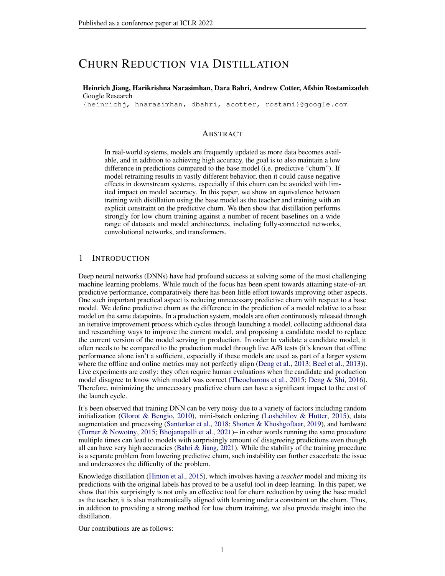# CHURN REDUCTION VIA DISTILLATION

Heinrich Jiang, Harikrishna Narasimhan, Dara Bahri, Andrew Cotter, Afshin Rostamizadeh Google Research

{heinrichj, hnarasimhan, dbahri, acotter, rostami}@google.com

# ABSTRACT

In real-world systems, models are frequently updated as more data becomes available, and in addition to achieving high accuracy, the goal is to also maintain a low difference in predictions compared to the base model (i.e. predictive "churn"). If model retraining results in vastly different behavior, then it could cause negative effects in downstream systems, especially if this churn can be avoided with limited impact on model accuracy. In this paper, we show an equivalence between training with distillation using the base model as the teacher and training with an explicit constraint on the predictive churn. We then show that distillation performs strongly for low churn training against a number of recent baselines on a wide range of datasets and model architectures, including fully-connected networks, convolutional networks, and transformers.

# 1 INTRODUCTION

Deep neural networks (DNNs) have had profound success at solving some of the most challenging machine learning problems. While much of the focus has been spent towards attaining state-of-art predictive performance, comparatively there has been little effort towards improving other aspects. One such important practical aspect is reducing unnecessary predictive churn with respect to a base model. We define predictive churn as the difference in the prediction of a model relative to a base model on the same datapoints. In a production system, models are often continuously released through an iterative improvement process which cycles through launching a model, collecting additional data and researching ways to improve the current model, and proposing a candidate model to replace the current version of the model serving in production. In order to validate a candidate model, it often needs to be compared to the production model through live A/B tests (it's known that offline performance alone isn't a sufficient, especially if these models are used as part of a larger system where the offline and online metrics may not perfectly align [\(Deng et al.,](#page-9-0) [2013;](#page-9-0) [Beel et al.,](#page-9-1) [2013\)](#page-9-1)). Live experiments are costly: they often require human evaluations when the candidate and production model disagree to know which model was correct [\(Theocharous et al.,](#page-10-0) [2015;](#page-10-0) [Deng & Shi,](#page-9-2) [2016\)](#page-9-2). Therefore, minimizing the unnecessary predictive churn can have a significant impact to the cost of the launch cycle.

It's been observed that training DNN can be very noisy due to a variety of factors including random initialization [\(Glorot & Bengio,](#page-9-3) [2010\)](#page-9-3), mini-batch ordering [\(Loshchilov & Hutter,](#page-10-1) [2015\)](#page-10-1), data augmentation and processing [\(Santurkar et al.,](#page-10-2) [2018;](#page-10-2) [Shorten & Khoshgoftaar,](#page-10-3) [2019\)](#page-10-3), and hardware [\(Turner & Nowotny,](#page-10-4) [2015;](#page-10-4) [Bhojanapalli et al.,](#page-9-4) [2021\)](#page-9-4)– in other words running the same procedure multiple times can lead to models with surprisingly amount of disagreeing predictions even though all can have very high accuracies (Bahri  $\&$  Jiang, [2021\)](#page-9-5). While the stability of the training procedure is a separate problem from lowering predictive churn, such instability can further exacerbate the issue and underscores the difficulty of the problem.

Knowledge distillation [\(Hinton et al.,](#page-10-5) [2015\)](#page-10-5), which involves having a *teacher* model and mixing its predictions with the original labels has proved to be a useful tool in deep learning. In this paper, we show that this surprisingly is not only an effective tool for churn reduction by using the base model as the teacher, it is also mathematically aligned with learning under a constraint on the churn. Thus, in addition to providing a strong method for low churn training, we also provide insight into the distillation.

Our contributions are as follows: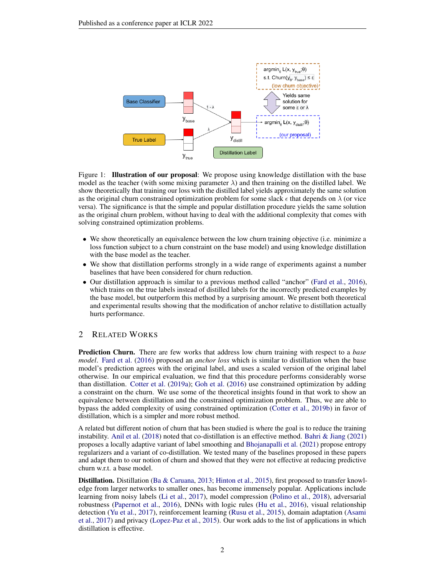

Figure 1: **Illustration of our proposal**: We propose using knowledge distillation with the base model as the teacher (with some mixing parameter  $\lambda$ ) and then training on the distilled label. We show theoretically that training our loss with the distilled label yields approximately the same solution as the original churn constrained optimization problem for some slack  $\epsilon$  that depends on  $\lambda$  (or vice versa). The significance is that the simple and popular distillation procedure yields the same solution as the original churn problem, without having to deal with the additional complexity that comes with solving constrained optimization problems.

- We show theoretically an equivalence between the low churn training objective (i.e. minimize a loss function subject to a churn constraint on the base model) and using knowledge distillation with the base model as the teacher.
- We show that distillation performs strongly in a wide range of experiments against a number baselines that have been considered for churn reduction.
- Our distillation approach is similar to a previous method called "anchor" [\(Fard et al.,](#page-9-6) [2016\)](#page-9-6), which trains on the true labels instead of distilled labels for the incorrectly predicted examples by the base model, but outperform this method by a surprising amount. We present both theoretical and experimental results showing that the modification of anchor relative to distillation actually hurts performance.

# 2 RELATED WORKS

Prediction Churn. There are few works that address low churn training with respect to a *base model*. [Fard et al.](#page-9-6) [\(2016\)](#page-9-6) proposed an *anchor loss* which is similar to distillation when the base model's prediction agrees with the original label, and uses a scaled version of the original label otherwise. In our empirical evaluation, we find that this procedure performs considerably worse than distillation. [Cotter et al.](#page-9-7) [\(2019a\)](#page-9-7); [Goh et al.](#page-10-6) [\(2016\)](#page-10-6) use constrained optimization by adding a constraint on the churn. We use some of the theoretical insights found in that work to show an equivalence between distillation and the constrained optimization problem. Thus, we are able to bypass the added complexity of using constrained optimization [\(Cotter et al.,](#page-9-8) [2019b\)](#page-9-8) in favor of distillation, which is a simpler and more robust method.

A related but different notion of churn that has been studied is where the goal is to reduce the training instability. [Anil et al.](#page-9-9) [\(2018\)](#page-9-9) noted that co-distillation is an effective method. [Bahri & Jiang](#page-9-5) [\(2021\)](#page-9-5) proposes a locally adaptive variant of label smoothing and [Bhojanapalli et al.](#page-9-4) [\(2021\)](#page-9-4) propose entropy regularizers and a variant of co-distillation. We tested many of the baselines proposed in these papers and adapt them to our notion of churn and showed that they were not effective at reducing predictive churn w.r.t. a base model.

Distillation. Distillation [\(Ba & Caruana,](#page-9-10) [2013;](#page-9-10) [Hinton et al.,](#page-10-5) [2015\)](#page-10-5), first proposed to transfer knowledge from larger networks to smaller ones, has become immensely popular. Applications include learning from noisy labels [\(Li et al.,](#page-10-7) [2017\)](#page-10-7), model compression [\(Polino et al.,](#page-10-8) [2018\)](#page-10-8), adversarial robustness [\(Papernot et al.,](#page-10-9) [2016\)](#page-10-9), DNNs with logic rules [\(Hu et al.,](#page-10-10) [2016\)](#page-10-10), visual relationship detection [\(Yu et al.,](#page-11-0) [2017\)](#page-11-0), reinforcement learning [\(Rusu et al.,](#page-10-11) [2015\)](#page-10-11), domain adaptation [\(Asami](#page-9-11) [et al.,](#page-9-11) [2017\)](#page-9-11) and privacy [\(Lopez-Paz et al.,](#page-10-12) [2015\)](#page-10-12). Our work adds to the list of applications in which distillation is effective.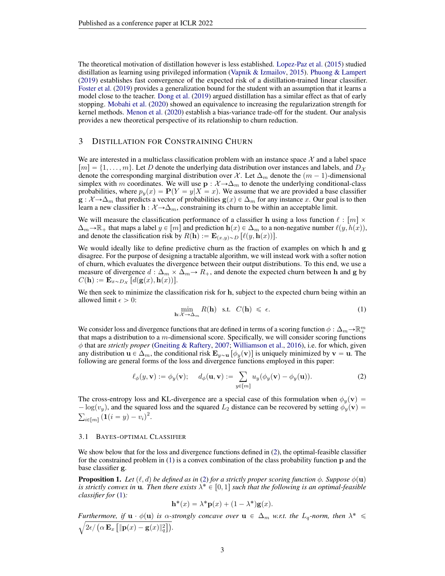The theoretical motivation of distillation however is less established. [Lopez-Paz et al.](#page-10-12) [\(2015\)](#page-10-12) studied distillation as learning using privileged information [\(Vapnik & Izmailov,](#page-11-1) [2015\)](#page-11-1). [Phuong & Lampert](#page-10-13) [\(2019\)](#page-10-13) establishes fast convergence of the expected risk of a distillation-trained linear classifier. [Foster et al.](#page-9-12) [\(2019\)](#page-9-12) provides a generalization bound for the student with an assumption that it learns a model close to the teacher. [Dong et al.](#page-9-13) [\(2019\)](#page-9-13) argued distillation has a similar effect as that of early stopping. [Mobahi et al.](#page-10-14) [\(2020\)](#page-10-14) showed an equivalence to increasing the regularization strength for kernel methods. [Menon et al.](#page-10-15) [\(2020\)](#page-10-15) establish a bias-variance trade-off for the student. Our analysis provides a new theoretical perspective of its relationship to churn reduction.

# 3 DISTILLATION FOR CONSTRAINING CHURN

We are interested in a multiclass classification problem with an instance space  $\mathcal X$  and a label space  $[m] = \{1, \ldots, m\}$ . Let D denote the underlying data distribution over instances and labels, and  $D_{\mathcal{X}}$ denote the corresponding marginal distribution over X. Let  $\Delta_m$  denote the  $(m - 1)$ -dimensional simplex with m coordinates. We will use  $p : \mathcal{X} \to \Delta_m$  to denote the underlying conditional-class probabilities, where  $p_y(x) = P(Y = y|X = x)$ . We assume that we are provided a base classifier  $g: \mathcal{X} \to \Delta_m$  that predicts a vector of probabilities  $g(x) \in \Delta_m$  for any instance x. Our goal is to then learn a new classifier  $h : \mathcal{X} \to \Delta_m$ , constraining its churn to be within an acceptable limit.

We will measure the classification performance of a classifier h using a loss function  $\ell : [m] \times$  $\Delta_m \to \mathbb{R}_+$  that maps a label  $y \in [m]$  and prediction  $h(x) \in \Delta_m$  to a non-negative number  $\ell(y, h(x))$ , and denote the classification risk by  $R(\mathbf{h}) := \mathbf{E}_{(x,y)\sim D} [\ell(y, \mathbf{h}(x))].$ 

We would ideally like to define predictive churn as the fraction of examples on which h and g disagree. For the purpose of designing a tractable algorithm, we will instead work with a softer notion of churn, which evaluates the divergence between their output distributions. To this end, we use a measure of divergence  $d : \Delta_m \times \Delta_m \rightarrow R_+$ , and denote the expected churn between h and g by  $C(\mathbf{h}) := \mathbf{E}_{x \sim D_{\mathcal{X}}} [d(\mathbf{g}(x), \mathbf{h}(x))].$ 

We then seek to minimize the classification risk for h, subject to the expected churn being within an allowed limit  $\epsilon > 0$ :

<span id="page-2-1"></span><span id="page-2-0"></span>
$$
\min_{\mathbf{h}:\mathcal{X}\to\Delta_m} R(\mathbf{h}) \quad \text{s.t.} \quad C(\mathbf{h}) \leq \epsilon. \tag{1}
$$

We consider loss and divergence functions that are defined in terms of a scoring function  $\phi : \Delta_m \to \mathbb{R}^m_+$ that maps a distribution to a m-dimensional score. Specifically, we will consider scoring functions φ that are *strictly proper* [\(Gneiting & Raftery,](#page-10-16) [2007;](#page-10-16) [Williamson et al.,](#page-11-2) [2016\)](#page-11-2), i.e. for which, given any distribution  $\mathbf{u} \in \Delta_m$ , the conditional risk  $\mathbf{E}_{y \sim \mathbf{u}} [\phi_y(\mathbf{v})]$  is uniquely minimized by  $\mathbf{v} = \mathbf{u}$ . The following are general forms of the loss and divergence functions employed in this paper:

$$
\ell_{\phi}(y, \mathbf{v}) := \phi_y(\mathbf{v}); \quad d_{\phi}(\mathbf{u}, \mathbf{v}) := \sum_{y \in [m]} u_y(\phi_y(\mathbf{v}) - \phi_y(\mathbf{u})). \tag{2}
$$

The cross-entropy loss and KL-divergence are a special case of this formulation when  $\phi_y(\mathbf{v})$  =  $-\log(v_y)$ , and the squared loss and the squared  $L_2$  distance can be recovered by setting  $\phi_y(\mathbf{v}) =$  $_{i \in [m]} (\mathbf{1}(i = y) - v_i)^2.$ 

#### 3.1 BAYES-OPTIMAL CLASSIFIER

We show below that for the loss and divergence functions defined in [\(2\)](#page-2-0), the optimal-feasible classifier for the constrained problem in  $(1)$  is a convex combination of the class probability function  $\bf{p}$  and the base classifier g.

<span id="page-2-2"></span>**Proposition 1.** *Let*  $(\ell, d)$  *be defined as in* [\(2\)](#page-2-0) *for a strictly proper scoring function*  $\phi$ *. Suppose*  $\phi(\mathbf{u})$ *is strictly convex in* **u**. Then there exists  $\lambda^* \in [0,1]$  such that the following is an optimal-feasible *classifier for* [\(1\)](#page-2-1)*:*

$$
\mathbf{h}^*(x) = \lambda^* \mathbf{p}(x) + (1 - \lambda^*) \mathbf{g}(x).
$$

*Furthermore, if*  $\mathbf{u} \cdot \phi(\mathbf{u})$  *is*  $\alpha$ -strongly concave over  $\mathbf{u} \in \Delta_m$  *w.r.t. the*  $L_q$ -norm, then  $\lambda^* \leq$  $2\epsilon / \left( \alpha \mathbf{\,E}_x \left[ \Vert \mathbf{p}(x) - \mathbf{g}(x) \Vert_q^2 \right] \right).$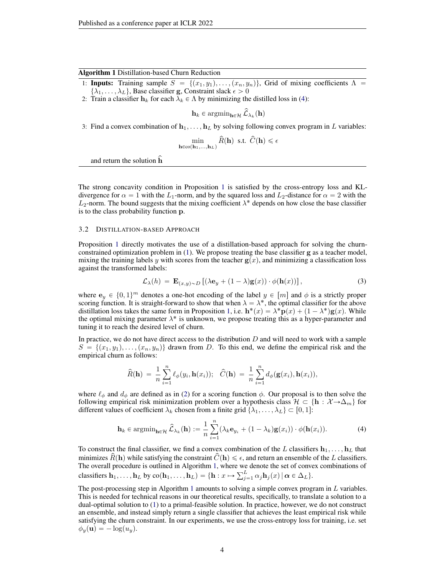#### Algorithm 1 Distillation-based Churn Reduction

<span id="page-3-1"></span>1: Inputs: Training sample  $S = \{(x_1, y_1), \ldots, (x_n, y_n)\}\$ , Grid of mixing coefficients  $\Lambda$  $\{\lambda_1, \ldots, \lambda_L\}$ , Base classifier g, Constraint slack  $\epsilon > 0$ 

2: Train a classifier  $h_k$  for each  $\lambda_k \in \Lambda$  by minimizing the distilled loss in [\(4\)](#page-3-0):

 $\mathbf{h}_k \in \operatorname{argmin}_{\mathbf{h} \in \mathcal{H}} \hat{\mathcal{L}}_{\lambda_k}(\mathbf{h})$ 

3: Find a convex combination of  $h_1, \ldots, h_L$  by solving following convex program in L variables:

$$
\min_{\mathbf{h}\in\text{co}(\mathbf{h}_1,\ldots,\mathbf{h}_L)}\hat{R}(\mathbf{h})\ \ \text{s.t.}\ \ \hat{C}(\mathbf{h})\leqslant\epsilon
$$

and return the solution h

The strong concavity condition in Proposition [1](#page-2-2) is satisfied by the cross-entropy loss and KLdivergence for  $\alpha = 1$  with the L<sub>1</sub>-norm, and by the squared loss and L<sub>2</sub>-distance for  $\alpha = 2$  with the  $L_2$ -norm. The bound suggests that the mixing coefficient  $\lambda^*$  depends on how close the base classifier is to the class probability function p.

#### 3.2 DISTILLATION-BASED APPROACH

Proposition [1](#page-2-2) directly motivates the use of a distillation-based approach for solving the churnconstrained optimization problem in [\(1\)](#page-2-1). We propose treating the base classifier g as a teacher model, mixing the training labels y with scores from the teacher  $g(x)$ , and minimizing a classification loss against the transformed labels:

<span id="page-3-2"></span>
$$
\mathcal{L}_{\lambda}(h) = \mathbf{E}_{(x,y)\sim D} \left[ (\lambda \mathbf{e}_y + (1-\lambda)\mathbf{g}(x)) \cdot \phi(\mathbf{h}(x)) \right],\tag{3}
$$

where  $e_y \in \{0, 1\}^m$  denotes a one-hot encoding of the label  $y \in [m]$  and  $\phi$  is a strictly proper scoring function. It is straight-forward to show that when  $\lambda = \lambda^*$ , the optimal classifier for the above distillation loss takes the same form in Proposition [1,](#page-2-2) i.e.  $\mathbf{h}^*(x) = \lambda^* \mathbf{p}(x) + (1 - \lambda^*) \mathbf{g}(x)$ . While the optimal mixing parameter  $\lambda^*$  is unknown, we propose treating this as a hyper-parameter and tuning it to reach the desired level of churn.

In practice, we do not have direct access to the distribution  $D$  and will need to work with a sample  $S = \{ (x_1, y_1), \ldots, (x_n, y_n) \}$  drawn from D. To this end, we define the empirical risk and the empirical churn as follows:

<span id="page-3-0"></span>
$$
\widehat{R}(\mathbf{h}) = \frac{1}{n} \sum_{i=1}^{n} \ell_{\phi}(y_i, \mathbf{h}(x_i)); \quad \widehat{C}(\mathbf{h}) = \frac{1}{n} \sum_{i=1}^{n} d_{\phi}(\mathbf{g}(x_i), \mathbf{h}(x_i)),
$$

where  $\ell_{\phi}$  and  $d_{\phi}$  are defined as in [\(2\)](#page-2-0) for a scoring function  $\phi$ . Our proposal is to then solve the following empirical risk minimization problem over a hypothesis class  $\mathcal{H} \subset \{\mathbf{h} : \mathcal{X} \to \Delta_m\}$  for different values of coefficient  $\lambda_k$  chosen from a finite grid  $\{\lambda_1, \ldots, \lambda_L\} \subset [0, 1]$ :

$$
\mathbf{h}_{k} \in \operatorname{argmin}_{\mathbf{h} \in \mathcal{H}} \hat{\mathcal{L}}_{\lambda_{k}}(\mathbf{h}) := \frac{1}{n} \sum_{i=1}^{n} (\lambda_{k} \mathbf{e}_{y_{i}} + (1 - \lambda_{k}) \mathbf{g}(x_{i})) \cdot \phi(\mathbf{h}(x_{i})).
$$
 (4)

To construct the final classifier, we find a convex combination of the L classifiers  $\mathbf{h}_1, \dots, \mathbf{h}_L$  that minimizes  $\hat{R}(\mathbf{h})$  while satisfying the constraint  $\hat{C}(\mathbf{h}) \leq \epsilon$ , and return an ensemble of the L classifiers. The overall procedure is outlined in Algorithm [1,](#page-3-1) where we denote the set of convex combinations of The overall procedure is outlined in Algorithm 1, where we<br>classifiers  $\mathbf{h}_1, \dots, \mathbf{h}_L$  by  $\text{co}(\mathbf{h}_1, \dots, \mathbf{h}_L) = \{\mathbf{h} : x \mapsto \sum_{i=1}^L x_i \}$  $_{j=1}^{L} \alpha_{j} \mathbf{h}_{j}(x) | \boldsymbol{\alpha} \in \Delta_{L} \}.$ 

The post-processing step in Algorithm [1](#page-3-1) amounts to solving a simple convex program in  $L$  variables. This is needed for technical reasons in our theoretical results, specifically, to translate a solution to a dual-optimal solution to [\(1\)](#page-2-1) to a primal-feasible solution. In practice, however, we do not construct an ensemble, and instead simply return a single classifier that achieves the least empirical risk while satisfying the churn constraint. In our experiments, we use the cross-entropy loss for training, i.e. set  $\phi_y(\mathbf{u}) = -\log(u_y).$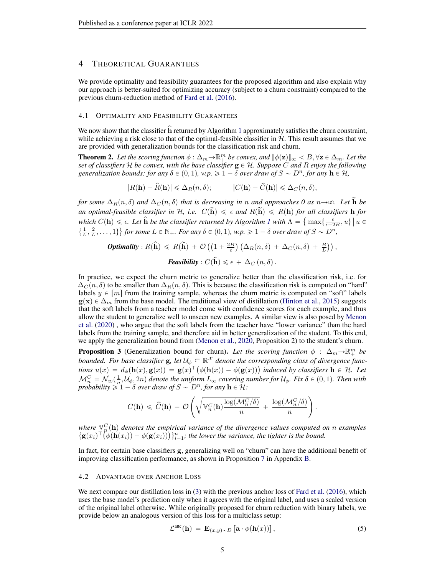# 4 THEORETICAL GUARANTEES

We provide optimality and feasibility guarantees for the proposed algorithm and also explain why our approach is better-suited for optimizing accuracy (subject to a churn constraint) compared to the previous churn-reduction method of [Fard et al.](#page-9-6) [\(2016\)](#page-9-6).

### 4.1 OPTIMALITY AND FEASIBILITY GUARANTEES

We now show that the classifier h returned by Algorithm [1](#page-3-1) approximately satisfies the churn constraint, while achieving a risk close to that of the optimal-feasible classifier in  $H$ . This result assumes that we are provided with generalization bounds for the classification risk and churn.

<span id="page-4-2"></span>**Theorem 2.** Let the scoring function  $\phi : \Delta_m \to \mathbb{R}^m_+$  be convex, and  $\|\phi(\mathbf{z})\|_{\infty} < B, \forall \mathbf{z} \in \Delta_m$ . Let the *set of classifiers*  $H$  *be convex, with the base classifier*  $g \in H$ *. Suppose*  $C$  *and*  $R$  *enjoy the following generalization bounds: for any*  $\delta \in (0, 1)$ *, w.p.*  $\geq 1 - \delta$  *over draw of*  $S \sim D^n$ *, for any*  $h \in \mathcal{H}$ *,* 

$$
|R(\mathbf{h}) - \widehat{R}(\mathbf{h})| \leq \Delta_R(n, \delta); \qquad |C(\mathbf{h}) - \widehat{C}(\mathbf{h})| \leq \Delta_C(n, \delta),
$$

*for some*  $\Delta_R(n, \delta)$  *and*  $\Delta_C(n, \delta)$  *that is decreasing in n and approaches 0 as*  $n \rightarrow \infty$ *. Let* **h** *be* an optimal-feasible classifier in H, i.e.  $C(\tilde{h}) \leq \epsilon$  and  $R(\tilde{h}) \leq R(h)$  for all classifiers h for  $which C(\mathbf{h}) \leq \epsilon$ . Let  $\hat{\mathbf{h}}$  be the classifier returned by Algorithm *[1](#page-3-1)* with  $\Lambda = \{ \max\{\frac{\epsilon}{\epsilon+2B}, u\} \mid u \in \mathbb{R} \}$  $\{\frac{1}{L}, \frac{2}{L}, \ldots, 1\}$  for some  $L \in \mathbb{N}_+$ . For any  $\delta \in (0, 1)$ , w.p.  $\geq 1 - \delta$  over draw of  $S \sim D^n$ ,

**Optimality**: 
$$
R(\hat{\mathbf{h}}) \le R(\widetilde{\mathbf{h}}) + \mathcal{O}((1 + \frac{2B}{\epsilon}) (\Delta_R(n, \delta) + \Delta_C(n, \delta) + \frac{B}{L}))
$$
,  
**Feasibility**:  $C(\hat{\mathbf{h}}) \le \epsilon + \Delta_C(n, \delta)$ .

In practice, we expect the churn metric to generalize better than the classification risk, i.e. for  $\Delta_C(n, \delta)$  to be smaller than  $\Delta_R(n, \delta)$ . This is because the classification risk is computed on "hard" labels  $y \in |m|$  from the training sample, whereas the churn metric is computed on "soft" labels  $g(x) \in \Delta_m$  from the base model. The traditional view of distillation [\(Hinton et al.,](#page-10-5) [2015\)](#page-10-5) suggests that the soft labels from a teacher model come with confidence scores for each example, and thus allow the student to generalize well to unseen new examples. A similar view is also posed by [Menon](#page-10-15) [et al.](#page-10-15) [\(2020\)](#page-10-15) , who argue that the soft labels from the teacher have "lower variance" than the hard labels from the training sample, and therefore aid in better generalization of the student. To this end, we apply the generalization bound from [\(Menon et al.,](#page-10-15) [2020,](#page-10-15) Proposition 2) to the student's churn.

<span id="page-4-3"></span>**Proposition 3** (Generalization bound for churn). Let the scoring function  $\phi$  :  $\Delta_m \rightarrow \mathbb{R}^m_+$  be *bounded. For base classifier*  $g$ , let  $\mathcal{U}_{\phi} \subseteq \mathbb{R}^{\mathcal{X}}$  denote the corresponding class of divergence funcbounded. For base classifier **g**, let  $U_{\phi} \subseteq \mathbb{R}^{\alpha}$  denote the corresponding class of divergence functions  $u(x) = d_{\phi}(\mathbf{h}(x), \mathbf{g}(x)) = \mathbf{g}(x)^{\top}(\phi(\mathbf{h}(x)) - \phi(\mathbf{g}(x)))$  induced by classifiers  $\mathbf{h} \in \mathcal{H}$ . Let  $\mathcal{M}_n^C = \mathcal{N}_{\infty}(\frac{1}{n}, \mathcal{U}_{\phi}, 2n)$  denote the uniform  $L_{\infty}$  covering number for  $\mathcal{U}_{\phi}$ . Fix  $\delta \in (0, 1)$ . Then with *probability*  $\geq 1 - \delta$  *over draw of*  $S \sim D^n$ *, for any*  $\mathbf{h} \in \tilde{\mathcal{H}}$ *:* 

$$
C(\mathbf{h}) \leqslant \widehat{C}(\mathbf{h}) + \mathcal{O}\left(\sqrt{\mathbb{V}_n^C(\mathbf{h})\frac{\log(\mathcal{M}_n^C/\delta)}{n}} + \frac{\log(\mathcal{M}_n^C/\delta)}{n}\right).
$$

where  $\mathbb{V}_p^C(\mathbf{h})$  denotes the empirical variance of the divergence values computed on n examples where  $\mathbb{V}_n^C(\mathbf{h})$  denotes the empirical variance of the divergence values computed o  $\{\mathbf{g}(x_i)^\top (\phi(\mathbf{h}(x_i)) - \phi(\mathbf{g}(x_i)))\}_{i=1}^n$ ; the lower the variance, the tighter is the bound.

In fact, for certain base classifiers g, generalizing well on "churn" can have the additional benefit of improving classification performance, as shown in Proposition [7](#page-17-0) in Appendix [B.](#page-17-1)

#### <span id="page-4-1"></span>4.2 ADVANTAGE OVER ANCHOR LOSS

We next compare our distillation loss in [\(3\)](#page-3-2) with the previous anchor loss of [Fard et al.](#page-9-6) [\(2016\)](#page-9-6), which uses the base model's prediction only when it agrees with the original label, and uses a scaled version of the original label otherwise. While originally proposed for churn reduction with binary labels, we provide below an analogous version of this loss for a multiclass setup:

<span id="page-4-0"></span>
$$
\mathcal{L}^{\text{anc}}(\mathbf{h}) = \mathbf{E}_{(x,y)\sim D} \left[ \mathbf{a} \cdot \phi(\mathbf{h}(x)) \right],\tag{5}
$$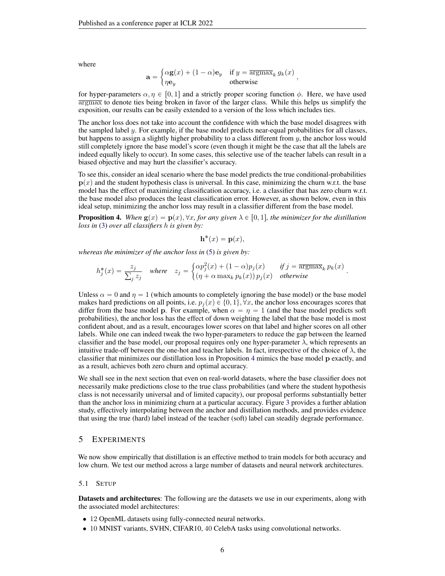where

$$
\mathbf{a} = \begin{cases} \alpha \mathbf{g}(x) + (1 - \alpha)\mathbf{e}_y & \text{if } y = \overline{\text{argmax}}_k g_k(x) \\ \eta \mathbf{e}_y & \text{otherwise} \end{cases}
$$

for hyper-parameters  $\alpha, \eta \in [0, 1]$  and a strictly proper scoring function  $\phi$ . Here, we have used  $\overline{\text{argmax}}$  to denote ties being broken in favor of the larger class. While this helps us simplify the exposition, our results can be easily extended to a version of the loss which includes ties.

The anchor loss does not take into account the confidence with which the base model disagrees with the sampled label  $y$ . For example, if the base model predicts near-equal probabilities for all classes, but happens to assign a slightly higher probability to a class different from  $y$ , the anchor loss would still completely ignore the base model's score (even though it might be the case that all the labels are indeed equally likely to occur). In some cases, this selective use of the teacher labels can result in a biased objective and may hurt the classifier's accuracy.

To see this, consider an ideal scenario where the base model predicts the true conditional-probabilities  $p(x)$  and the student hypothesis class is universal. In this case, minimizing the churn w.r.t. the base model has the effect of maximizing classification accuracy, i.e. a classifier that has zero churn w.r.t. the base model also produces the least classification error. However, as shown below, even in this ideal setup, minimizing the anchor loss may result in a classifier different from the base model.

<span id="page-5-0"></span>**Proposition 4.** When  $g(x) = p(x), \forall x,$  for any given  $\lambda \in [0, 1]$ , the minimizer for the distillation *loss in* [\(3\)](#page-3-2) *over all classifiers* h *is given by:*

$$
\mathbf{h}^*(x) = \mathbf{p}(x),
$$

*whereas the minimizer of the anchor loss in* [\(5\)](#page-4-0) *is given by:* "

$$
h_j^*(x) = \frac{z_j}{\sum_j z_j} \quad \text{where} \quad z_j = \begin{cases} \alpha p_j^2(x) + (1 - \alpha)p_j(x) & \text{if } j = \overline{\operatorname{argmax}}_k \ p_k(x) \\ \left(\eta + \alpha \max_k p_k(x)\right)p_j(x) & \text{otherwise} \end{cases}.
$$

Unless  $\alpha = 0$  and  $\eta = 1$  (which amounts to completely ignoring the base model) or the base model makes hard predictions on all points, i.e.  $p_i(x) \in \{0, 1\}$ ,  $\forall x$ , the anchor loss encourages scores that differ from the base model p. For example, when  $\alpha = \eta = 1$  (and the base model predicts soft probabilities), the anchor loss has the effect of down weighting the label that the base model is most confident about, and as a result, encourages lower scores on that label and higher scores on all other labels. While one can indeed tweak the two hyper-parameters to reduce the gap between the learned classifier and the base model, our proposal requires only one hyper-parameter  $\lambda$ , which represents an intuitive trade-off between the one-hot and teacher labels. In fact, irrespective of the choice of  $\lambda$ , the classifier that minimizes our distillation loss in Proposition [4](#page-5-0) mimics the base model p exactly, and as a result, achieves both zero churn and optimal accuracy.

We shall see in the next section that even on real-world datasets, where the base classifier does not necessarily make predictions close to the true class probabilities (and where the student hypothesis class is not necessarily universal and of limited capacity), our proposal performs substantially better than the anchor loss in minimizing churn at a particular accuracy. Figure [3](#page-7-0) provides a further ablation study, effectively interpolating between the anchor and distillation methods, and provides evidence that using the true (hard) label instead of the teacher (soft) label can steadily degrade performance.

# 5 EXPERIMENTS

We now show empirically that distillation is an effective method to train models for both accuracy and low churn. We test our method across a large number of datasets and neural network architectures.

#### 5.1 SETUP

Datasets and architectures: The following are the datasets we use in our experiments, along with the associated model architectures:

- 12 OpenML datasets using fully-connected neural networks.
- 10 MNIST variants, SVHN, CIFAR10, 40 CelebA tasks using convolutional networks.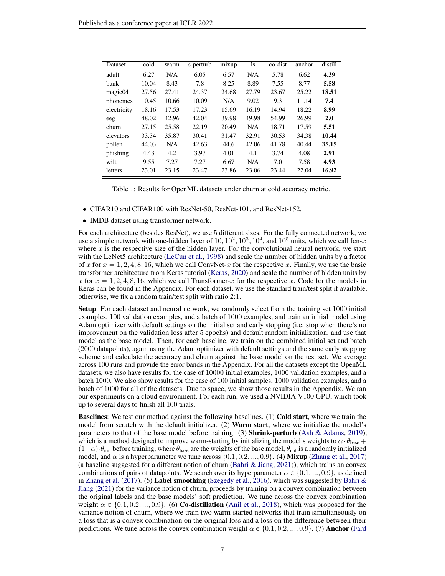| Dataset             | cold  | warm  | s-perturb | mixup | <sup>1</sup> s | co-dist | anchor | distill |
|---------------------|-------|-------|-----------|-------|----------------|---------|--------|---------|
| adult               | 6.27  | N/A   | 6.05      | 6.57  | N/A            | 5.78    | 6.62   | 4.39    |
| bank                | 10.04 | 8.43  | 7.8       | 8.25  | 8.89           | 7.55    | 8.77   | 5.58    |
| magic <sub>04</sub> | 27.56 | 27.41 | 24.37     | 24.68 | 27.79          | 23.67   | 25.22  | 18.51   |
| phonemes            | 10.45 | 10.66 | 10.09     | N/A   | 9.02           | 9.3     | 11.14  | 7.4     |
| electricity         | 18.16 | 17.53 | 17.23     | 15.69 | 16.19          | 14.94   | 18.22  | 8.99    |
| eeg                 | 48.02 | 42.96 | 42.04     | 39.98 | 49.98          | 54.99   | 26.99  | 2.0     |
| churn               | 27.15 | 25.58 | 22.19     | 20.49 | N/A            | 18.71   | 17.59  | 5.51    |
| elevators           | 33.34 | 35.87 | 30.41     | 31.47 | 32.91          | 30.53   | 34.38  | 10.44   |
| pollen              | 44.03 | N/A   | 42.63     | 44.6  | 42.06          | 41.78   | 40.44  | 35.15   |
| phishing            | 4.43  | 4.2   | 3.97      | 4.01  | 4.1            | 3.74    | 4.08   | 2.91    |
| wilt                | 9.55  | 7.27  | 7.27      | 6.67  | N/A            | 7.0     | 7.58   | 4.93    |
| letters             | 23.01 | 23.15 | 23.47     | 23.86 | 23.06          | 23.44   | 22.04  | 16.92   |

<span id="page-6-0"></span>

| Table 1: Results for OpenML datasets under churn at cold accuracy metric. |  |  |  |  |  |
|---------------------------------------------------------------------------|--|--|--|--|--|
|---------------------------------------------------------------------------|--|--|--|--|--|

- CIFAR10 and CIFAR100 with ResNet-50, ResNet-101, and ResNet-152.
- IMDB dataset using transformer network.

For each architecture (besides ResNet), we use 5 different sizes. For the fully connected network, we use a simple network with one-hidden layer of  $10, 10^2, 10^3, 10^4$ , and  $10^5$  units, which we call fcn-x where  $x$  is the respective size of the hidden layer. For the convolutional neural network, we start with the LeNet5 architecture [\(LeCun et al.,](#page-10-17) [1998\)](#page-10-17) and scale the number of hidden units by a factor of x for  $x = 1, 2, 4, 8, 16$ , which we call ConvNet-x for the respective x. Finally, we use the basic transformer architecture from Keras tutorial [\(Keras,](#page-10-18) [2020\)](#page-10-18) and scale the number of hidden units by x for  $x = 1, 2, 4, 8, 16$ , which we call Transformer-x for the respective x. Code for the models in Keras can be found in the Appendix. For each dataset, we use the standard train/test split if available, otherwise, we fix a random train/test split with ratio 2:1.

Setup: For each dataset and neural network, we randomly select from the training set 1000 initial examples, 100 validation examples, and a batch of 1000 examples, and train an initial model using Adam optimizer with default settings on the initial set and early stopping (i.e. stop when there's no improvement on the validation loss after 5 epochs) and default random initialization, and use that model as the base model. Then, for each baseline, we train on the combined initial set and batch (2000 datapoints), again using the Adam optimizer with default settings and the same early stopping scheme and calculate the accuracy and churn against the base model on the test set. We average across 100 runs and provide the error bands in the Appendix. For all the datasets except the OpenML datasets, we also have results for the case of 10000 initial examples, 1000 validation examples, and a batch 1000. We also show results for the case of 100 initial samples, 1000 validation examples, and a batch of 1000 for all of the datasets. Due to space, we show those results in the Appendix. We ran our experiments on a cloud environment. For each run, we used a NVIDIA V100 GPU, which took up to several days to finish all 100 trials.

Baselines: We test our method against the following baselines. (1) Cold start, where we train the model from scratch with the default initializer. (2) Warm start, where we initialize the model's parameters to that of the base model before training. (3) **Shrink-perturb** [\(Ash & Adams,](#page-9-14) [2019\)](#page-9-14), which is a method designed to improve warm-starting by initializing the model's weights to  $\alpha \cdot \theta_{\text{base}}$  +  $(1-\alpha) \cdot \theta_{\text{init}}$  before training, where  $\theta_{\text{base}}$  are the weights of the base model,  $\theta_{\text{init}}$  is a randomly initialized model, and  $\alpha$  is a hyperparameter we tune across  $\{0.1, 0.2, ..., 0.9\}$ . (4) Mixup [\(Zhang et al.,](#page-11-3) [2017\)](#page-11-3) (a baseline suggested for a different notion of churn (Bahri  $\&$  Jiang, [2021\)](#page-9-5)), which trains an convex combinations of pairs of datapoints. We search over its hyperparameter  $\alpha \in \{0.1, ..., 0.9\}$ , as defined in [Zhang et al.](#page-11-3) [\(2017\)](#page-11-3). (5) Label smoothing [\(Szegedy et al.,](#page-10-19) [2016\)](#page-10-19), which was suggested by Bahri  $\&$ [Jiang](#page-9-5) [\(2021\)](#page-9-5) for the variance notion of churn, proceeds by training on a convex combination between the original labels and the base models' soft prediction. We tune across the convex combination weight  $\alpha \in \{0.1, 0.2, ..., 0.9\}$ . (6) Co-distillation [\(Anil et al.,](#page-9-9) [2018\)](#page-9-9), which was proposed for the variance notion of churn, where we train two warm-started networks that train simultaneously on a loss that is a convex combination on the original loss and a loss on the difference between their predictions. We tune across the convex combination weight  $\alpha \in \{0.1, 0.2, ..., 0.9\}$ . (7) Anchor [\(Fard](#page-9-6)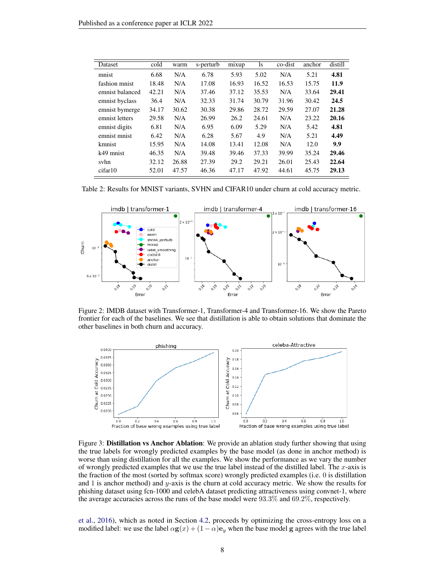<span id="page-7-1"></span>

| Dataset         | cold  | warm  | s-perturb | mixup | <sup>1</sup> s | co-dist | anchor | distill |
|-----------------|-------|-------|-----------|-------|----------------|---------|--------|---------|
| mnist           | 6.68  | N/A   | 6.78      | 5.93  | 5.02           | N/A     | 5.21   | 4.81    |
| fashion mnist   | 18.48 | N/A   | 17.08     | 16.93 | 16.52          | 16.53   | 15.75  | 11.9    |
| emnist balanced | 42.21 | N/A   | 37.46     | 37.12 | 35.53          | N/A     | 33.64  | 29.41   |
| emnist byclass  | 36.4  | N/A   | 32.33     | 31.74 | 30.79          | 31.96   | 30.42  | 24.5    |
| emnist bymerge  | 34.17 | 30.62 | 30.38     | 29.86 | 28.72          | 29.59   | 27.07  | 21.28   |
| emnist letters  | 29.58 | N/A   | 26.99     | 26.2  | 24.61          | N/A     | 23.22  | 20.16   |
| emnist digits   | 6.81  | N/A   | 6.95      | 6.09  | 5.29           | N/A     | 5.42   | 4.81    |
| emnist mnist    | 6.42  | N/A   | 6.28      | 5.67  | 4.9            | N/A     | 5.21   | 4.49    |
| kmnist          | 15.95 | N/A   | 14.08     | 13.41 | 12.08          | N/A     | 12.0   | 9.9     |
| k49 mnist       | 46.35 | N/A   | 39.48     | 39.46 | 37.33          | 39.99   | 35.24  | 29.46   |
| svhn            | 32.12 | 26.88 | 27.39     | 29.2  | 29.21          | 26.01   | 25.43  | 22.64   |
| cifar10         | 52.01 | 47.57 | 46.36     | 47.17 | 47.92          | 44.61   | 45.75  | 29.13   |

Table 2: Results for MNIST variants, SVHN and CIFAR10 under churn at cold accuracy metric.



<span id="page-7-2"></span>Figure 2: IMDB dataset with Transformer-1, Transformer-4 and Transformer-16. We show the Pareto frontier for each of the baselines. We see that distillation is able to obtain solutions that dominate the other baselines in both churn and accuracy.



<span id="page-7-0"></span>Figure 3: Distillation vs Anchor Ablation: We provide an ablation study further showing that using the true labels for wrongly predicted examples by the base model (as done in anchor method) is worse than using distillation for all the examples. We show the performance as we vary the number of wrongly predicted examples that we use the true label instead of the distilled label. The x-axis is the fraction of the most (sorted by softmax score) wrongly predicted examples (i.e. 0 is distillation and 1 is anchor method) and  $y$ -axis is the churn at cold accuracy metric. We show the results for phishing dataset using fcn-1000 and celebA dataset predicting attractiveness using convnet-1, where the average accuracies across the runs of the base model were 93.3% and 69.2%, respectively.

[et al.,](#page-9-6) [2016\)](#page-9-6), which as noted in Section [4.2,](#page-4-1) proceeds by optimizing the cross-entropy loss on a modified label: we use the label  $\alpha$ **g** $(x) + (1 - \alpha)e_y$  when the base model **g** agrees with the true label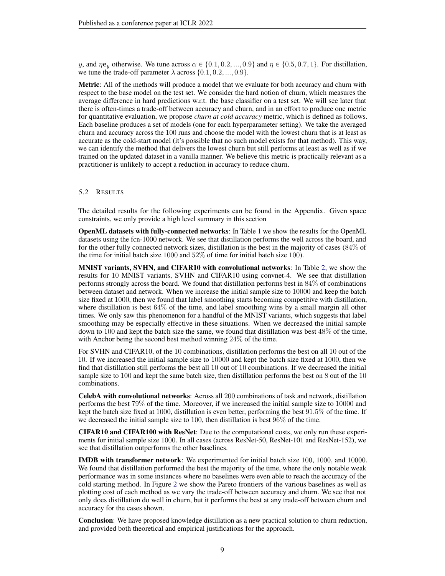y, and  $\eta \mathbf{e}_{\eta}$  otherwise. We tune across  $\alpha \in \{0.1, 0.2, ..., 0.9\}$  and  $\eta \in \{0.5, 0.7, 1\}$ . For distillation, we tune the trade-off parameter  $\lambda$  across  $\{0.1, 0.2, ..., 0.9\}.$ 

Metric: All of the methods will produce a model that we evaluate for both accuracy and churn with respect to the base model on the test set. We consider the hard notion of churn, which measures the average difference in hard predictions w.r.t. the base classifier on a test set. We will see later that there is often-times a trade-off between accuracy and churn, and in an effort to produce one metric for quantitative evaluation, we propose *churn at cold accuracy* metric, which is defined as follows. Each baseline produces a set of models (one for each hyperparameter setting). We take the averaged churn and accuracy across the 100 runs and choose the model with the lowest churn that is at least as accurate as the cold-start model (it's possible that no such model exists for that method). This way, we can identify the method that delivers the lowest churn but still performs at least as well as if we trained on the updated dataset in a vanilla manner. We believe this metric is practically relevant as a practitioner is unlikely to accept a reduction in accuracy to reduce churn.

# 5.2 RESULTS

The detailed results for the following experiments can be found in the Appendix. Given space constraints, we only provide a high level summary in this section

OpenML datasets with fully-connected networks: In Table [1](#page-6-0) we show the results for the OpenML datasets using the fcn-1000 network. We see that distillation performs the well across the board, and for the other fully connected network sizes, distillation is the best in the majority of cases (84% of the time for initial batch size 1000 and  $52\%$  of time for initial batch size 100).

MNIST variants, SVHN, and CIFAR10 with convolutional networks: In Table [2,](#page-7-1) we show the results for 10 MNIST variants, SVHN and CIFAR10 using convnet-4. We see that distillation performs strongly across the board. We found that distillation performs best in 84% of combinations between dataset and network. When we increase the initial sample size to 10000 and keep the batch size fixed at 1000, then we found that label smoothing starts becoming competitive with distillation, where distillation is best 64% of the time, and label smoothing wins by a small margin all other times. We only saw this phenomenon for a handful of the MNIST variants, which suggests that label smoothing may be especially effective in these situations. When we decreased the initial sample down to 100 and kept the batch size the same, we found that distillation was best 48% of the time, with Anchor being the second best method winning 24% of the time.

For SVHN and CIFAR10, of the 10 combinations, distillation performs the best on all 10 out of the 10. If we increased the initial sample size to 10000 and kept the batch size fixed at 1000, then we find that distillation still performs the best all 10 out of 10 combinations. If we decreased the initial sample size to 100 and kept the same batch size, then distillation performs the best on 8 out of the 10 combinations.

CelebA with convolutional networks: Across all 200 combinations of task and network, distillation performs the best 79% of the time. Moreover, if we increased the initial sample size to 10000 and kept the batch size fixed at 1000, distillation is even better, performing the best 91.5% of the time. If we decreased the initial sample size to 100, then distillation is best 96% of the time.

CIFAR10 and CIFAR100 with ResNet: Due to the computational costs, we only run these experiments for initial sample size 1000. In all cases (across ResNet-50, ResNet-101 and ResNet-152), we see that distillation outperforms the other baselines.

IMDB with transformer network: We experimented for initial batch size 100, 1000, and 10000. We found that distillation performed the best the majority of the time, where the only notable weak performance was in some instances where no baselines were even able to reach the accuracy of the cold starting method. In Figure [2](#page-7-2) we show the Pareto frontiers of the various baselines as well as plotting cost of each method as we vary the trade-off between accuracy and churn. We see that not only does distillation do well in churn, but it performs the best at any trade-off between churn and accuracy for the cases shown.

Conclusion: We have proposed knowledge distillation as a new practical solution to churn reduction, and provided both theoretical and empirical justifications for the approach.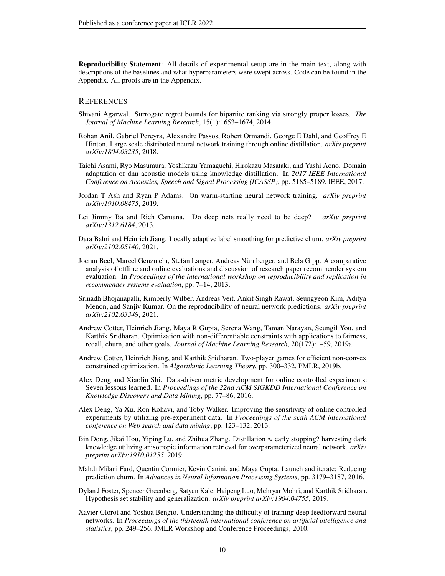Reproducibility Statement: All details of experimental setup are in the main text, along with descriptions of the baselines and what hyperparameters were swept across. Code can be found in the Appendix. All proofs are in the Appendix.

#### **REFERENCES**

- <span id="page-9-15"></span>Shivani Agarwal. Surrogate regret bounds for bipartite ranking via strongly proper losses. *The Journal of Machine Learning Research*, 15(1):1653–1674, 2014.
- <span id="page-9-9"></span>Rohan Anil, Gabriel Pereyra, Alexandre Passos, Robert Ormandi, George E Dahl, and Geoffrey E Hinton. Large scale distributed neural network training through online distillation. *arXiv preprint arXiv:1804.03235*, 2018.
- <span id="page-9-11"></span>Taichi Asami, Ryo Masumura, Yoshikazu Yamaguchi, Hirokazu Masataki, and Yushi Aono. Domain adaptation of dnn acoustic models using knowledge distillation. In *2017 IEEE International Conference on Acoustics, Speech and Signal Processing (ICASSP)*, pp. 5185–5189. IEEE, 2017.
- <span id="page-9-14"></span>Jordan T Ash and Ryan P Adams. On warm-starting neural network training. *arXiv preprint arXiv:1910.08475*, 2019.
- <span id="page-9-10"></span>Lei Jimmy Ba and Rich Caruana. Do deep nets really need to be deep? *arXiv preprint arXiv:1312.6184*, 2013.
- <span id="page-9-5"></span>Dara Bahri and Heinrich Jiang. Locally adaptive label smoothing for predictive churn. *arXiv preprint arXiv:2102.05140*, 2021.
- <span id="page-9-1"></span>Joeran Beel, Marcel Genzmehr, Stefan Langer, Andreas Nürnberger, and Bela Gipp. A comparative analysis of offline and online evaluations and discussion of research paper recommender system evaluation. In *Proceedings of the international workshop on reproducibility and replication in recommender systems evaluation*, pp. 7–14, 2013.
- <span id="page-9-4"></span>Srinadh Bhojanapalli, Kimberly Wilber, Andreas Veit, Ankit Singh Rawat, Seungyeon Kim, Aditya Menon, and Sanjiv Kumar. On the reproducibility of neural network predictions. *arXiv preprint arXiv:2102.03349*, 2021.
- <span id="page-9-7"></span>Andrew Cotter, Heinrich Jiang, Maya R Gupta, Serena Wang, Taman Narayan, Seungil You, and Karthik Sridharan. Optimization with non-differentiable constraints with applications to fairness, recall, churn, and other goals. *Journal of Machine Learning Research*, 20(172):1–59, 2019a.
- <span id="page-9-8"></span>Andrew Cotter, Heinrich Jiang, and Karthik Sridharan. Two-player games for efficient non-convex constrained optimization. In *Algorithmic Learning Theory*, pp. 300–332. PMLR, 2019b.
- <span id="page-9-2"></span>Alex Deng and Xiaolin Shi. Data-driven metric development for online controlled experiments: Seven lessons learned. In *Proceedings of the 22nd ACM SIGKDD International Conference on Knowledge Discovery and Data Mining*, pp. 77–86, 2016.
- <span id="page-9-0"></span>Alex Deng, Ya Xu, Ron Kohavi, and Toby Walker. Improving the sensitivity of online controlled experiments by utilizing pre-experiment data. In *Proceedings of the sixth ACM international conference on Web search and data mining*, pp. 123–132, 2013.
- <span id="page-9-13"></span>Bin Dong, Jikai Hou, Yiping Lu, and Zhihua Zhang. Distillation  $\approx$  early stopping? harvesting dark knowledge utilizing anisotropic information retrieval for overparameterized neural network. *arXiv preprint arXiv:1910.01255*, 2019.
- <span id="page-9-6"></span>Mahdi Milani Fard, Quentin Cormier, Kevin Canini, and Maya Gupta. Launch and iterate: Reducing prediction churn. In *Advances in Neural Information Processing Systems*, pp. 3179–3187, 2016.
- <span id="page-9-12"></span>Dylan J Foster, Spencer Greenberg, Satyen Kale, Haipeng Luo, Mehryar Mohri, and Karthik Sridharan. Hypothesis set stability and generalization. *arXiv preprint arXiv:1904.04755*, 2019.
- <span id="page-9-3"></span>Xavier Glorot and Yoshua Bengio. Understanding the difficulty of training deep feedforward neural networks. In *Proceedings of the thirteenth international conference on artificial intelligence and statistics*, pp. 249–256. JMLR Workshop and Conference Proceedings, 2010.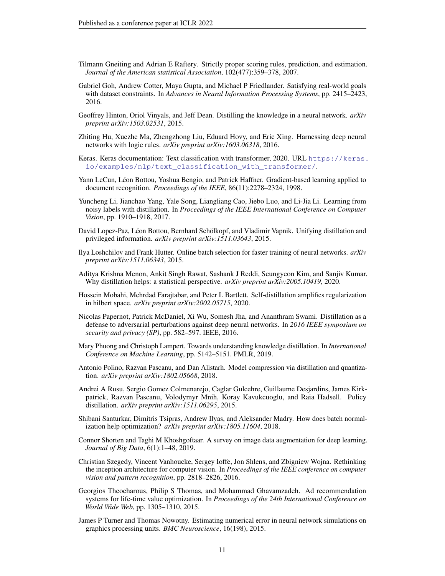- <span id="page-10-16"></span>Tilmann Gneiting and Adrian E Raftery. Strictly proper scoring rules, prediction, and estimation. *Journal of the American statistical Association*, 102(477):359–378, 2007.
- <span id="page-10-6"></span>Gabriel Goh, Andrew Cotter, Maya Gupta, and Michael P Friedlander. Satisfying real-world goals with dataset constraints. In *Advances in Neural Information Processing Systems*, pp. 2415–2423, 2016.
- <span id="page-10-5"></span>Geoffrey Hinton, Oriol Vinyals, and Jeff Dean. Distilling the knowledge in a neural network. *arXiv preprint arXiv:1503.02531*, 2015.
- <span id="page-10-10"></span>Zhiting Hu, Xuezhe Ma, Zhengzhong Liu, Eduard Hovy, and Eric Xing. Harnessing deep neural networks with logic rules. *arXiv preprint arXiv:1603.06318*, 2016.
- <span id="page-10-18"></span>Keras. Keras documentation: Text classification with transformer, 2020. URL [https://keras.](https://keras.io/examples/nlp/text_classification_with_transformer/) [io/examples/nlp/text\\_classification\\_with\\_transformer/](https://keras.io/examples/nlp/text_classification_with_transformer/).
- <span id="page-10-17"></span>Yann LeCun, Léon Bottou, Yoshua Bengio, and Patrick Haffner. Gradient-based learning applied to document recognition. *Proceedings of the IEEE*, 86(11):2278–2324, 1998.
- <span id="page-10-7"></span>Yuncheng Li, Jianchao Yang, Yale Song, Liangliang Cao, Jiebo Luo, and Li-Jia Li. Learning from noisy labels with distillation. In *Proceedings of the IEEE International Conference on Computer Vision*, pp. 1910–1918, 2017.
- <span id="page-10-12"></span>David Lopez-Paz, Léon Bottou, Bernhard Schölkopf, and Vladimir Vapnik. Unifying distillation and privileged information. *arXiv preprint arXiv:1511.03643*, 2015.
- <span id="page-10-1"></span>Ilya Loshchilov and Frank Hutter. Online batch selection for faster training of neural networks. *arXiv preprint arXiv:1511.06343*, 2015.
- <span id="page-10-15"></span>Aditya Krishna Menon, Ankit Singh Rawat, Sashank J Reddi, Seungyeon Kim, and Sanjiv Kumar. Why distillation helps: a statistical perspective. *arXiv preprint arXiv:2005.10419*, 2020.
- <span id="page-10-14"></span>Hossein Mobahi, Mehrdad Farajtabar, and Peter L Bartlett. Self-distillation amplifies regularization in hilbert space. *arXiv preprint arXiv:2002.05715*, 2020.
- <span id="page-10-9"></span>Nicolas Papernot, Patrick McDaniel, Xi Wu, Somesh Jha, and Ananthram Swami. Distillation as a defense to adversarial perturbations against deep neural networks. In *2016 IEEE symposium on security and privacy (SP)*, pp. 582–597. IEEE, 2016.
- <span id="page-10-13"></span>Mary Phuong and Christoph Lampert. Towards understanding knowledge distillation. In *International Conference on Machine Learning*, pp. 5142–5151. PMLR, 2019.
- <span id="page-10-8"></span>Antonio Polino, Razvan Pascanu, and Dan Alistarh. Model compression via distillation and quantization. *arXiv preprint arXiv:1802.05668*, 2018.
- <span id="page-10-11"></span>Andrei A Rusu, Sergio Gomez Colmenarejo, Caglar Gulcehre, Guillaume Desjardins, James Kirkpatrick, Razvan Pascanu, Volodymyr Mnih, Koray Kavukcuoglu, and Raia Hadsell. Policy distillation. *arXiv preprint arXiv:1511.06295*, 2015.
- <span id="page-10-2"></span>Shibani Santurkar, Dimitris Tsipras, Andrew Ilyas, and Aleksander Madry. How does batch normalization help optimization? *arXiv preprint arXiv:1805.11604*, 2018.
- <span id="page-10-3"></span>Connor Shorten and Taghi M Khoshgoftaar. A survey on image data augmentation for deep learning. *Journal of Big Data*, 6(1):1–48, 2019.
- <span id="page-10-19"></span>Christian Szegedy, Vincent Vanhoucke, Sergey Ioffe, Jon Shlens, and Zbigniew Wojna. Rethinking the inception architecture for computer vision. In *Proceedings of the IEEE conference on computer vision and pattern recognition*, pp. 2818–2826, 2016.
- <span id="page-10-0"></span>Georgios Theocharous, Philip S Thomas, and Mohammad Ghavamzadeh. Ad recommendation systems for life-time value optimization. In *Proceedings of the 24th International Conference on World Wide Web*, pp. 1305–1310, 2015.
- <span id="page-10-4"></span>James P Turner and Thomas Nowotny. Estimating numerical error in neural network simulations on graphics processing units. *BMC Neuroscience*, 16(198), 2015.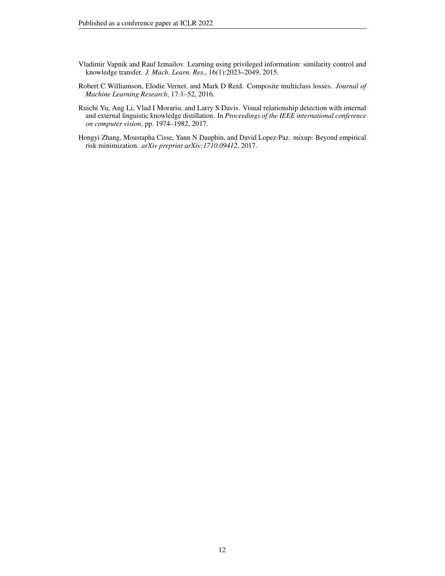- <span id="page-11-1"></span>Vladimir Vapnik and Rauf Izmailov. Learning using privileged information: similarity control and knowledge transfer. *J. Mach. Learn. Res.*, 16(1):2023–2049, 2015.
- <span id="page-11-2"></span>Robert C Williamson, Elodie Vernet, and Mark D Reid. Composite multiclass losses. *Journal of Machine Learning Research*, 17:1–52, 2016.
- <span id="page-11-0"></span>Ruichi Yu, Ang Li, Vlad I Morariu, and Larry S Davis. Visual relationship detection with internal and external linguistic knowledge distillation. In *Proceedings of the IEEE international conference on computer vision*, pp. 1974–1982, 2017.
- <span id="page-11-3"></span>Hongyi Zhang, Moustapha Cisse, Yann N Dauphin, and David Lopez-Paz. mixup: Beyond empirical risk minimization. *arXiv preprint arXiv:1710.09412*, 2017.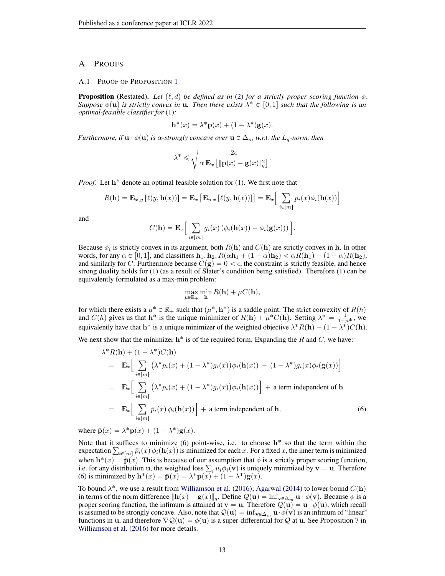# A PROOFS

#### A.1 PROOF OF PROPOSITION [1](#page-2-2)

**Proposition** (Restated). Let  $(\ell, d)$  be defined as in [\(2\)](#page-2-0) for a strictly proper scoring function  $\phi$ . *Suppose*  $\phi(\mathbf{u})$  *is strictly convex in* **u**. Then there exists  $\lambda^* \in [0,1]$  *such that the following is an optimal-feasible classifier for* [\(1\)](#page-2-1)*:*

$$
\mathbf{h}^*(x) = \lambda^* \mathbf{p}(x) + (1 - \lambda^*) \mathbf{g}(x).
$$

*Furthermore, if*  $\mathbf{u} \cdot \phi(\mathbf{u})$  *is*  $\alpha$ -strongly concave over  $\mathbf{u} \in \Delta_m$  *w.r.t. the*  $L_q$ -norm, then

$$
\lambda^* \leqslant \sqrt{\frac{2\epsilon}{\alpha \mathbf{E}_x \left[ \|\mathbf{p}(x) - \mathbf{g}(x)\|_q^2 \right]}}.
$$

Proof. Let h<sup>\*</sup> denote an optimal feasible solution for [\(1\)](#page-2-1). We first note that

$$
R(\mathbf{h}) = \mathbf{E}_{x,y} \left[ \ell(y, \mathbf{h}(x)) \right] = \mathbf{E}_x \left[ \mathbf{E}_{y|x} \left[ \ell(y, \mathbf{h}(x)) \right] \right] = \mathbf{E}_x \left[ \sum_{i \in [m]} p_i(x) \phi_i(\mathbf{h}(x)) \right]
$$

and

$$
C(\mathbf{h}) = \mathbf{E}_{x} \left[ \sum_{i \in [m]} g_i(x) \left( \phi_i(\mathbf{h}(x)) - \phi_i(\mathbf{g}(x)) \right) \right].
$$

Because  $\phi_i$  is strictly convex in its argument, both  $R(\bf{h})$  and  $C(\bf{h})$  are strictly convex in  $\bf{h}$ . In other words, for any  $\alpha \in [0, 1]$ , and classifiers  $\mathbf{h}_1, \mathbf{h}_2, R(\alpha \mathbf{h}_1 + (1 - \alpha)\mathbf{h}_2) < \alpha R(\mathbf{h}_1) + (1 - \alpha)R(\mathbf{h}_2)$ , and similarly for C. Furthermore because  $C(g) = 0 < \epsilon$ , the constraint is strictly feasible, and hence strong duality holds for [\(1\)](#page-2-1) (as a result of Slater's condition being satisfied). Therefore [\(1\)](#page-2-1) can be equivalently formulated as a max-min problem:

$$
\max_{\mu \in \mathbb{R}_+} \min_{\mathbf{h}} R(\mathbf{h}) + \mu C(\mathbf{h}),
$$

for which there exists a  $\mu^* \in \mathbb{R}_+$  such that  $(\mu^*, \mathbf{h}^*)$  is a saddle point. The strict convexity of  $R(h)$ and  $C(h)$  gives us that  $h^*$  is the unique minimizer of  $R(h) + \mu^* C(h)$ . Setting  $\lambda^* = \frac{1}{1+\mu^*}$ , we equivalently have that  $\mathbf{h}^*$  is a unique minimizer of the weighted objective  $\lambda^* R(\mathbf{h}) + (1 - \lambda^*) C(\mathbf{h})$ .

We next show that the minimizer  $h^*$  is of the required form. Expanding the R and C, we have:

<span id="page-12-0"></span>
$$
\lambda^* R(\mathbf{h}) + (1 - \lambda^*) C(\mathbf{h})
$$
  
\n
$$
= \mathbf{E}_x \Big[ \sum_{i \in [m]} (\lambda^* p_i(x) + (1 - \lambda^*) g_i(x)) \phi_i(\mathbf{h}(x)) - (1 - \lambda^*) g_i(x) \phi_i(\mathbf{g}(x)) \Big]
$$
  
\n
$$
= \mathbf{E}_x \Big[ \sum_{i \in [m]} (\lambda^* p_i(x) + (1 - \lambda^*) g_i(x)) \phi_i(\mathbf{h}(x)) \Big] + \text{ a term independent of } \mathbf{h}
$$
  
\n
$$
= \mathbf{E}_x \Big[ \sum_{i \in [m]} \bar{p}_i(x) \phi_i(\mathbf{h}(x)) \Big] + \text{ a term independent of } \mathbf{h}, \tag{6}
$$

where  $\bar{\mathbf{p}}(x) = \lambda^* \mathbf{p}(x) + (1 - \lambda^*) \mathbf{g}(x)$ .

Note that it suffices to minimize  $(6)$  point-wise, i.e. to choose  $h^*$  so that the term within the Note that it suffices to minimize (6) point-wise, i.e. to choose  $\mathbf{h}^*$  so that the term within the expectation  $\sum_{i \in [m]} \bar{p}_i(x) \phi_i(\mathbf{h}(x))$  is minimized for each x. For a fixed x, the inner term is minimized when  $\mathbf{h}^*(x) = \bar{\mathbf{p}}(x)$ . This is because of our assumption that  $\phi$  is a strictly proper scoring function, when  $\mathbf{h}^*(x) = \bar{\mathbf{p}}(x)$ . This is because of our assumption that  $\phi$  is a strictly proper scoring function, i.e. for any distribution **u**, the weighted loss  $\sum_i u_i \phi_i(\mathbf{v})$  is uniquely minimized by **v** = **u**. There [\(6\)](#page-12-0) is minimized by  $\mathbf{h}^*(x) = \bar{\mathbf{p}}(x) = \lambda^* \mathbf{p}(\overline{x)} + (1 - \lambda^*) \mathbf{g}(x)$ .

To bound  $\lambda^*$ , we use a result from [Williamson et al.](#page-11-2) [\(2016\)](#page-11-2); [Agarwal](#page-9-15) [\(2014\)](#page-9-15) to lower bound  $C({\bf h})$ in terms of the norm difference  $||\mathbf{h}(x) - \mathbf{g}(x)||_q$ . Define  $Q(\mathbf{u}) = \inf_{\mathbf{v} \in \Delta_m} \mathbf{u} \cdot \phi(\mathbf{v})$ . Because  $\phi$  is a proper scoring function, the infimum is attained at  $\mathbf{v} = \mathbf{u}$ . Therefore  $\mathcal{Q}(\mathbf{u}) = \mathbf{u} \cdot \phi(\mathbf{u})$ , which recall is assumed to be strongly concave. Also, note that  $\mathcal{Q}(\mathbf{u}) = \inf_{\mathbf{v} \in \Delta_m} \mathbf{u} \cdot \phi(\mathbf{v})$  is an infimum of "linear" functions in u, and therefore  $\nabla Q(\mathbf{u}) = \phi(\mathbf{u})$  is a super-differential for Q at u. See Proposition 7 in [Williamson et al.](#page-11-2) [\(2016\)](#page-11-2) for more details.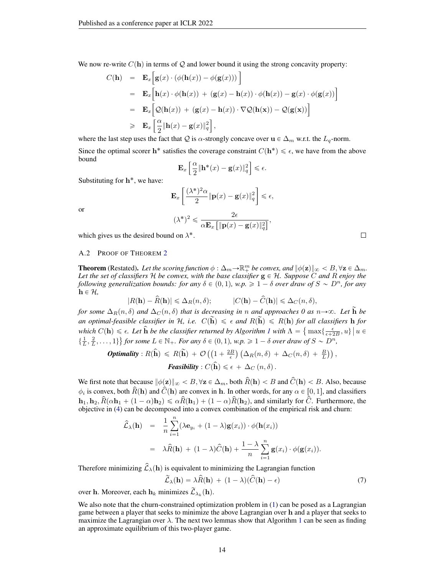We now re-write 
$$
C(\mathbf{h})
$$
 in terms of Q and lower bound it using the strong concavity property:  
\n
$$
C(\mathbf{h}) = \mathbf{E}_x \Big[ \mathbf{g}(x) \cdot (\phi(\mathbf{h}(x)) - \phi(\mathbf{g}(x))) \Big]
$$
\n
$$
= \mathbf{E}_x \Big[ \mathbf{h}(x) \cdot \phi(\mathbf{h}(x)) + (\mathbf{g}(x) - \mathbf{h}(x)) \cdot \phi(\mathbf{h}(x)) - \mathbf{g}(x) \cdot \phi(\mathbf{g}(x)) \Big]
$$
\n
$$
= \mathbf{E}_x \Big[ Q(\mathbf{h}(x)) + (\mathbf{g}(x) - \mathbf{h}(x)) \cdot \nabla Q(\mathbf{h}(x)) - Q(\mathbf{g}(x)) \Big]
$$
\n
$$
\geq \mathbf{E}_x \Big[ \frac{\alpha}{2} \|\mathbf{h}(x) - \mathbf{g}(x)\|_q^2 \Big],
$$

where the last step uses the fact that Q is  $\alpha$ -strongly concave over  $\mathbf{u} \in \Delta_m$  w.r.t. the  $L_q$ -norm.

Since the optimal scorer h<sup>\*</sup> satisfies the coverage constraint  $C(h^*) \leq \epsilon$ , we have from the above bound  $\lceil \alpha \rceil$ ı

$$
\mathbf{E}_x \left[ \frac{\alpha}{2} \|\mathbf{h}^*(x) - \mathbf{g}(x)\|_q^2 \right] \leqslant \epsilon.
$$

Substituting for  $h^*$ , we have:

or

$$
\mathbf{E}_{x}\left[\frac{(\lambda^{*})^{2}\alpha}{2}\|\mathbf{p}(x)-\mathbf{g}(x)\|_{q}^{2}\right] \leq \epsilon,
$$
  

$$
(\lambda^{*})^{2} \leq \frac{2\epsilon}{\alpha \mathbf{E}_{x}\left[\|\mathbf{p}(x)-\mathbf{g}(x)\|_{q}^{2}\right]},
$$

which gives us the desired bound on  $\lambda^*$ .

 $\Box$ 

#### A.2 PROOF OF THEOREM [2](#page-4-2)

**Theorem** (Restated). Let the scoring function  $\phi : \Delta_m \to \mathbb{R}^m_+$  be convex, and  $\|\phi(\mathbf{z})\|_{\infty} < B, \forall \mathbf{z} \in \Delta_m$ . *Let the set of classifiers*  $H$  *be convex, with the base classifier*  $g \in H$ *. Suppose*  $C$  *and*  $R$  *enjoy the following generalization bounds: for any*  $\delta \in (0, 1)$ *, w.p.*  $\geq 1 - \delta$  *over draw of*  $S \sim D^n$ *, for any*  $h \in \mathcal{H}$ ,

$$
|R(\mathbf{h}) - \widehat{R}(\mathbf{h})| \leq \Delta_R(n, \delta); \qquad |C(\mathbf{h}) - \widehat{C}(\mathbf{h})| \leq \Delta_C(n, \delta),
$$

*for some*  $\Delta_R(n, \delta)$  *and*  $\Delta_C(n, \delta)$  *that is decreasing in* n *and approaches* 0 as  $n \rightarrow \infty$ . Let **h** *be* an optimal-feasible classifier in H, i.e.  $C(\tilde{h}) \leq \epsilon$  and  $R(\tilde{h}) \leq R(h)$  for all classifiers h for  $which C(\mathbf{h}) \leq \epsilon$ . Let  $\hat{\mathbf{h}}$  be the classifier returned by Algorithm *[1](#page-3-1)* with  $\Lambda = \{ \max\{\frac{\epsilon}{\epsilon+2B}, u\} \mid u \in \mathbb{R} \}$  $\{\frac{1}{L}, \frac{2}{L}, \ldots, 1\}$  for some  $L \in \mathbb{N}_+$ . For any  $\delta \in (0, 1)$ , w.p.  $\geq 1 - \delta$  over draw of  $S \sim D^n$ ,

**Optimality**: 
$$
R(\hat{\mathbf{h}}) \le R(\tilde{\mathbf{h}}) + \mathcal{O}((1 + \frac{2B}{\epsilon}) (\Delta_R(n, \delta) + \Delta_C(n, \delta) + \frac{B}{L}))
$$
,  
**Feasibility**:  $C(\hat{\mathbf{h}}) \le \epsilon + \Delta_C(n, \delta)$ .

We first note that because  $\|\phi(\mathbf{z})\|_{\infty} < B$ ,  $\forall \mathbf{z} \in \Delta_m$ , both  $\widehat{R}(\mathbf{h}) < B$  and  $\widehat{C}(\mathbf{h}) < B$ . Also, because  $\phi_i$  is convex, both  $\hat{R}(\bf{h})$  and  $\hat{C}(\bf{h})$  are convex in  $\bf{h}$ . In other words, for any  $\alpha \in [0, 1]$ , and classifiers  $\mathbf{h}_1, \mathbf{h}_2, \hat{R}(\alpha \mathbf{h}_1 + (1 - \alpha)\mathbf{h}_2) \leq \alpha \hat{R}(\mathbf{h}_1) + (1 - \alpha)\hat{R}(\mathbf{h}_2)$ , and similarly for  $\hat{C}$ . Furthermore, the objective in [\(4\)](#page-3-0) can be decomposed into a convex combination of the empirical risk and churn:

$$
\hat{\mathcal{L}}_{\lambda}(\mathbf{h}) = \frac{1}{n} \sum_{i=1}^{n} (\lambda \mathbf{e}_{y_i} + (1 - \lambda) \mathbf{g}(x_i)) \cdot \phi(\mathbf{h}(x_i))
$$

$$
= \lambda \hat{R}(\mathbf{h}) + (1 - \lambda) \hat{C}(\mathbf{h}) + \frac{1 - \lambda}{n} \sum_{i=1}^{n} \mathbf{g}(x_i) \cdot \phi(\mathbf{g}(x_i)).
$$

Therefore minimizing  $\hat{\mathcal{L}}_{\lambda}(\mathbf{h})$  is equivalent to minimizing the Lagrangian function

$$
\widetilde{\mathcal{L}}_{\lambda}(\mathbf{h}) = \lambda \widehat{R}(\mathbf{h}) + (1 - \lambda)(\widehat{C}(\mathbf{h}) - \epsilon)
$$
\n(7)

over h. Moreover, each  $\mathbf{h}_k$  minimizes  $\widetilde{\mathcal{L}}_{\lambda_k}(\mathbf{h})$ .

We also note that the churn-constrained optimization problem in [\(1\)](#page-2-1) can be posed as a Lagrangian game between a player that seeks to minimize the above Lagrangian over h and a player that seeks to maximize the Lagrangian over  $\lambda$ . The next two lemmas show that Algorithm [1](#page-3-1) can be seen as finding an approximate equilibrium of this two-player game.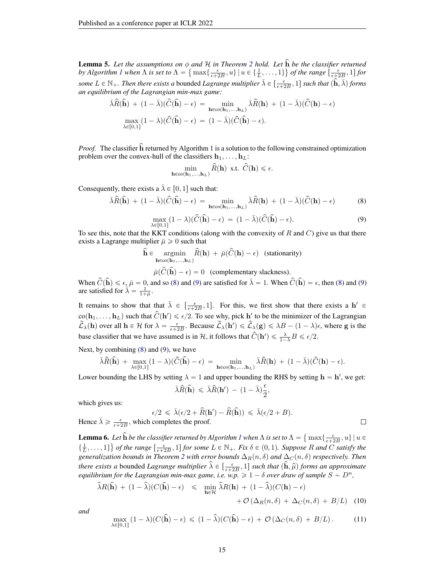<span id="page-14-2"></span>**Lemma 5.** Let the assumptions on  $\phi$  and  $\mathcal H$  in Theorem [2](#page-4-2) hold. Let  $\hat{\mathbf h}$  be the classifier returned by Algorithm [1](#page-3-1) when  $\Lambda$  is set to  $\Lambda = \left\{ \max \left\{ \frac{\epsilon}{\epsilon + 2B}, u \right\} \mid u \in \left\{ \frac{1}{L}, \ldots, 1 \right\} \right\}$  of the range  $\left[ \frac{\epsilon}{\epsilon + 2B}, 1 \right]$  for some  $L \in \mathbb{N}_+$ . Then there exists a bounded *Lagrange multiplier*  $\bar{\lambda} \in \left[\frac{\epsilon}{\epsilon+2B}, 1\right]$  such that  $(\hat{\mathbf{h}}, \bar{\lambda})$  forms *an equilibrium of the Lagrangian min-max game:*

$$
\bar{\lambda}\hat{R}(\hat{\mathbf{h}}) + (1 - \bar{\lambda})(\hat{C}(\hat{\mathbf{h}}) - \epsilon) = \min_{\mathbf{h} \in \text{co}(\mathbf{h}_1, ..., \mathbf{h}_L)} \bar{\lambda}\hat{R}(\mathbf{h}) + (1 - \bar{\lambda})(\hat{C}(\mathbf{h}) - \epsilon)
$$
  

$$
\max_{\lambda \in [0,1]} (1 - \lambda)(\hat{C}(\hat{\mathbf{h}}) - \epsilon) = (1 - \bar{\lambda})(\hat{C}(\hat{\mathbf{h}}) - \epsilon).
$$

*Proof.* The classifier  $\hat{h}$  returned by Algorithm [1](#page-3-1) is a solution to the following constrained optimization problem over the convex-hull of the classifiers  $h_1, \ldots, h_L$ :

<span id="page-14-0"></span>
$$
\min_{\mathbf{h}\in \text{co}(\mathbf{h}_1,\ldots,\mathbf{h}_L)} \widehat{R}(\mathbf{h}) \ \text{ s.t. } \widehat{C}(\mathbf{h}) \leqslant \epsilon.
$$

<span id="page-14-1"></span>Consequently, there exists a  $\bar{\lambda} \in [0, 1]$  such that:

$$
\bar{\lambda}\hat{R}(\hat{\mathbf{h}}) + (1 - \bar{\lambda})(\hat{C}(\hat{\mathbf{h}}) - \epsilon) = \min_{\mathbf{h} \in \text{co}(\mathbf{h}_1, ..., \mathbf{h}_L)} \bar{\lambda}\hat{R}(\mathbf{h}) + (1 - \bar{\lambda})(\hat{C}(\mathbf{h}) - \epsilon)
$$
(8)

$$
\max_{\lambda \in [0,1]} (1 - \lambda)(\widehat{C}(\widehat{\mathbf{h}}) - \epsilon) = (1 - \bar{\lambda})(\widehat{C}(\widehat{\mathbf{h}}) - \epsilon). \tag{9}
$$

To see this, note that the KKT conditions (along with the convexity of R and C) give us that there exists a Lagrange multiplier  $\bar{\mu} \geq 0$  such that

$$
\hat{\mathbf{h}} \in \underset{\mathbf{h} \in \text{co}(\mathbf{h}_1, \dots, \mathbf{h}_L)}{\operatorname{argmin}} \hat{R}(\mathbf{h}) + \bar{\mu}(\hat{C}(\mathbf{h}) - \epsilon) \quad \text{(stationarity)}
$$
\n
$$
\bar{\mu}(\hat{C}(\hat{\mathbf{h}}) - \epsilon) = 0 \quad \text{(complementary slackness)}.
$$

When  $\hat{C}(\hat{\mathbf{h}}) \leq \epsilon_{\hat{\mathbf{h}}} \bar{\mu} = 0$ , and so [\(8\)](#page-14-0) and [\(9\)](#page-14-1) are satisfied for  $\bar{\lambda} = 1$ . When  $\hat{C}(\hat{\mathbf{h}}) = \epsilon$ , then (8) and (9) are satisfied for  $\overline{\lambda}' = \frac{1}{1+\overline{\mu}}$ .

It remains to show that that  $\bar{\lambda} \in \left[\frac{\epsilon}{\epsilon+2B}, 1\right]$ . For this, we first show that there exists a  $h' \in$  $co(h_1, \ldots, h_L)$  such that  $\hat{C}(\mathbf{h}') \leq \epsilon/2$ . To see why, pick h' to be the minimizer of the Lagrangian  $\widetilde{\mathcal{L}}_{\lambda}(\mathbf{h})$  over all  $\mathbf{h} \in \mathcal{H}$  for  $\lambda = \frac{\epsilon}{\epsilon + 2B}$ . Because  $\widetilde{\mathcal{L}}_{\lambda}(\mathbf{h}') \leq \widetilde{\mathcal{L}}_{\lambda}(\mathbf{g}) \leq \lambda B - (1 - \lambda)\epsilon$ , where g is the base classifier that we have assumed is in H, it follows that  $\hat{C}(\mathbf{h}') \leq \frac{\lambda}{1-\lambda} B \leq \epsilon/2$ .

Next, by combining [\(8\)](#page-14-0) and [\(9\)](#page-14-1), we have

$$
\bar{\lambda}\widehat{R}(\widehat{\mathbf{h}}) \ + \ \max_{\lambda \in [0,1]} (1-\lambda)(\widehat{C}(\widehat{\mathbf{h}}) - \epsilon) \ = \ \min_{\mathbf{h} \in \mathrm{co}(\mathbf{h}_1,\ldots,\mathbf{h}_L)} \bar{\lambda}\widehat{R}(\mathbf{h}) \ + \ (1-\bar{\lambda})(\widehat{C}(\mathbf{h}) - \epsilon).
$$

Lower bounding the LHS by setting  $\lambda = 1$  and upper bounding the RHS by setting  $\mathbf{h} = \mathbf{h}'$ , we get:

$$
\bar{\lambda}\widehat{R}(\widehat{\mathbf{h}}) \leqslant \bar{\lambda}\widehat{R}(\mathbf{h}') - (1-\bar{\lambda})\frac{\epsilon}{2},
$$

which gives us:

$$
\epsilon/2 \leqslant \bar{\lambda}(\epsilon/2 + \hat{R}(\mathbf{h}') - \hat{R}(\hat{\mathbf{h}})) \leqslant \bar{\lambda}(\epsilon/2 + B).
$$

Hence  $\bar{\lambda} \ge \frac{\epsilon}{\epsilon + 2B}$ , which completes the proof.

**Lemma 6.** Let  $\widehat{\mathbf{h}}$  be the classifier returned by Algorithm [1](#page-3-1) when  $\Lambda$  is set to  $\Lambda = \{\}$ Let  $\hat{h}$  be the classifier returned by Algorithm 1 when  $\Lambda$  is set to  $\Lambda = \{ \max\{\frac{\epsilon}{\epsilon+2B}, u\} \mid u \in$  $\{\frac{1}{L}, \ldots, 1\}$  *of the range*  $\left[\frac{\epsilon}{\epsilon+2B}, 1\right]$  *for some*  $L \in \mathbb{N}_+$ *. Fix*  $\delta \in (0, 1)$ *. Suppose* R and C satisfy the *generalization bounds in Theorem [2](#page-4-2) with error bounds*  $\Delta_R(n, \delta)$  *and*  $\Delta_C(n, \delta)$  *respectively. Then there exists a* bounded *Lagrange multiplier*  $\hat{\lambda} \in \left[\frac{\epsilon}{\epsilon + 2B}, 1\right]$  *such that*  $(\hat{\bf h}, \hat{\mu})$  *forms an approximate equilibrium for the Lagrangian min-max game, i.e. w.p.*  $\geq 1 - \delta$  *over draw of sample*  $S \sim D^n$ ,

<span id="page-14-3"></span>
$$
\widehat{\lambda}R(\widehat{\mathbf{h}}) + (1 - \widehat{\lambda})(C(\widehat{\mathbf{h}}) - \epsilon) \leq \min_{\mathbf{h} \in \mathcal{H}} \widehat{\lambda}R(\mathbf{h}) + (1 - \widehat{\lambda})(C(\mathbf{h}) - \epsilon) + \mathcal{O}(\Delta_R(n, \delta) + \Delta_C(n, \delta) + B/L)
$$
(10)

<span id="page-14-4"></span>*and*

$$
\max_{\lambda \in [0,1]} (1 - \lambda)(C(\hat{\mathbf{h}}) - \epsilon) \le (1 - \hat{\lambda})(C(\hat{\mathbf{h}}) - \epsilon) + \mathcal{O}(\Delta_C(n, \delta) + B/L). \tag{11}
$$

 $\Box$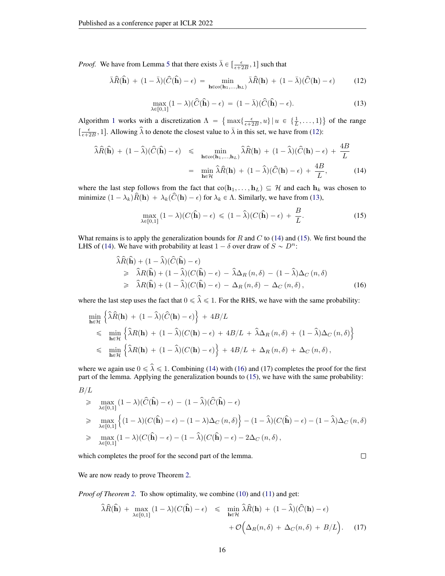*Proof.* We have from Lemma [5](#page-14-2) that there exists  $\bar{\lambda} \in \left[\frac{\epsilon}{\epsilon + 2B}, 1\right]$  such that

$$
\bar{\lambda}\hat{R}(\hat{\mathbf{h}}) + (1 - \bar{\lambda})(\hat{C}(\hat{\mathbf{h}}) - \epsilon) = \min_{\mathbf{h} \in \text{co}(\mathbf{h}_1, ..., \mathbf{h}_L)} \bar{\lambda}\hat{R}(\mathbf{h}) + (1 - \bar{\lambda})(\hat{C}(\mathbf{h}) - \epsilon)
$$
(12)

<span id="page-15-0"></span>
$$
\max_{\lambda \in [0,1]} (1 - \lambda)(\widehat{C}(\widehat{\mathbf{h}}) - \epsilon) = (1 - \bar{\lambda})(\widehat{C}(\widehat{\mathbf{h}}) - \epsilon). \tag{13}
$$

<span id="page-15-1"></span>Algorithm [1](#page-3-1) works with a discretization  $\Lambda =$  $\max\{\frac{\epsilon}{\epsilon+2B}, u\} \mid u \in \{\frac{1}{L}, \ldots, 1\}$ of the range  $\left[\frac{\epsilon}{\epsilon+2B}, 1\right]$ . Allowing  $\hat{\lambda}$  to denote the closest value to  $\bar{\lambda}$  in this set, we have from [\(12\)](#page-15-0):

<span id="page-15-2"></span>
$$
\hat{\lambda}\hat{R}(\hat{\mathbf{h}}) + (1 - \hat{\lambda})(\hat{C}(\hat{\mathbf{h}}) - \epsilon) \leq \min_{\mathbf{h} \in \text{co}(\mathbf{h}_1, \dots, \mathbf{h}_L)} \hat{\lambda}\hat{R}(\mathbf{h}) + (1 - \hat{\lambda})(\hat{C}(\mathbf{h}) - \epsilon) + \frac{4B}{L}
$$

$$
= \min_{\mathbf{h} \in \mathcal{H}} \hat{\lambda}\hat{R}(\mathbf{h}) + (1 - \hat{\lambda})(\hat{C}(\mathbf{h}) - \epsilon) + \frac{4B}{L},
$$
(14)

where the last step follows from the fact that  $co(h_1, ..., h_L) \subseteq H$  and each  $h_k$  was chosen to minimize  $(1 - \lambda_k)\hat{R}(\mathbf{h}) + \lambda_k(\hat{C}(\mathbf{h}) - \epsilon)$  for  $\lambda_k \in \Lambda$ . Similarly, we have from [\(13\)](#page-15-1),

<span id="page-15-3"></span>
$$
\max_{\lambda \in [0,1]} (1 - \lambda)(C(\hat{\mathbf{h}}) - \epsilon) \le (1 - \hat{\lambda})(C(\hat{\mathbf{h}}) - \epsilon) + \frac{B}{L}.
$$
 (15)

What remains is to apply the generalization bounds for  $R$  and  $C$  to [\(14\)](#page-15-2) and [\(15\)](#page-15-3). We first bound the LHS of [\(14\)](#page-15-2). We have with probability at least  $1 - \delta$  over draw of  $S \sim D^n$ :

<span id="page-15-4"></span>
$$
\hat{\lambda}\hat{R}(\hat{\mathbf{h}}) + (1 - \hat{\lambda})(\hat{C}(\hat{\mathbf{h}}) - \epsilon) \n\geq \hat{\lambda}R(\hat{\mathbf{h}}) + (1 - \hat{\lambda})(C(\hat{\mathbf{h}}) - \epsilon) - \hat{\lambda}\Delta_R(n,\delta) - (1 - \hat{\lambda})\Delta_C(n,\delta) \n\geq \hat{\lambda}R(\hat{\mathbf{h}}) + (1 - \hat{\lambda})(C(\hat{\mathbf{h}}) - \epsilon) - \Delta_R(n,\delta) - \Delta_C(n,\delta),
$$
\n(16)

where the last step uses the fact that  $0 \le \hat{\lambda} \le 1$ . For the RHS, we have with the same probability: !<br>! )

$$
\min_{\mathbf{h}\in\mathcal{H}} \left\{ \widehat{\lambda}\widehat{R}(\mathbf{h}) + (1-\widehat{\lambda})(\widehat{C}(\mathbf{h})-\epsilon) \right\} + 4B/L
$$
\n
$$
\leq \min_{\mathbf{h}\in\mathcal{H}} \left\{ \widehat{\lambda}R(\mathbf{h}) + (1-\widehat{\lambda})(C(\mathbf{h})-\epsilon) + 4B/L + \widehat{\lambda}\Delta_R(n,\delta) + (1-\widehat{\lambda})\Delta_C(n,\delta) \right\}
$$
\n
$$
\leq \min_{\mathbf{h}\in\mathcal{H}} \left\{ \widehat{\lambda}R(\mathbf{h}) + (1-\widehat{\lambda})(C(\mathbf{h})-\epsilon) \right\} + 4B/L + \Delta_R(n,\delta) + \Delta_C(n,\delta),
$$

where we again use  $0 \le \hat{\lambda} \le 1$ . Combining [\(14\)](#page-15-2) with [\(16\)](#page-15-4) and (17) completes the proof for the first part of the lemma. Applying the generalization bounds to [\(15\)](#page-15-3), we have with the same probability:

$$
B/L
$$
  
\n
$$
\geq \max_{\lambda \in [0,1]} (1 - \lambda)(\hat{C}(\hat{\mathbf{h}}) - \epsilon) - (1 - \hat{\lambda})(\hat{C}(\hat{\mathbf{h}}) - \epsilon)
$$
  
\n
$$
\geq \max_{\lambda \in [0,1]} \left\{ (1 - \lambda)(C(\hat{\mathbf{h}}) - \epsilon) - (1 - \lambda)\Delta_C(n, \delta) \right\} - (1 - \hat{\lambda})(C(\hat{\mathbf{h}}) - \epsilon) - (1 - \hat{\lambda})\Delta_C(n, \delta)
$$
  
\n
$$
\geq \max_{\lambda \in [0,1]} (1 - \lambda)(C(\hat{\mathbf{h}}) - \epsilon) - (1 - \hat{\lambda})(C(\hat{\mathbf{h}}) - \epsilon) - 2\Delta_C(n, \delta),
$$

which completes the proof for the second part of the lemma.

 $\Box$ 

We are now ready to prove Theorem [2.](#page-4-2)

*Proof of Theorem [2.](#page-4-2)* To show optimality, we combine [\(10\)](#page-14-3) and [\(11\)](#page-14-4) and get:

<span id="page-15-5"></span>
$$
\widehat{\lambda}\widehat{R}(\widehat{\mathbf{h}}) + \max_{\lambda \in [0,1]} (1 - \lambda)(C(\widehat{\mathbf{h}}) - \epsilon) \leq \min_{\mathbf{h} \in \mathcal{H}} \widehat{\lambda}\widehat{R}(\mathbf{h}) + (1 - \widehat{\lambda})(\widehat{C}(\mathbf{h}) - \epsilon) + \mathcal{O}\Big(\Delta_R(n,\delta) + \Delta_C(n,\delta) + B/L\Big).
$$
 (17)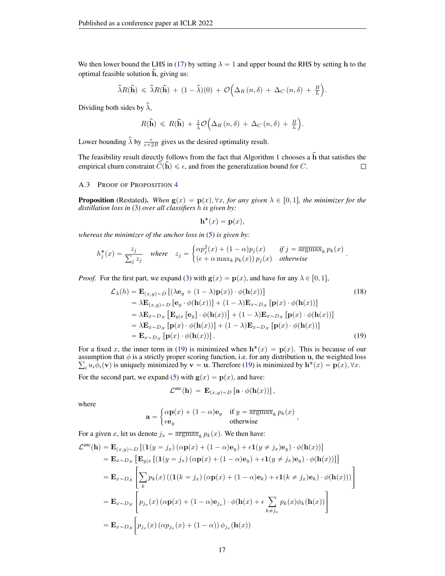We then lower bound the LHS in [\(17\)](#page-15-5) by setting  $\lambda = 1$  and upper bound the RHS by setting h to the optimal feasible solution h, giving us:

$$
\widehat{\lambda}R(\widehat{\mathbf{h}}) \leq \widehat{\lambda}R(\widetilde{\mathbf{h}}) + (1-\widehat{\lambda})(0) + \mathcal{O}\Big(\Delta_R(n,\delta) + \Delta_C(n,\delta) + \frac{B}{L}\Big).
$$

Dividing both sides by  $\hat{\lambda}$ ,

$$
R(\widehat{\mathbf{h}}) \leq R(\widetilde{\mathbf{h}}) + \frac{1}{\tilde{\lambda}} \mathcal{O}\Big(\Delta_R(n,\delta) + \Delta_C(n,\delta) + \frac{B}{L}\Big).
$$

Lower bounding  $\hat{\lambda}$  by  $\frac{\epsilon}{\epsilon + 2B}$  gives us the desired optimality result.

The feasibility result directly follows from the fact that Algorithm [1](#page-3-1) chooses a  $\hat{h}$  that satisfies the empirical churn constraint  $\widehat{C}(\widehat{\mathbf{h}}) \leq \epsilon$ , and from the generalization bound for C.  $\Box$ 

## A.3 PROOF OF PROPOSITION [4](#page-5-0)

**Proposition** (Restated). When  $g(x) = p(x), \forall x$ , for any given  $\lambda \in [0, 1]$ , the minimizer for the *distillation loss in* [\(3\)](#page-3-2) *over all classifiers* h *is given by:*

<span id="page-16-0"></span>
$$
\mathbf{h}^*(x) = \mathbf{p}(x),
$$

*whereas the minimizer of the anchor loss in* [\(5\)](#page-4-0) *is given by:* "

$$
h_j^*(x) = \frac{z_j}{\sum_j z_j} \quad \text{where} \quad z_j = \begin{cases} \alpha p_j^2(x) + (1 - \alpha)p_j(x) & \text{if } j = \overline{\operatorname{argmax}}_k \ p_k(x) \\ (\epsilon + \alpha \max_k p_k(x)) \ p_j(x) & \text{otherwise} \end{cases}.
$$

*Proof.* For the first part, we expand [\(3\)](#page-3-2) with  $g(x) = p(x)$ , and have for any  $\lambda \in [0, 1]$ ,

$$
\mathcal{L}_{\lambda}(h) = \mathbf{E}_{(x,y)\sim D}[(\lambda \mathbf{e}_{y} + (1-\lambda)\mathbf{p}(x)) \cdot \phi(\mathbf{h}(x))]
$$
(18)  
\n
$$
= \lambda \mathbf{E}_{(x,y)\sim D} [\mathbf{e}_{y} \cdot \phi(\mathbf{h}(x))] + (1-\lambda)\mathbf{E}_{x\sim D_{\mathcal{X}}} [\mathbf{p}(x) \cdot \phi(\mathbf{h}(x))]
$$
  
\n
$$
= \lambda \mathbf{E}_{x\sim D_{\mathcal{X}}} [\mathbf{E}_{y|x} [\mathbf{e}_{y}] \cdot \phi(\mathbf{h}(x))] + (1-\lambda)\mathbf{E}_{x\sim D_{\mathcal{X}}} [\mathbf{p}(x) \cdot \phi(\mathbf{h}(x))]
$$
  
\n
$$
= \lambda \mathbf{E}_{x\sim D_{\mathcal{X}}} [\mathbf{p}(x) \cdot \phi(\mathbf{h}(x))] + (1-\lambda)\mathbf{E}_{x\sim D_{\mathcal{X}}} [\mathbf{p}(x) \cdot \phi(\mathbf{h}(x))]
$$
  
\n
$$
= \mathbf{E}_{x\sim D_{\mathcal{X}}} [\mathbf{p}(x) \cdot \phi(\mathbf{h}(x))].
$$
(19)

For a fixed x, the inner term in [\(19\)](#page-16-0) is minimized when  $h^*(x) = p(x)$ . This is because of our assumption that  $\phi$  is a strictly proper scoring function, i.e. for any distribution u, the weighted loss  $i_i u_i \phi_i(\mathbf{v})$  is uniquely minimized by  $\mathbf{v} = \mathbf{u}$ . Therefore [\(19\)](#page-16-0) is minimized by  $\mathbf{h}^*(x) = \mathbf{p}(x), \forall x$ .

For the second part, we expand [\(5\)](#page-4-0) with  $g(x) = p(x)$ , and have:

$$
\mathcal{L}^{\rm anc}(\mathbf{h}) \ = \ \mathbf{E}_{(x,y)\sim D} \left[ \mathbf{a} \cdot \phi(\mathbf{h}(x)) \right],
$$

where

$$
\mathbf{a} = \begin{cases} \alpha \mathbf{p}(x) + (1 - \alpha) \mathbf{e}_y & \text{if } y = \overline{\text{argmax}}_k \ p_k(x) \\ \epsilon \mathbf{e}_y & \text{otherwise} \end{cases}
$$

For a given x, let us denote  $j_x = \overline{\text{argmax}}_k p_k(x)$ . We then have:

$$
\mathcal{L}^{\text{anc}}(\mathbf{h}) = \mathbf{E}_{(x,y)\sim D} \left[ \left( \mathbf{1}(y=j_x) \left( \alpha \mathbf{p}(x) + (1-\alpha) \mathbf{e}_y \right) + \epsilon \mathbf{1}(y \neq j_x) \mathbf{e}_y \right) \cdot \phi(\mathbf{h}(x)) \right]
$$
  
\n
$$
= \mathbf{E}_{x \sim D_x} \left[ \mathbf{E}_{y|x} \left[ \left( \mathbf{1}(y=j_x) \left( \alpha \mathbf{p}(x) + (1-\alpha) \mathbf{e}_y \right) + \epsilon \mathbf{1}(y \neq j_x) \mathbf{e}_y \right) \cdot \phi(\mathbf{h}(x)) \right] \right]
$$
  
\n
$$
= \mathbf{E}_{x \sim D_x} \left[ \sum_k p_k(x) \left( \left( \mathbf{1}(k=j_x) \left( \alpha \mathbf{p}(x) + (1-\alpha) \mathbf{e}_k \right) + \epsilon \mathbf{1}(k \neq j_x) \mathbf{e}_k \right) \cdot \phi(\mathbf{h}(x)) \right) \right]
$$
  
\n
$$
= \mathbf{E}_{x \sim D_x} \left[ p_{j_x}(x) \left( \alpha \mathbf{p}(x) + (1-\alpha) \mathbf{e}_{j_x} \right) \cdot \phi(\mathbf{h}(x) + \epsilon \sum_{k \neq j_x} p_k(x) \phi_k(\mathbf{h}(x)) \right]
$$
  
\n
$$
= \mathbf{E}_{x \sim D_x} \left[ p_{j_x}(x) \left( \alpha p_{j_x}(x) + (1-\alpha) \right) \phi_{j_x}(\mathbf{h}(x)) \right]
$$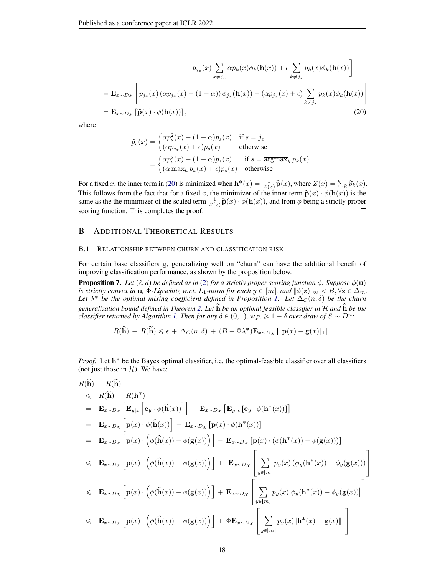$$
+ p_{j_x}(x) \sum_{k \neq j_x} \alpha p_k(x) \phi_k(\mathbf{h}(x)) + \epsilon \sum_{k \neq j_x} p_k(x) \phi_k(\mathbf{h}(x)) \Big]
$$
  
=  $\mathbf{E}_{x \sim Dx} \left[ p_{j_x}(x) (\alpha p_{j_x}(x) + (1 - \alpha)) \phi_{j_x}(\mathbf{h}(x)) + (\alpha p_{j_x}(x) + \epsilon) \sum_{k \neq j_x} p_k(x) \phi_k(\mathbf{h}(x)) \right]$   
=  $\mathbf{E}_{x \sim Dx} \left[ \widetilde{\mathbf{p}}(x) \cdot \phi(\mathbf{h}(x)) \right],$  (20)

where

<span id="page-17-2"></span>
$$
\widetilde{p}_s(x) = \begin{cases}\n\alpha p_s^2(x) + (1 - \alpha)p_s(x) & \text{if } s = j_x \\
(\alpha p_{j_x}(x) + \epsilon)p_s(x) & \text{otherwise}\n\end{cases}
$$
\n
$$
= \begin{cases}\n\alpha p_s^2(x) + (1 - \alpha)p_s(x) & \text{if } s = \overline{\operatorname{argmax}}_k p_k(x) \\
(\alpha \max_k p_k(x) + \epsilon)p_s(x) & \text{otherwise}\n\end{cases}.
$$

For a fixed x, the inner term in [\(20\)](#page-17-2) is minimized when  $\mathbf{h}^*(x) = \frac{1}{Z(x)} \widetilde{\mathbf{p}}(x)$ , where  $Z(x) = \sum_k \widetilde{p}_k(x)$ . This follows from the fact that for a fixed x, the minimizer of the inner term  $\tilde{\mathbf{p}}(x) \cdot \phi(\mathbf{h}(x))$  is the same as the the minimizer of the scaled term  $\frac{1}{Z(x)} \widetilde{\mathbf{p}}(x) \cdot \phi(\mathbf{h}(x))$ , and from  $\phi$  being a strictly proper scoring function. This completes the proof.  $\Box$ 

# <span id="page-17-1"></span>B ADDITIONAL THEORETICAL RESULTS

#### B.1 RELATIONSHIP BETWEEN CHURN AND CLASSIFICATION RISK

For certain base classifiers g, generalizing well on "churn" can have the additional benefit of improving classification performance, as shown by the proposition below.

<span id="page-17-0"></span>**Proposition 7.** *Let*  $(\ell, d)$  *be defined as in* [\(2\)](#page-2-0) *for a strictly proper scoring function*  $\phi$ *. Suppose*  $\phi(\mathbf{u})$ *is strictly convex in* **u**,  $\Phi$ *-Lipschitz w.r.t.*  $L_1$ *-norm for each*  $y \in [m]$ *, and*  $\|\phi(\mathbf{z})\|_{\infty} < B$ ,  $\forall \mathbf{z} \in \Delta_m$ *.* Let  $\lambda^*$  be the optimal mixing coefficient defined in Proposition [1.](#page-2-2) Let  $\Delta_C(n,\delta)$  be the churn *generalization bound defined in Theorem [2.](#page-4-2) Let*  $\widetilde{h}$  *be an optimal feasible classifier in* H *and*  $\widehat{h}$  *be the classifier returned by Algorithm [1.](#page-3-1) Then for any*  $\delta \in (0, 1)$ *, w.p.*  $\geq 1 - \delta$  *over draw of*  $S \sim D^n$ *:* 

$$
R(\widehat{\mathbf{h}}) - R(\widetilde{\mathbf{h}}) \leq \epsilon + \Delta_C(n, \delta) + (B + \Phi \lambda^*) \mathbf{E}_{x \sim D_{\mathcal{X}}} [\|\mathbf{p}(x) - \mathbf{g}(x)\|_1].
$$

Proof. Let h<sup>\*</sup> be the Bayes optimal classifier, i.e. the optimal-feasible classifier over all classifiers (not just those in  $H$ ). We have:

$$
R(\hat{\mathbf{h}}) - R(\tilde{\mathbf{h}})
$$
  
\n
$$
\leq R(\hat{\mathbf{h}}) - R(\mathbf{h}^*)
$$
  
\n
$$
= \mathbf{E}_{x \sim D_x} [\mathbf{E}_{y|x} [\mathbf{e}_y \cdot \phi(\hat{\mathbf{h}}(x))] ] - \mathbf{E}_{x \sim D_x} [\mathbf{E}_{y|x} [\mathbf{e}_y \cdot \phi(\mathbf{h}^*(x))]]
$$
  
\n
$$
= \mathbf{E}_{x \sim D_x} [\mathbf{p}(x) \cdot \phi(\hat{\mathbf{h}}(x))] - \mathbf{E}_{x \sim D_x} [\mathbf{p}(x) \cdot \phi(\mathbf{h}^*(x))]
$$
  
\n
$$
= \mathbf{E}_{x \sim D_x} [\mathbf{p}(x) \cdot (\phi(\hat{\mathbf{h}}(x)) - \phi(\mathbf{g}(x)))] ] - \mathbf{E}_{x \sim D_x} [\mathbf{p}(x) \cdot (\phi(\mathbf{h}^*(x)) - \phi(\mathbf{g}(x)))]
$$
  
\n
$$
\leq \mathbf{E}_{x \sim D_x} [\mathbf{p}(x) \cdot (\phi(\hat{\mathbf{h}}(x)) - \phi(\mathbf{g}(x)))] ] + \mathbf{E}_{x \sim D_x} [\sum_{y \in [m]} p_y(x) (\phi_y(\mathbf{h}^*(x)) - \phi_y(\mathbf{g}(x)))]
$$
  
\n
$$
\leq \mathbf{E}_{x \sim D_x} [\mathbf{p}(x) \cdot (\phi(\hat{\mathbf{h}}(x)) - \phi(\mathbf{g}(x)))] + \mathbf{E}_{x \sim D_x} [\sum_{y \in [m]} p_y(x) |\phi_y(\mathbf{h}^*(x)) - \phi_y(\mathbf{g}(x))]
$$
  
\n
$$
\leq \mathbf{E}_{x \sim D_x} [\mathbf{p}(x) \cdot (\phi(\hat{\mathbf{h}}(x)) - \phi(\mathbf{g}(x)))] + \Phi \mathbf{E}_{x \sim D_x} [\sum_{y \in [m]} p_y(x) ||\mathbf{h}^*(x) - \mathbf{g}(x)||_1
$$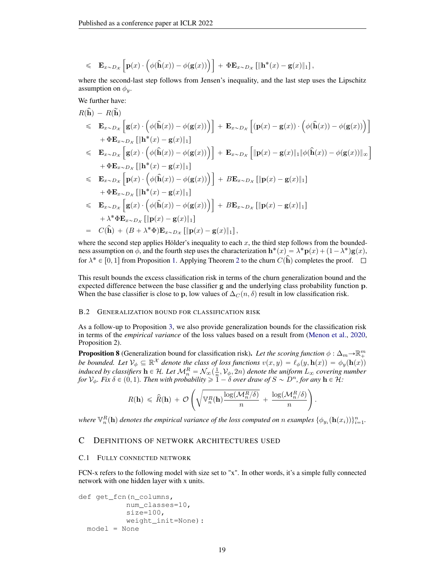$$
\leq \mathbf{E}_{x \sim D_{\mathcal{X}}} \left[ \mathbf{p}(x) \cdot \left( \phi(\widehat{\mathbf{h}}(x)) - \phi(\mathbf{g}(x)) \right) \right] + \Phi \mathbf{E}_{x \sim D_{\mathcal{X}}} \left[ \|\mathbf{h}^{*}(x) - \mathbf{g}(x)\|_{1} \right],
$$

where the second-last step follows from Jensen's inequality, and the last step uses the Lipschitz assumption on  $\phi_u$ .

We further have:

$$
R(\hat{\mathbf{h}}) - R(\tilde{\mathbf{h}})
$$
  
\n
$$
\leq \mathbf{E}_{x \sim D_{\mathcal{X}}} \left[ \mathbf{g}(x) \cdot \left( \phi(\hat{\mathbf{h}}(x)) - \phi(\mathbf{g}(x)) \right) \right] + \mathbf{E}_{x \sim D_{\mathcal{X}}} \left[ (\mathbf{p}(x) - \mathbf{g}(x)) \cdot \left( \phi(\hat{\mathbf{h}}(x)) - \phi(\mathbf{g}(x)) \right) \right]
$$
  
\n
$$
+ \Phi \mathbf{E}_{x \sim D_{\mathcal{X}}} \left[ \|\mathbf{h}^{*}(x) - \mathbf{g}(x)\|_{1} \right]
$$
  
\n
$$
\leq \mathbf{E}_{x \sim D_{\mathcal{X}}} \left[ \mathbf{g}(x) \cdot \left( \phi(\hat{\mathbf{h}}(x)) - \phi(\mathbf{g}(x)) \right) \right] + \mathbf{E}_{x \sim D_{\mathcal{X}}} \left[ \|\mathbf{p}(x) - \mathbf{g}(x)\|_{1} \|\phi(\hat{\mathbf{h}}(x)) - \phi(\mathbf{g}(x))\|_{\infty} \right]
$$
  
\n
$$
+ \Phi \mathbf{E}_{x \sim D_{\mathcal{X}}} \left[ \|\mathbf{h}^{*}(x) - \mathbf{g}(x)\|_{1} \right]
$$
  
\n
$$
\leq \mathbf{E}_{x \sim D_{\mathcal{X}}} \left[ \mathbf{p}(x) \cdot \left( \phi(\hat{\mathbf{h}}(x)) - \phi(\mathbf{g}(x)) \right) \right] + B \mathbf{E}_{x \sim D_{\mathcal{X}}} \left[ \|\mathbf{p}(x) - \mathbf{g}(x)\|_{1} \right]
$$
  
\n
$$
+ \Phi \mathbf{E}_{x \sim D_{\mathcal{X}}} \left[ \mathbf{g}(x) \cdot \left( \phi(\hat{\mathbf{h}}(x)) - \phi(\mathbf{g}(x)) \right) \right] + B \mathbf{E}_{x \sim D_{\mathcal{X}}} \left[ \|\mathbf{p}(x) - \mathbf{g}(x)\|_{1} \right]
$$
  
\n
$$
+ \lambda^{*} \Phi \mathbf{E}_{x \sim D_{\mathcal{X}}} \left[ \|\mathbf{p}(x) - \mathbf{g}(x)\|_{1} \right
$$

where the second step applies Hölder's inequality to each  $x$ , the third step follows from the boundedness assumption on  $\phi$ , and the fourth step uses the characterization  $\mathbf{h}^*(x) = \lambda^* \mathbf{p}(x) + (1 - \lambda^*) \mathbf{g}(x)$ , for  $\lambda^* \in [0, 1]$  from Proposition [1.](#page-2-2) Applying Theorem [2](#page-4-2) to the churn  $C(\hat{\mathbf{h}})$  completes the proof.

This result bounds the excess classification risk in terms of the churn generalization bound and the expected difference between the base classifier g and the underlying class probability function p. When the base classifier is close to p, low values of  $\Delta_C(n, \delta)$  result in low classification risk.

# B.2 GENERALIZATION BOUND FOR CLASSIFICATION RISK

As a follow-up to Proposition [3,](#page-4-3) we also provide generalization bounds for the classification risk in terms of the *empirical variance* of the loss values based on a result from [\(Menon et al.,](#page-10-15) [2020,](#page-10-15) Proposition 2).

**Proposition 8** (Generalization bound for classification risk). Let the scoring function  $\phi : \Delta_m \to \mathbb{R}^m_+$ *be bounded. Let*  $\mathcal{V}_{\phi} \subseteq \mathbb{R}^{\mathcal{X}}$  *denote the class of loss functions*  $v(x, y) = \ell_{\phi}(y, \mathbf{h}(x)) = \phi_y(\mathbf{h}(x))$ *induced by classifiers*  $h \in H$ *. Let*  $\mathcal{M}_n^R = \mathcal{N}_{\infty}(\frac{1}{n}, \mathcal{V}_{\phi}, 2n)$  denote the uniform  $L_{\infty}$  covering number *for*  $V_{\phi}$ *. Fix*  $\delta \in (0, 1)$ *. Then with probability*  $\geq 1 - \delta$  *over draw of*  $S \sim D^n$ *, for any*  $\mathbf{h} \in \mathcal{H}$ *:* ˜c ¸

$$
R(\mathbf{h}) \, \leqslant \, \widehat{R}(\mathbf{h}) \, + \, \mathcal{O}\left(\sqrt{\mathbb{V}_n^R(\mathbf{h})\frac{\log(\mathcal{M}_n^R/\delta)}{n}} \, + \, \frac{\log(\mathcal{M}_n^R/\delta)}{n}\right).
$$

where  $\mathbb{V}_n^R(\mathbf{h})$  denotes the empirical variance of the loss computed on n examples  $\{\phi_{y_i}(\mathbf{h}(x_i))\}_{i=1}^n$ .

# C DEFINITIONS OF NETWORK ARCHITECTURES USED

#### C.1 FULLY CONNECTED NETWORK

FCN-x refers to the following model with size set to "x". In other words, it's a simple fully connected network with one hidden layer with x units.

```
def get_fcn(n_columns,
           num_classes=10,
           size=100,
          weight_init=None):
 model = None
```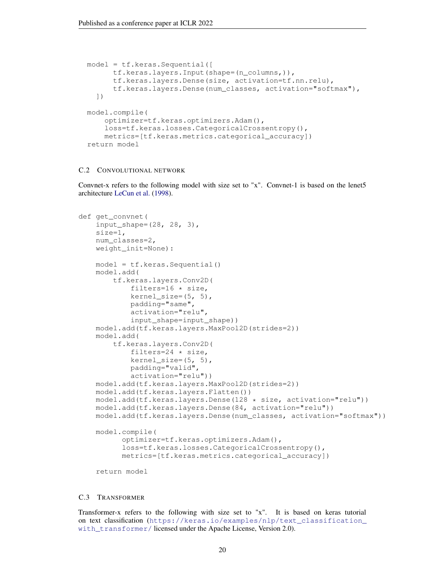```
model = tf.keras.Sequential([
      tf.keras.layers.Input(shape=(n_columns,)),
      tf.keras.layers.Dense(size, activation=tf.nn.relu),
      tf.keras.layers.Dense(num_classes, activation="softmax"),
  ])
model.compile(
    optimizer=tf.keras.optimizers.Adam(),
    loss=tf.keras.losses.CategoricalCrossentropy(),
    metrics=[tf.keras.metrics.categorical_accuracy])
return model
```
### C.2 CONVOLUTIONAL NETWORK

Convnet-x refers to the following model with size set to "x". Convnet-1 is based on the lenet5 architecture [LeCun et al.](#page-10-17) [\(1998\)](#page-10-17).

```
def get_convnet(
    input_shape=(28, 28, 3),
   size=1,
   num_classes=2,
   weight_init=None):
   model = tf.keras.Sequential()
   model.add(
        tf.keras.layers.Conv2D(
            filters=16 * size,
            kernel_size=(5, 5),
            padding="same",
            activation="relu",
            input_shape=input_shape))
   model.add(tf.keras.layers.MaxPool2D(strides=2))
   model.add(
        tf.keras.layers.Conv2D(
            filters=24 * size,
            kernel_size=(5, 5),
            padding="valid",
            activation="relu"))
   model.add(tf.keras.layers.MaxPool2D(strides=2))
   model.add(tf.keras.layers.Flatten())
   model.add(tf.keras.layers.Dense(128 * size, activation="relu"))
   model.add(tf.keras.layers.Dense(84, activation="relu"))
   model.add(tf.keras.layers.Dense(num_classes, activation="softmax"))
   model.compile(
          optimizer=tf.keras.optimizers.Adam(),
          loss=tf.keras.losses.CategoricalCrossentropy(),
          metrics=[tf.keras.metrics.categorical_accuracy])
    return model
```
### C.3 TRANSFORMER

Transformer-x refers to the following with size set to "x". It is based on keras tutorial on text classification ([https://keras.io/examples/nlp/text\\_classification\\_](https://keras.io/examples/nlp/text_classification_with_transformer/) [with\\_transformer/](https://keras.io/examples/nlp/text_classification_with_transformer/) licensed under the Apache License, Version 2.0).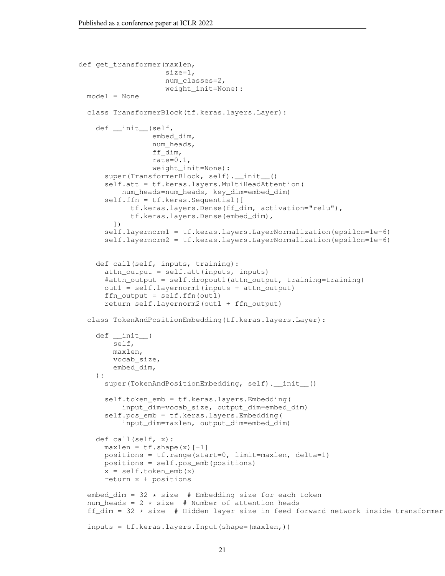```
def get_transformer(maxlen,
                    size=1,
                    num_classes=2,
                    weight_init=None):
 model = None
 class TransformerBlock(tf.keras.layers.Layer):
   def __init__(self,
                 embed_dim,
                 num_heads,
                 ff_dim,
                 rate=0.1,
                 weight_init=None):
      super(TransformerBlock, self).__init_()
      self.att = tf.keras.layers.MultiHeadAttention(
          num_heads=num_heads, key_dim=embed_dim)
      self.ffn = tf.keras.Sequential([
           tf.keras.layers.Dense(ff_dim, activation="relu"),
            tf.keras.layers.Dense(embed_dim),
        ])
      self.layernorm1 = tf.keras.layers.LayerNormalization(epsilon=1e-6)
      self.layernorm2 = tf.keras.layers.LayerNormalization(epsilon=1e-6)
   def call(self, inputs, training):
     attn_output = self.att(inputs, inputs)
      #attn_output = self.dropout1(attn_output, training=training)
     out1 = self.layernorm1(inputs + attn_output)
      ffn_output = self.ffn(out1)
      return self.layernorm2(out1 + ffn_output)
 class TokenAndPositionEmbedding(tf.keras.layers.Layer):
   def __init__(
       self,
       maxlen,
       vocab_size,
       embed_dim,
   ):
      super(TokenAndPositionEmbedding, self).__init__()
      self.token_emb = tf.keras.layers.Embedding(
          input_dim=vocab_size, output_dim=embed_dim)
      self.pos_emb = tf.keras.layers.Embedding(
          input_dim=maxlen, output_dim=embed_dim)
   def call(self, x):
     maxlen = tf.shape(x)[-1]positions = tf.range(start=0, limit=maxlen, delta=1)
     positions = self.pos_emb(positions)
     x = self.token\_emb(x)return x + positions
  embed_dim = 32 \times size # Embedding size for each token
  num heads = 2 * size # Number of attention heads
  ff_dim = 32 * size # Hidden layer size in feed forward network inside transformer
  inputs = tf.keras.layers.Input(shape=(maxlen,))
```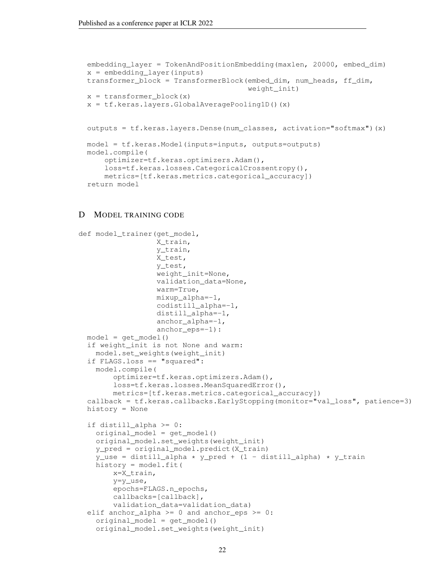```
embedding_layer = TokenAndPositionEmbedding(maxlen, 20000, embed_dim)
x = embedding_layer(inputs)
transformer_block = TransformerBlock(embed_dim, num_heads, ff_dim,
                                     weight_init)
x = transformer\_block(x)x = tf.keras.layers.GlobalAveragePoolingID() (x)outputs = tf.keras.layers.Dense(num_classes, activation="softmax")(x)
model = tf.keras.Model(inputs=inputs, outputs=outputs)
model.compile(
    optimizer=tf.keras.optimizers.Adam(),
    loss=tf.keras.losses.CategoricalCrossentropy(),
    metrics=[tf.keras.metrics.categorical_accuracy])
return model
```
# D MODEL TRAINING CODE

```
def model_trainer(get_model,
                  X_train,
                  y_train,
                  X_test,
                  y_test,
                  weight_init=None,
                  validation_data=None,
                  warm=True,
                  mixup alpha=-1,
                  codistill_alpha=-1,
                  distill_alpha=-1,
                  anchor_alpha=-1,
                  anchor_eps=-1):
 model = get_model()if weight init is not None and warm:
   model.set_weights(weight_init)
 if FLAGS.loss == "squared":
   model.compile(
        optimizer=tf.keras.optimizers.Adam(),
        loss=tf.keras.losses.MeanSquaredError(),
        metrics=[tf.keras.metrics.categorical_accuracy])
  callback = tf.keras.callbacks.EarlyStopping(monitor="val_loss", patience=3)
 history = None
  if distill_alpha >= 0:
    original model = qet model()
    original_model.set_weights(weight_init)
    y pred = original model.predict(X train)
    y_use = distill_alpha * y_pred + (1 - distill_alpha) * y_train
    history = model.fit(
        x=X_train,
        y=y_use,
        epochs=FLAGS.n_epochs,
        callbacks=[callback],
        validation_data=validation_data)
  elif anchor_alpha >= 0 and anchor_eps >= 0:
    original_model = get_model()
    original_model.set_weights(weight_init)
```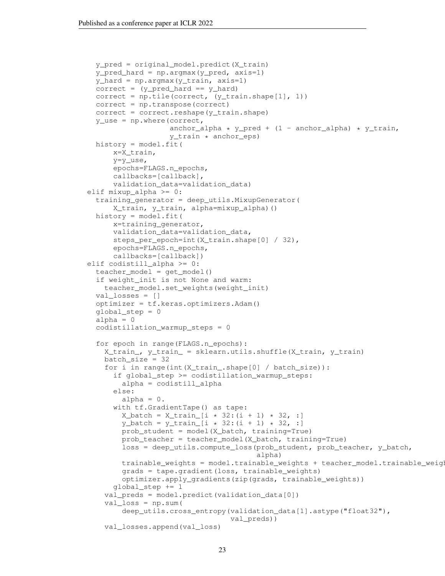```
y_pred = original_model.predict(X_train)
  y_pred_hard = np.argmax(y_pred, axis=1)
  y_hard = np.argmax(y_train, axis=1)
  correct = (y\_pred\_hard == y\_hard)correct = np.title(correct, (y_train.shape[1], 1))correct = np.transpose(correct)
  correct = correct.reshape(y_train.shape)
  y_use = np.where(correct,
                    anchor_alpha * y_pred + (1 - \text{anchor\_alpha}) * y_train,
                    y_train * anchor_eps)
  history = model.fit(
      x=X_train,
      y=y_use,
      epochs=FLAGS.n_epochs,
      callbacks=[callback],
      validation_data=validation_data)
elif mixup_alpha >= 0:
  training_generator = deep_utils.MixupGenerator(
      X_train, y_train, alpha=mixup_alpha)()
  history = model.fit(
      x=training_generator,
      validation_data=validation_data,
      steps_per_epoch=int(X_train.shape[0] / 32),
      epochs=FLAGS.n_epochs,
      callbacks=[callback])
elif codistill_alpha >= 0:
  teacher_model = get_model()
  if weight_init is not None and warm:
    teacher_model.set_weights(weight_init)
  val_losses = []
  optimizer = tf.keras.optimizers.Adam()
  global_step = 0
  alpha = 0codistillation_warmup_steps = 0
  for epoch in range(FLAGS.n_epochs):
    X_train_, y_train_ = sklearn.utils.shuffle(X_train, y_train)
    batch_size = 32
    for i in range(int(X_train_.shape[0] / batch_size)):
      if global_step >= codistillation_warmup_steps:
        alpha = codistill_alpha
      else:
        alpha = 0.
      with tf.GradientTape() as tape:
        X_b = X_t \text{train}[i \times 32 : (i + 1) \times 32, :]y_{\text{batch}} = y_{\text{train}}[i \times 32 : (i + 1) \times 32, :]prob_student = model(X_batch, training=True)
        prob_teacher = teacher_model(X_batch, training=True)
        loss = deep_utils.compute_loss(prob_student, prob_teacher, y_batch,
                                         alpha)
        trainable_weights = model.trainable_weights + teacher_model.trainable_weights
        grads = tape.gradient(loss, trainable_weights)
        optimizer.apply_gradients(zip(grads, trainable_weights))
      global_step += 1
    val_preds = model.predict(validation_data[0])
    val loss = np.sum(deep_utils.cross_entropy(validation_data[1].astype("float32"),
                                  val_preds))
    val_losses.append(val_loss)
```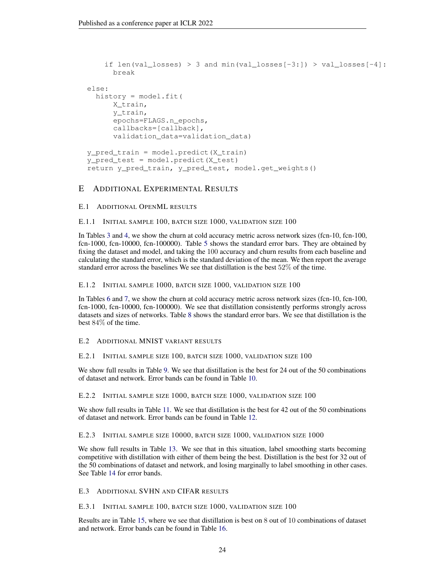```
if len(val_losses) > 3 and min(val_losses[-3:]) > val_losses[-4]:
      break
else:
  history = model.fit(
      X_train,
      y_train,
      epochs=FLAGS.n_epochs,
      callbacks=[callback],
      validation_data=validation_data)
y_pred_train = model.predict(X_train)
y_pred_test = model.predict(X_test)
return y_pred_train, y_pred_test, model.get_weights()
```
# E ADDITIONAL EXPERIMENTAL RESULTS

# E.1 ADDITIONAL OPENML RESULTS

# E.1.1 INITIAL SAMPLE 100, BATCH SIZE 1000, VALIDATION SIZE 100

In Tables [3](#page-25-0) and [4,](#page-26-0) we show the churn at cold accuracy metric across network sizes (fcn-10, fcn-100, fcn-1000, fcn-10000, fcn-100000). Table [5](#page-26-1) shows the standard error bars. They are obtained by fixing the dataset and model, and taking the 100 accuracy and churn results from each baseline and calculating the standard error, which is the standard deviation of the mean. We then report the average standard error across the baselines We see that distillation is the best 52% of the time.

# E.1.2 INITIAL SAMPLE 1000, BATCH SIZE 1000, VALIDATION SIZE 100

In Tables [6](#page-27-0) and [7,](#page-28-0) we show the churn at cold accuracy metric across network sizes (fcn-10, fcn-100, fcn-1000, fcn-10000, fcn-100000). We see that distillation consistently performs strongly across datasets and sizes of networks. Table [8](#page-28-1) shows the standard error bars. We see that distillation is the best 84% of the time.

# E.2 ADDITIONAL MNIST VARIANT RESULTS

# E.2.1 INITIAL SAMPLE SIZE 100, BATCH SIZE 1000, VALIDATION SIZE 100

We show full results in Table [9.](#page-29-0) We see that distillation is the best for 24 out of the 50 combinations of dataset and network. Error bands can be found in Table [10.](#page-30-0)

# E.2.2 INITIAL SAMPLE SIZE 1000, BATCH SIZE 1000, VALIDATION SIZE 100

We show full results in Table [11.](#page-31-0) We see that distillation is the best for 42 out of the 50 combinations of dataset and network. Error bands can be found in Table [12.](#page-32-0)

# E.2.3 INITIAL SAMPLE SIZE 10000, BATCH SIZE 1000, VALIDATION SIZE 1000

We show full results in Table [13.](#page-33-0) We see that in this situation, label smoothing starts becoming competitive with distillation with either of them being the best. Distillation is the best for 32 out of the 50 combinations of dataset and network, and losing marginally to label smoothing in other cases. See Table [14](#page-34-0) for error bands.

# E.3 ADDITIONAL SVHN AND CIFAR RESULTS

# E.3.1 INITIAL SAMPLE 100, BATCH SIZE 1000, VALIDATION SIZE 100

Results are in Table [15,](#page-34-1) where we see that distillation is best on 8 out of 10 combinations of dataset and network. Error bands can be found in Table [16.](#page-34-2)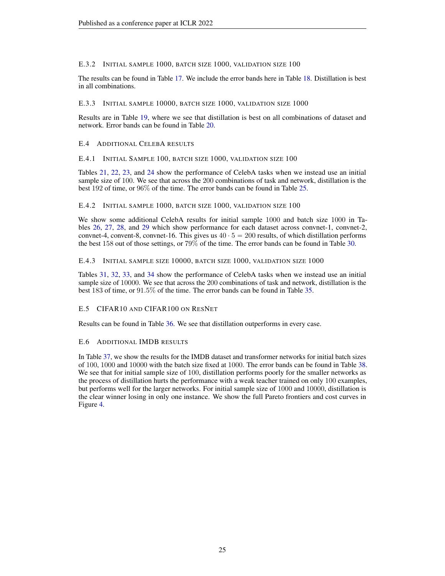# E.3.2 INITIAL SAMPLE 1000, BATCH SIZE 1000, VALIDATION SIZE 100

The results can be found in Table [17.](#page-34-3) We include the error bands here in Table [18.](#page-35-0) Distillation is best in all combinations.

# E.3.3 INITIAL SAMPLE 10000, BATCH SIZE 1000, VALIDATION SIZE 1000

Results are in Table [19,](#page-35-1) where we see that distillation is best on all combinations of dataset and network. Error bands can be found in Table [20.](#page-35-2)

# E.4 ADDITIONAL CELEBA RESULTS

E.4.1 INITIAL SAMPLE 100, BATCH SIZE 1000, VALIDATION SIZE 100

Tables [21,](#page-36-0) [22,](#page-37-0) [23,](#page-38-0) and [24](#page-39-0) show the performance of CelebA tasks when we instead use an initial sample size of 100. We see that across the 200 combinations of task and network, distillation is the best 192 of time, or 96% of the time. The error bands can be found in Table [25.](#page-40-0)

# E.4.2 INITIAL SAMPLE 1000, BATCH SIZE 1000, VALIDATION SIZE 100

We show some additional CelebA results for initial sample 1000 and batch size 1000 in Tables [26,](#page-41-0) [27,](#page-42-0) [28,](#page-43-0) and [29](#page-44-0) which show performance for each dataset across convnet-1, convnet-2, convnet-4, convent-8, convnet-16. This gives us  $40 \cdot 5 = 200$  results, of which distillation performs the best 158 out of those settings, or 79% of the time. The error bands can be found in Table [30.](#page-45-0)

# E.4.3 INITIAL SAMPLE SIZE 10000, BATCH SIZE 1000, VALIDATION SIZE 1000

Tables [31,](#page-46-0) [32,](#page-47-0) [33,](#page-48-0) and [34](#page-49-0) show the performance of CelebA tasks when we instead use an initial sample size of 10000. We see that across the 200 combinations of task and network, distillation is the best 183 of time, or 91.5% of the time. The error bands can be found in Table [35.](#page-50-0)

# E.5 CIFAR10 AND CIFAR100 ON RESNET

Results can be found in Table [36.](#page-51-0) We see that distillation outperforms in every case.

# E.6 ADDITIONAL IMDB RESULTS

In Table [37,](#page-51-1) we show the results for the IMDB dataset and transformer networks for initial batch sizes of 100, 1000 and 10000 with the batch size fixed at 1000. The error bands can be found in Table [38.](#page-51-2) We see that for initial sample size of 100, distillation performs poorly for the smaller networks as the process of distillation hurts the performance with a weak teacher trained on only 100 examples, but performs well for the larger networks. For initial sample size of 1000 and 10000, distillation is the clear winner losing in only one instance. We show the full Pareto frontiers and cost curves in Figure [4.](#page-52-0)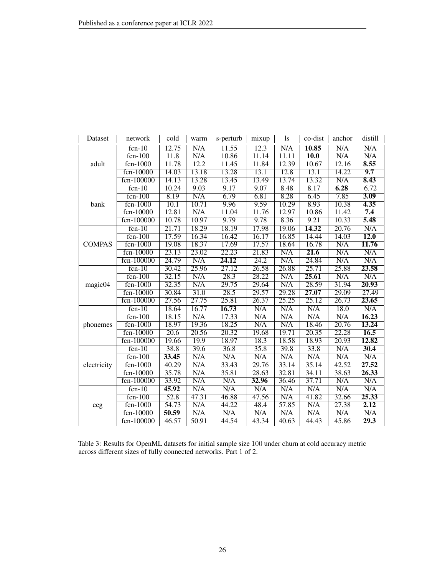| Dataset       | network     | cold  | warm  | s-perturb          | mixup             | <sup>1s</sup> | co-dist                 | anchor                  | distill           |
|---------------|-------------|-------|-------|--------------------|-------------------|---------------|-------------------------|-------------------------|-------------------|
|               | $fcn-10$    | 12.75 | N/A   | 11.55              | $\overline{12.3}$ | N/A           | 10.85                   | $\overline{\text{N/A}}$ | N/A               |
|               | $fcn-100$   | 11.8  | N/A   | 10.86              | 11.14             | 11.11         | <b>10.0</b>             | N/A                     | N/A               |
| adult         | $fcn-1000$  | 11.78 | 12.2  | 11.45              | 11.84             | 12.39         | 10.67                   | 12.16                   | 8.55              |
|               | fcn-10000   | 14.03 | 13.18 | 13.28              | 13.1              | 12.8          | 13.1                    | 14.22                   | 9.7               |
|               | fcn-100000  | 14.13 | 13.28 | 13.45              | 13.49             | 13.74         | 13.32                   | N/A                     | 8.43              |
|               | $fcn-10$    | 10.24 | 9.03  | 9.17               | 9.07              | 8.48          | 8.17                    | 6.28                    | 6.72              |
|               | $fcn-100$   | 8.19  | N/A   | 6.79               | 6.81              | 8.28          | 6.45                    | 7.85                    | 3.09              |
| bank          | $fcn-1000$  | 10.1  | 10.71 | 9.96               | 9.59              | 10.29         | 8.93                    | 10.38                   | 4.35              |
|               | $fcn-10000$ | 12.81 | N/A   | 11.04              | 11.76             | 12.97         | 10.86                   | 11.42                   | 7.4               |
|               | fcn-100000  | 10.78 | 10.97 | 9.79               | 9.78              | 8.36          | 9.21                    | 10.33                   | 5.48              |
|               | $fcn-10$    | 21.71 | 18.29 | 18.19              | 17.98             | 19.06         | 14.32                   | 20.76                   | N/A               |
|               | $fcn-100$   | 17.59 | 16.34 | 16.42              | 16.17             | 16.85         | 14.44                   | 14.03                   | $\overline{12.0}$ |
| <b>COMPAS</b> | $fcn-1000$  | 19.08 | 18.37 | 17.69              | 17.57             | 18.64         | 16.78                   | N/A                     | 11.76             |
|               | fcn-10000   | 23.13 | 23.02 | 22.23              | 21.83             | N/A           | 21.6                    | N/A                     | N/A               |
|               | fcn-100000  | 24.79 | N/A   | 24.12              | 24.2              | N/A           | 24.84                   | N/A                     | N/A               |
|               | $fcn-10$    | 30.42 | 25.96 | $\overline{27.12}$ | 26.58             | 26.88         | 25.71                   | 25.88                   | 23.58             |
|               | $fcn-100$   | 32.15 | N/A   | 28.3               | 28.22             | N/A           | 25.61                   | $\overline{\text{N/A}}$ | N/A               |
| magic04       | $fcn-1000$  | 32.35 | N/A   | 29.75              | 29.64             | N/A           | 28.59                   | 31.94                   | 20.93             |
|               | fcn-10000   | 30.84 | 31.0  | 28.5               | 29.57             | 29.28         | 27.07                   | 29.09                   | 27.49             |
|               | fcn-100000  | 27.56 | 27.75 | 25.81              | 26.37             | 25.25         | 25.12                   | 26.73                   | 23.65             |
|               | $fcn-10$    | 18.64 | 16.77 | 16.73              | N/A               | N/A           | N/A                     | 18.0                    | N/A               |
|               | $fcn-100$   | 18.15 | N/A   | 17.33              | N/A               | N/A           | N/A                     | N/A                     | 16.23             |
| phonemes      | fcn-1000    | 18.97 | 19.36 | 18.25              | N/A               | N/A           | 18.46                   | 20.76                   | 13.24             |
|               | fcn-10000   | 20.6  | 20.56 | 20.32              | 19.68             | 19.71         | 20.35                   | 22.28                   | 16.5              |
|               | fcn-100000  | 19.66 | 19.9  | 18.97              | 18.3              | 18.58         | 18.93                   | 20.93                   | 12.82             |
|               | $fcn-10$    | 38.8  | 39.6  | 36.8               | 35.8              | 39.8          | 33.8                    | N/A                     | 30.4              |
|               | $fcn-100$   | 33.45 | N/A   | N/A                | N/A               | N/A           | N/A                     | N/A                     | N/A               |
| electricity   | $fcn-1000$  | 40.29 | N/A   | 33.43              | 29.76             | 33.14         | 35.14                   | 42.52                   | 27.52             |
|               | fcn-10000   | 35.78 | N/A   | 35.81              | 28.63             | 32.81         | 34.11                   | 38.63                   | 26.33             |
|               | fcn-100000  | 33.92 | N/A   | N/A                | 32.96             | 36.46         | 37.71                   | N/A                     | N/A               |
|               | $fcn-10$    | 45.92 | N/A   | N/A                | N/A               | N/A           | N/A                     | N/A                     | N/A               |
|               | $fcn-100$   | 52.8  | 47.31 | 46.88              | 47.56             | N/A           | 41.82                   | 32.66                   | 25.33             |
| eeg           | $fcn-1000$  | 54.73 | N/A   | 44.22              | 48.4              | 57.85         | $\overline{\text{N/A}}$ | 27.38                   | 2.12              |
|               | fcn-10000   | 50.59 | N/A   | N/A                | N/A               | N/A           | $\overline{\text{N/A}}$ | $\overline{\text{N/A}}$ | N/A               |
|               | fcn-100000  | 46.57 | 50.91 | 44.54              | 43.34             | 40.63         | 44.43                   | 45.86                   | 29.3              |

<span id="page-25-0"></span>Table 3: Results for OpenML datasets for initial sample size 100 under churn at cold accuracy metric across different sizes of fully connected networks. Part 1 of 2.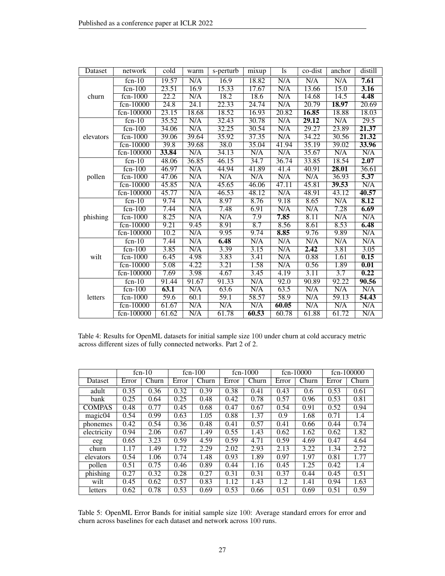| Dataset   | network      | cold              | warm                    | s-perturb | mixup                   | ls                      | co-dist | anchor | distill                 |
|-----------|--------------|-------------------|-------------------------|-----------|-------------------------|-------------------------|---------|--------|-------------------------|
|           | $fcn-10$     | 19.57             | N/A                     | 16.9      | 18.82                   | N/A                     | N/A     | N/A    | 7.61                    |
|           | $fcn-100$    | 23.51             | 16.9                    | 15.33     | 17.67                   | N/A                     | 13.66   | 15.0   | $\overline{3.16}$       |
| churn     | $fcn-1000$   | $\overline{22.2}$ | N/A                     | 18.2      | 18.6                    | N/A                     | 14.68   | 14.5   | 4.48                    |
|           | fcn-10000    | 24.8              | 24.1                    | 22.33     | 24.74                   | N/A                     | 20.79   | 18.97  | 20.69                   |
|           | fcn-100000   | 23.15             | 18.68                   | 18.52     | 16.93                   | 20.82                   | 16.85   | 18.88  | 18.03                   |
|           | $fcn-10$     | 35.52             | N/A                     | 32.43     | 30.78                   | N/A                     | 29.12   | N/A    | $\overline{29.5}$       |
|           | $fcn-100$    | 34.06             | N/A                     | 32.25     | 30.54                   | $\overline{\text{N/A}}$ | 29.27   | 23.89  | 21.37                   |
| elevators | $fcn-1000$   | 39.06             | 39.64                   | 35.92     | 37.35                   | N/A                     | 34.22   | 30.56  | 21.32                   |
|           | fcn-10000    | 39.8              | 39.68                   | 38.0      | 35.04                   | 41.94                   | 35.19   | 39.02  | 33.96                   |
|           | fcn-100000   | 33.84             | N/A                     | 34.13     | N/A                     | N/A                     | 35.67   | N/A    | N/A                     |
|           | $fcn-10$     | 48.06             | 36.85                   | 46.15     | 34.7                    | 36.74                   | 33.85   | 18.54  | 2.07                    |
|           | $fcn-100$    | 46.97             | N/A                     | 44.94     | 41.89                   | 41.4                    | 40.91   | 28.01  | 36.61                   |
| pollen    | $fcn-1000$   | 47.06             | N/A                     | N/A       | N/A                     | N/A                     | N/A     | 36.93  | 5.37                    |
|           | fcn-10000    | 45.85             | N/A                     | 45.65     | 46.06                   | $\overline{47.11}$      | 45.81   | 39.53  | N/A                     |
|           | fcn-100000   | 45.77             | N/A                     | 46.53     | 48.12                   | $\overline{\text{N/A}}$ | 48.91   | 43.12  | 40.57                   |
|           | $fcn-10$     | 9.74              | $\overline{\text{N/A}}$ | 8.97      | 8.76                    | 9.18                    | 8.65    | N/A    | 8.12                    |
|           | $f_{cn-100}$ | 7.44              | N/A                     | 7.48      | 6.91                    | N/A                     | N/A     | 7.28   | 6.69                    |
| phishing  | $fcn-1000$   | 8.25              | N/A                     | N/A       | 7.9                     | 7.85                    | 8.11    | N/A    | N/A                     |
|           | fcn-10000    | 9.21              | 9.45                    | 8.91      | 8.7                     | 8.56                    | 8.61    | 8.53   | 6.48                    |
|           | fcn-100000   | 10.2              | N/A                     | 9.95      | 9.74                    | 8.85                    | 9.76    | 9.89   | $\overline{\text{N/A}}$ |
|           | $fcn-10$     | 7.44              | N/A                     | 6.48      | N/A                     | N/A                     | N/A     | N/A    | N/A                     |
|           | $fcn-100$    | 3.85              | N/A                     | 3.39      | $\overline{3.15}$       | N/A                     | 2.42    | 3.81   | 3.05                    |
| wilt      | $fcn-1000$   | 6.45              | 4.98                    | 3.83      | 3.41                    | N/A                     | 0.88    | 1.61   | 0.15                    |
|           | fcn-10000    | 5.08              | 4.22                    | 3.21      | 1.58                    | N/A                     | 0.56    | 1.89   | 0.01                    |
|           | fcn-100000   | 7.69              | 3.98                    | 4.67      | 3.45                    | 4.19                    | 3.11    | 3.7    | 0.22                    |
|           | $fcn-10$     | 91.44             | 91.67                   | 91.33     | N/A                     | 92.0                    | 90.89   | 92.22  | 90.56                   |
|           | $fcn-100$    | 63.1              | N/A                     | 63.6      | $\overline{\text{N/A}}$ | 63.5                    | N/A     | N/A    | N/A                     |
| letters   | $fcn-1000$   | 59.6              | 60.1                    | 59.1      | 58.57                   | 58.9                    | N/A     | 59.13  | 54.43                   |
|           | fcn-10000    | 61.67             | N/A                     | N/A       | N/A                     | 60.05                   | N/A     | N/A    | N/A                     |
|           | fcn-100000   | 61.62             | N/A                     | 61.78     | 60.53                   | 60.78                   | 61.88   | 61.72  | N/A                     |

<span id="page-26-0"></span>Table 4: Results for OpenML datasets for initial sample size 100 under churn at cold accuracy metric across different sizes of fully connected networks. Part 2 of 2.

|               |       | $fcn-10$ |       | $fcn-100$ |       | $f_{cn-1000}$ |       | $fcn-10000$               |       | fcn-100000 |
|---------------|-------|----------|-------|-----------|-------|---------------|-------|---------------------------|-------|------------|
| Dataset       | Error | Churn    | Error | Churn     | Error | Churn         | Error | $\overline{\text{Churn}}$ | Error | Churn      |
| adult         | 0.35  | 0.36     | 0.32  | 0.39      | 0.38  | 0.41          | 0.43  | 0.6                       | 0.53  | 0.61       |
| bank          | 0.25  | 0.64     | 0.25  | 0.48      | 0.42  | 0.78          | 0.57  | 0.96                      | 0.53  | 0.81       |
| <b>COMPAS</b> | 0.48  | 0.77     | 0.45  | 0.68      | 0.47  | 0.67          | 0.54  | 0.91                      | 0.52  | 0.94       |
| magic04       | 0.54  | 0.99     | 0.63  | 1.05      | 0.88  | 1.37          | 0.9   | 1.68                      | 0.71  | 1.4        |
| phonemes      | 0.42  | 0.54     | 0.36  | 0.48      | 0.41  | 0.57          | 0.41  | 0.66                      | 0.44  | 0.74       |
| electricity   | 0.94  | 2.06     | 0.67  | 1.49      | 0.55  | 1.43          | 0.62  | 1.62                      | 0.62  | 1.82       |
| eeg           | 0.65  | 3.23     | 0.59  | 4.59      | 0.59  | 4.71          | 0.59  | 4.69                      | 0.47  | 4.64       |
| churn         | 1.17  | 1.49     | 1.72  | 2.29      | 2.02  | 2.93          | 2.13  | 3.22                      | 1.34  | 2.72       |
| elevators     | 0.54  | 1.06     | 0.74  | 1.48      | 0.93  | 1.89          | 0.97  | 1.97                      | 0.81  | 1.77       |
| pollen        | 0.51  | 0.75     | 0.46  | 0.89      | 0.44  | 1.16          | 0.45  | 1.25                      | 0.42  | 1.4        |
| phishing      | 0.27  | 0.32     | 0.28  | 0.27      | 0.31  | 0.31          | 0.37  | 0.44                      | 0.45  | 0.51       |
| wilt          | 0.45  | 0.62     | 0.57  | 0.83      | 1.12  | 1.43          | 1.2   | 1.41                      | 0.94  | 1.63       |
| letters       | 0.62  | 0.78     | 0.53  | 0.69      | 0.53  | 0.66          | 0.51  | 0.69                      | 0.51  | 0.59       |

<span id="page-26-1"></span>Table 5: OpenML Error Bands for initial sample size 100: Average standard errors for error and churn across baselines for each dataset and network across 100 runs.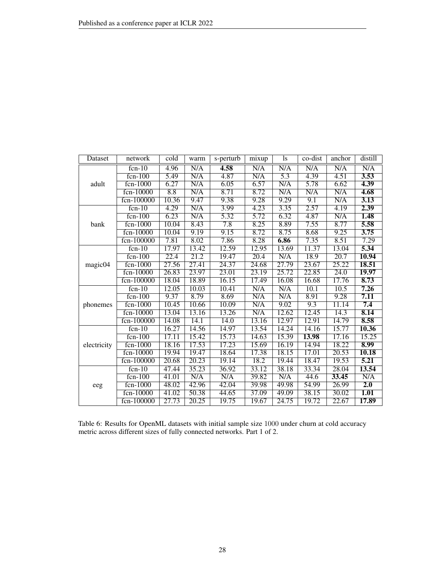| Dataset     | network    | cold  | warm  | s-perturb | mixup | <sup>1s</sup> | co-dist | anchor            | distill |
|-------------|------------|-------|-------|-----------|-------|---------------|---------|-------------------|---------|
|             | $fcn-10$   | 4.96  | N/A   | 4.58      | N/A   | N/A           | N/A     | N/A               | N/A     |
|             | $fcn-100$  | 5.49  | N/A   | 4.87      | N/A   | 5.3           | 4.39    | 4.51              | 3.53    |
| adult       | $fcn-1000$ | 6.27  | N/A   | 6.05      | 6.57  | N/A           | 5.78    | 6.62              | 4.39    |
|             | fcn-10000  | 8.8   | N/A   | 8.71      | 8.72  | N/A           | N/A     | N/A               | 4.68    |
|             | fcn-100000 | 10.36 | 9.47  | 9.38      | 9.28  | 9.29          | 9.1     | N/A               | 3.13    |
|             | $fcn-10$   | 4.29  | N/A   | 3.99      | 4.23  | 3.35          | 2.57    | 4.19              | 2.39    |
|             | $fcn-100$  | 6.23  | N/A   | 5.32      | 5.72  | 6.32          | 4.87    | N/A               | 1.48    |
| bank        | $fcn-1000$ | 10.04 | 8.43  | 7.8       | 8.25  | 8.89          | 7.55    | 8.77              | 5.58    |
|             | fcn-10000  | 10.04 | 9.19  | 9.15      | 8.72  | 8.75          | 8.68    | 9.25              | 3.75    |
|             | fcn-100000 | 7.81  | 8.02  | 7.86      | 8.28  | 6.86          | 7.35    | 8.51              | 7.29    |
|             | $fcn-10$   | 17.97 | 13.42 | 12.59     | 12.95 | 13.69         | 11.37   | 13.04             | 5.34    |
|             | $fcn-100$  | 22.4  | 21.2  | 19.47     | 20.4  | N/A           | 18.9    | 20.7              | 10.94   |
| magic04     | $fcn-1000$ | 27.56 | 27.41 | 24.37     | 24.68 | 27.79         | 23.67   | 25.22             | 18.51   |
|             | fcn-10000  | 26.83 | 23.97 | 23.01     | 23.19 | 25.72         | 22.85   | $\overline{24.0}$ | 19.97   |
|             | fcn-100000 | 18.04 | 18.89 | 16.15     | 17.49 | 16.08         | 16.68   | 17.76             | 8.73    |
|             | $fcn-10$   | 12.05 | 10.03 | 10.41     | N/A   | N/A           | 10.1    | 10.5              | 7.26    |
|             | $fcn-100$  | 9.37  | 8.79  | 8.69      | N/A   | N/A           | 8.91    | 9.28              | 7.11    |
| phonemes    | $fcn-1000$ | 10.45 | 10.66 | 10.09     | N/A   | 9.02          | 9.3     | 11.14             | 7.4     |
|             | fcn-10000  | 13.04 | 13.16 | 13.26     | N/A   | 12.62         | 12.45   | 14.3              | 8.14    |
|             | fcn-100000 | 14.08 | 14.1  | 14.0      | 13.16 | 12.97         | 12.91   | 14.79             | 8.58    |
|             | $fcn-10$   | 16.27 | 14.56 | 14.97     | 13.54 | 14.24         | 14.16   | 15.77             | 10.36   |
|             | $fcn-100$  | 17.11 | 15.42 | 15.73     | 14.63 | 15.39         | 13.98   | 17.16             | 15.25   |
| electricity | $fcn-1000$ | 18.16 | 17.53 | 17.23     | 15.69 | 16.19         | 14.94   | 18.22             | 8.99    |
|             | fcn-10000  | 19.94 | 19.47 | 18.64     | 17.38 | 18.15         | 17.01   | 20.53             | 10.18   |
|             | fcn-100000 | 20.68 | 20.23 | 19.14     | 18.2  | 19.44         | 18.47   | 19.53             | 5.21    |
|             | $fcn-10$   | 47.44 | 35.23 | 36.92     | 33.12 | 38.18         | 33.34   | 28.04             | 13.54   |
|             | $fcn-100$  | 41.01 | N/A   | N/A       | 39.82 | N/A           | 44.6    | 33.45             | N/A     |
| eeg         | $fcn-1000$ | 48.02 | 42.96 | 42.04     | 39.98 | 49.98         | 54.99   | 26.99             | 2.0     |
|             | fcn-10000  | 41.02 | 50.38 | 44.65     | 37.09 | 49.09         | 38.15   | 30.02             | 1.01    |
|             | fcn-100000 | 27.73 | 20.25 | 19.75     | 19.67 | 24.75         | 19.72   | 22.67             | 17.89   |

<span id="page-27-0"></span>Table 6: Results for OpenML datasets with initial sample size 1000 under churn at cold accuracy metric across different sizes of fully connected networks. Part 1 of 2.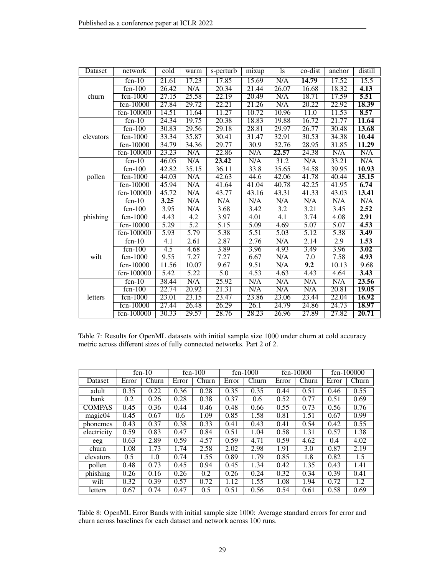| Dataset   | network        | cold             | warm             | s-perturb         | mixup             | 1s    | co-dist          | anchor                  | distill           |
|-----------|----------------|------------------|------------------|-------------------|-------------------|-------|------------------|-------------------------|-------------------|
|           | $fcn-10$       | 21.61            | 17.23            | 17.85             | 15.69             | N/A   | 14.79            | 17.52                   | 15.5              |
|           | $fcn-100$      | 26.42            | N/A              | 20.34             | 21.44             | 26.07 | 16.68            | 18.32                   | 4.13              |
| churn     | $fcn-1000$     | 27.15            | 25.58            | 22.19             | 20.49             | N/A   | 18.71            | 17.59                   | 5.51              |
|           | $fcn-10000$    | 27.84            | 29.72            | 22.21             | 21.26             | N/A   | 20.22            | 22.92                   | 18.39             |
|           | fcn-100000     | 14.51            | 11.64            | 11.27             | 10.72             | 10.96 | 11.0             | 11.53                   | 8.57              |
|           | $fcn-10$       | 24.34            | 19.75            | 20.38             | 18.83             | 19.88 | 16.72            | 21.77                   | 11.64             |
|           | $fcn-100$      | 30.83            | 29.56            | 29.18             | 28.81             | 29.97 | 26.77            | 30.48                   | 13.68             |
| elevators | fcn-1000       | 33.34            | 35.87            | 30.41             | 31.47             | 32.91 | 30.53            | 34.38                   | 10.44             |
|           | $fcn-10000$    | 34.79            | 34.36            | 29.77             | 30.9              | 32.76 | 28.95            | 31.85                   | 11.29             |
|           | fcn-100000     | 23.23            | N/A              | 22.86             | N/A               | 22.57 | 24.38            | $\overline{\text{N/A}}$ | N/A               |
|           | $fcn-10$       | 46.05            | N/A              | 23.42             | N/A               | 31.2  | N/A              | 33.21                   | N/A               |
|           | $fcn-100$      | 42.82            | 35.15            | 36.11             | 33.8              | 35.65 | 34.58            | 39.95                   | 10.93             |
| pollen    | $fcn-1000$     | 44.03            | N/A              | 42.63             | 44.6              | 42.06 | 41.78            | 40.44                   | 35.15             |
|           | fcn-10000      | 45.94            | N/A              | 41.64             | 41.04             | 40.78 | 42.25            | 41.95                   | 6.74              |
|           | fcn-100000     | 45.72            | N/A              | 43.77             | 43.16             | 43.31 | 41.33            | 43.03                   | 13.41             |
|           | $fcn-10$       | 3.25             | N/A              | N/A               | N/A               | N/A   | N/A              | N/A                     | N/A               |
|           | $fcn-100$      | 3.95             | N/A              | 3.68              | 3.42              | 3.2   | 3.21             | 3.45                    | 2.52              |
| phishing  | $fcn-1000$     | 4.43             | $\overline{4.2}$ | 3.97              | 4.01              | 4.1   | 3.74             | $\overline{4.08}$       | 2.91              |
|           | fcn-10000      | 5.29             | $\overline{5.2}$ | $\overline{5.15}$ | 5.09              | 4.69  | 5.07             | 5.07                    | 4.53              |
|           | fcn-100000     | 5.93             | 5.79             | 5.38              | 5.51              | 5.03  | 5.12             | 5.38                    | 3.49              |
|           | $fcn-10$       | 4.1              | 2.61             | 2.87              | 2.76              | N/A   | 2.14             | 2.9                     | 1.53              |
|           | $fcn-100$      | $\overline{4.5}$ | 4.68             | 3.89              | 3.96              | 4.93  | 3.49             | 3.96                    | $\overline{3.02}$ |
| wilt      | fcn-1000       | 9.55             | 7.27             | 7.27              | 6.67              | N/A   | $\overline{7.0}$ | 7.58                    | 4.93              |
|           | fcn-10000      | 11.56            | 10.07            | 9.67              | 9.51              | N/A   | 9.2              | 10.13                   | 9.68              |
|           | fcn-100000     | 5.42             | 5.22             | 5.0               | 4.53              | 4.63  | 4.43             | 4.64                    | 3.43              |
|           | $fcn-10$       | 38.44            | N/A              | 25.92             | N/A               | N/A   | N/A              | N/A                     | 23.56             |
|           | $fcn-100$      | 22.74            | 20.92            | 21.31             | N/A               | N/A   | N/A              | 20.81                   | <b>19.05</b>      |
| letters   | $fcn-1000$     | 23.01            | 23.15            | 23.47             | 23.86             | 23.06 | 23.44            | 22.04                   | 16.92             |
|           | $f_{cn-10000}$ | 27.44            | 26.48            | 26.29             | $\overline{26.1}$ | 24.79 | 24.86            | 24.73                   | 18.97             |
|           | fcn-100000     | 30.33            | 29.57            | 28.76             | 28.23             | 26.96 | 27.89            | 27.82                   | 20.71             |

<span id="page-28-0"></span>Table 7: Results for OpenML datasets with initial sample size 1000 under churn at cold accuracy metric across different sizes of fully connected networks. Part 2 of 2.

|                |       | $f_{cn-10}$ |       | $fcn-100$ |       | $fcn-1000$ |       | $fcn-10000$ |       | $f_{cn-100000}$ |
|----------------|-------|-------------|-------|-----------|-------|------------|-------|-------------|-------|-----------------|
| <b>Dataset</b> | Error | Churn       | Error | Churn     | Error | Churn      | Error | Churn       | Error | Churn           |
| adult          | 0.35  | 0.22        | 0.36  | 0.28      | 0.35  | 0.35       | 0.44  | 0.51        | 0.46  | 0.55            |
| bank           | 0.2   | 0.26        | 0.28  | 0.38      | 0.37  | 0.6        | 0.52  | 0.77        | 0.51  | 0.69            |
| <b>COMPAS</b>  | 0.45  | 0.36        | 0.44  | 0.46      | 0.48  | 0.66       | 0.55  | 0.73        | 0.56  | 0.76            |
| magic04        | 0.45  | 0.67        | 0.6   | 1.09      | 0.85  | 1.58       | 0.81  | 1.51        | 0.67  | 0.99            |
| phonemes       | 0.43  | 0.37        | 0.38  | 0.33      | 0.41  | 0.43       | 0.41  | 0.54        | 0.42  | 0.55            |
| electricity    | 0.59  | 0.83        | 0.47  | 0.84      | 0.51  | 1.04       | 0.58  | 1.31        | 0.57  | 1.38            |
| eeg            | 0.63  | 2.89        | 0.59  | 4.57      | 0.59  | 4.71       | 0.59  | 4.62        | 0.4   | 4.02            |
| churn          | 1.08  | 1.73        | 1.74  | 2.58      | 2.02  | 2.98       | 1.91  | 3.0         | 0.87  | 2.19            |
| elevators      | 0.5   | 1.0         | 0.74  | 1.55      | 0.89  | 1.79       | 0.85  | 1.8         | 0.82  | 1.5             |
| pollen         | 0.48  | 0.73        | 0.45  | 0.94      | 0.45  | 1.34       | 0.42  | 1.35        | 0.43  | 1.41            |
| phishing       | 0.26  | 0.16        | 0.26  | 0.2       | 0.26  | 0.24       | 0.32  | 0.34        | 0.39  | 0.41            |
| wilt           | 0.32  | 0.39        | 0.57  | 0.72      | 1.12  | 1.55       | 1.08  | 1.94        | 0.72  | 1.2             |
| letters        | 0.67  | 0.74        | 0.47  | 0.5       | 0.51  | 0.56       | 0.54  | 0.61        | 0.58  | 0.69            |

<span id="page-28-1"></span>Table 8: OpenML Error Bands with initial sample size 1000: Average standard errors for error and churn across baselines for each dataset and network across 100 runs.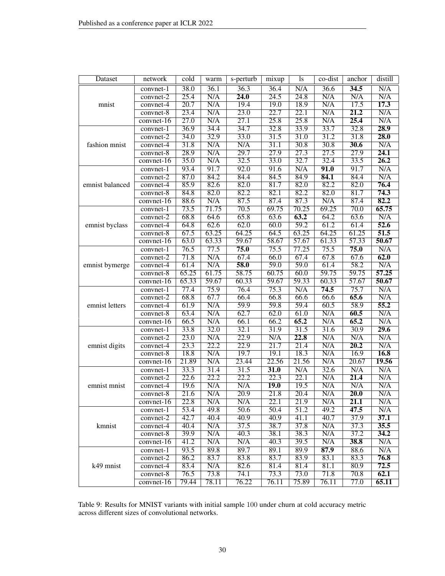| Dataset         | network                  | cold              | warm                    | s-perturb         | mixup             | <sup>1</sup> s    | co-dist     | anchor            | distill     |
|-----------------|--------------------------|-------------------|-------------------------|-------------------|-------------------|-------------------|-------------|-------------------|-------------|
|                 | convnet-1                | 38.0              | $\overline{36.1}$       | $\overline{36.3}$ | 36.4              | N/A               | 36.6        | 34.5              | N/A         |
|                 | $convnet-2$              | 25.4              | N/A                     | 24.0              | 24.5              | 24.8              | N/A         | N/A               | N/A         |
| mnist           | $convnet-4$              | $\overline{20.7}$ | N/A                     | 19.4              | 19.0              | 18.9              | N/A         | 17.5              | 17.3        |
|                 | $convnet-8$              | 23.4              | N/A                     | $\overline{23.0}$ | $\overline{22.7}$ | $\overline{22.1}$ | N/A         | 21.2              | N/A         |
|                 | convnet-16               | 27.0              | $\overline{\text{N/A}}$ | 27.1              | 25.8              | 25.8              | N/A         | 25.4              | N/A         |
|                 | convnet-1                | 36.9              | 34.4                    | 34.7              | 32.8              | 33.9              | 33.7        | 32.8              | 28.9        |
|                 | convnet-2                | 34.0              | 32.9                    | 33.0              | 31.5              | 31.0              | 31.2        | 31.8              | 28.0        |
| fashion mnist   | convnet-4                | 31.8              | N/A                     | N/A               | 31.1              | 30.8              | 30.8        | 30.6              | N/A         |
|                 | $convnet-8$              | $\overline{28.9}$ | N/A                     | 29.7              | $\overline{27.9}$ | $\overline{27.3}$ | 27.5        | 27.9              | 24.1        |
|                 | convnet- $\overline{16}$ | 35.0              | N/A                     | 32.5              | 33.0              | 32.7              | 32.4        | 33.5              | 26.2        |
|                 | convnet-1                | 93.4              | 91.7                    | 92.0              | 91.6              | N/A               | 91.0        | 91.7              | N/A         |
|                 | $convnet-2$              | 87.0              | 84.2                    | 84.4              | 84.5              | 84.9              | 84.1        | 84.4              | N/A         |
| emnist balanced | convnet-4                | 85.9              | 82.6                    | 82.0              | 81.7              | 82.0              | 82.2        | 82.0              | 76.4        |
|                 | convnet-8                | 84.8              | 82.0                    | 82.2              | 82.1              | 82.2              | 82.0        | 81.7              | 74.3        |
|                 | convnet- $\overline{16}$ | 88.6              | N/A                     | 87.5              | 87.4              | 87.3              | N/A         | 87.4              | 82.2        |
|                 | convnet-1                | 73.5              | 71.75                   | 70.5              | 69.75             | 70.25             | 69.25       | $\overline{70.0}$ | 65.75       |
|                 | $convnet-2$              | 68.8              | 64.6                    | 65.8              | 63.6              | 63.2              | 64.2        | 63.6              | N/A         |
| emnist byclass  | convnet-4                | 64.8              | 62.6                    | 62.0              | 60.0              | 59.2              | 61.2        | 61.4              | 52.6        |
|                 | convnet-8                | 67.5              | 63.25                   | 64.25             | 64.5              | 63.25             | 64.25       | 61.25             | 51.5        |
|                 | convnet-16               | 63.0              | 63.33                   | 59.67             | 58.67             | 57.67             | 61.33       | 57.33             | 50.67       |
|                 | convnet-1                | 76.5              | 77.5                    | 75.0              | 75.5              | 77.25             | 75.5        | 75.0              | N/A         |
|                 | $convnet-2$              | 71.8              | N/A                     | 67.4              | 66.0              | 67.4              | 67.8        | 67.6              | 62.0        |
| emnist bymerge  | convnet-4                | 61.4              | N/A                     | 58.0              | 59.0              | 59.0              | 61.4        | 58.2              | N/A         |
|                 | $convnet-8$              | 65.25             | 61.75                   | 58.75             | 60.75             | 60.0              | 59.75       | 59.75             | 57.25       |
|                 | convnet-16               | 65.33             | 59.67                   | 60.33             | 59.67             | 59.33             | 60.33       | 57.67             | 50.67       |
|                 | convnet-1                | 77.4              | 75.9                    | 76.4              | 75.3              | N/A               | 74.5        | 75.7              | N/A         |
|                 | convnet-2                | 68.8              | 67.7                    | 66.4              | 66.8              | 66.6              | 66.6        | 65.6              | N/A         |
| emnist letters  | convnet-4                | 61.9              | N/A                     | 59.9              | 59.8              | 59.4              | 60.5        | 58.9              | 55.2        |
|                 | $convnet-8$              | 63.4              | N/A<br>N/A              | 62.7              | 62.0              | 61.0<br>65.2      | N/A<br>N/A  | 60.5<br>65.2      | N/A<br>N/A  |
|                 | convnet-16               | 66.5              |                         | 66.1              | 66.2              |                   |             |                   | <b>29.6</b> |
|                 | convnet-1                | 33.8<br>23.0      | 32.0<br>N/A             | 32.1<br>22.9      | 31.9<br>N/A       | 31.5<br>22.8      | 31.6<br>N/A | 30.9<br>N/A       | N/A         |
| emnist digits   | convnet-2                | $\overline{23.3}$ | 22.2                    | $\overline{22.9}$ | 21.7              | 21.4              | N/A         | 20.2              | N/A         |
|                 | convnet-4<br>$convnet-8$ | 18.8              | N/A                     | 19.7              | 19.1              | 18.3              | N/A         | 16.9              | 16.8        |
|                 | convnet- $\overline{16}$ | 21.89             | N/A                     | 23.44             | 22.56             | 21.56             | N/A         | 20.67             | 19.56       |
|                 | convnet-1                | 33.3              | 31.4                    | 31.5              | 31.0              | N/A               | 32.6        | N/A               | N/A         |
|                 | convnet-2                | $\overline{22.6}$ | $\overline{22.2}$       | 22.2              | $\overline{22.3}$ | 22.1              | N/A         | 21.4              | N/A         |
| emnist mnist    | convnet-4                | 19.6              | N/A                     | N/A               | 19.0              | 19.5              | N/A         | N/A               | N/A         |
|                 | convnet-8                | 21.6              | N/A                     | 20.9              | $\overline{21.8}$ | $\overline{20.4}$ | N/A         | 20.0              | N/A         |
|                 | convnet-16               | 22.8              | N/A                     | N/A               | 22.1              | 21.9              | N/A         | 21.1              | N/A         |
|                 | convnet-1                | 53.4              | 49.8                    | $\overline{50.6}$ | $\overline{50.4}$ | 51.2              | 49.2        | 47.5              | N/A         |
|                 | convnet-2                | 42.7              | 40.4                    | $\overline{40.9}$ | 40.9              | 41.1              | 40.7        | 37.9              | 37.1        |
| kmnist          | convnet-4                | 40.4              | N/A                     | 37.5              | 38.7              | 37.8              | N/A         | 37.3              | 35.5        |
|                 | convnet-8                | 39.9              | N/A                     | 40.3              | 38.1              | 38.3              | N/A         | 37.2              | 34.2        |
|                 | $convnet-16$             | 41.2              | N/A                     | N/A               | 40.3              | 39.5              | N/A         | 38.8              | N/A         |
|                 | convnet-1                | 93.5              | 89.8                    | 89.7              | 89.1              | 89.9              | 87.9        | 88.6              | N/A         |
|                 | convnet-2                | 86.2              | 83.7                    | 83.8              | 83.7              | 83.9              | 83.1        | 83.3              | 76.8        |
| k49 mnist       | convnet-4                | 83.4              | N/A                     | 82.6              | 81.4              | 81.4              | 81.1        | 80.9              | 72.5        |
|                 | $convnet-8$              | 76.5              | 73.8                    | 74.1              | 73.3              | 73.0              | 71.8        | 70.8              | 62.1        |
|                 | $convnet-16$             | 79.44             | 78.11                   | 76.22             | 76.11             | 75.89             | 76.11       | $\overline{77.0}$ | 65.11       |
|                 |                          |                   |                         |                   |                   |                   |             |                   |             |

<span id="page-29-0"></span>Table 9: Results for MNIST variants with initial sample 100 under churn at cold accuracy metric across different sizes of convolutional networks.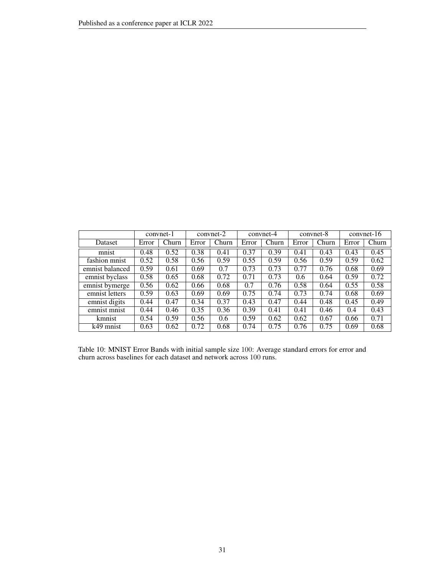|                 |       | convnet-1 |       | convnet-2 |       | convnet-4 |       | convnet-8 |       | $convnet-16$ |
|-----------------|-------|-----------|-------|-----------|-------|-----------|-------|-----------|-------|--------------|
| Dataset         | Error | Churn     | Error | Churn     | Error | Churn     | Error | Churn     | Error | Churn        |
| mnist           | 0.48  | 0.52      | 0.38  | 0.41      | 0.37  | 0.39      | 0.41  | 0.43      | 0.43  | 0.45         |
| fashion mnist   | 0.52  | 0.58      | 0.56  | 0.59      | 0.55  | 0.59      | 0.56  | 0.59      | 0.59  | 0.62         |
| emnist balanced | 0.59  | 0.61      | 0.69  | 0.7       | 0.73  | 0.73      | 0.77  | 0.76      | 0.68  | 0.69         |
| emnist byclass  | 0.58  | 0.65      | 0.68  | 0.72      | 0.71  | 0.73      | 0.6   | 0.64      | 0.59  | 0.72         |
| emnist bymerge  | 0.56  | 0.62      | 0.66  | 0.68      | 0.7   | 0.76      | 0.58  | 0.64      | 0.55  | 0.58         |
| emnist letters  | 0.59  | 0.63      | 0.69  | 0.69      | 0.75  | 0.74      | 0.73  | 0.74      | 0.68  | 0.69         |
| emnist digits   | 0.44  | 0.47      | 0.34  | 0.37      | 0.43  | 0.47      | 0.44  | 0.48      | 0.45  | 0.49         |
| emnist mnist    | 0.44  | 0.46      | 0.35  | 0.36      | 0.39  | 0.41      | 0.41  | 0.46      | 0.4   | 0.43         |
| kmnist          | 0.54  | 0.59      | 0.56  | 0.6       | 0.59  | 0.62      | 0.62  | 0.67      | 0.66  | 0.71         |
| k49 mnist       | 0.63  | 0.62      | 0.72  | 0.68      | 0.74  | 0.75      | 0.76  | 0.75      | 0.69  | 0.68         |

<span id="page-30-0"></span>Table 10: MNIST Error Bands with initial sample size 100: Average standard errors for error and churn across baselines for each dataset and network across 100 runs.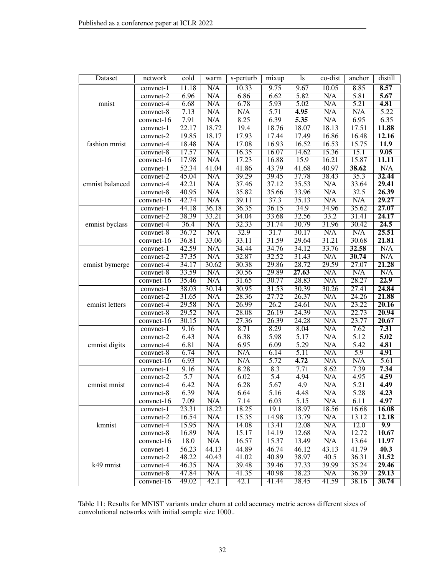| N/A<br>10.33<br>9.75<br>9.67<br>8.85<br>8.57<br>11.18<br>10.05<br>convnet-1<br>6.96<br>N/A<br>6.86<br>6.62<br>5.82<br>5.81<br>5.67<br>N/A<br>$convnet-2$<br>N/A<br>$\overline{\text{N/A}}$<br>5.21<br>4.81<br>6.68<br>6.78<br>5.93<br>5.02<br>mnist<br>convnet-4<br>$\overline{5.22}$<br>N/A<br>N/A<br>5.71<br>4.95<br>N/A<br>N/A<br>7.13<br>$convnet-8$<br>8.25<br>6.39<br>5.35<br>6.35<br>7.91<br>N/A<br>N/A<br>6.95<br>$convnet-16$<br>22.17<br>18.72<br>19.4<br>18.76<br>18.07<br>17.51<br>11.88<br>18.13<br>convnet-1<br>17.93<br>19.85<br>18.17<br>17.44<br>17.49<br>16.86<br>16.48<br>12.16<br>convnet-2<br>18.48<br>N/A<br>16.93<br>11.9<br>17.08<br>16.52<br>16.53<br>15.75<br>fashion mnist<br>convnet-4<br>N/A<br>16.35<br>9.05<br>17.57<br>16.07<br>14.62<br>15.36<br>15.1<br>$convnet-8$<br>17.98<br>N/A<br>17.23<br>16.88<br>15.9<br>16.21<br>15.87<br>11.11<br>convnet- $16$<br>52.34<br>N/A<br>41.04<br>41.86<br>43.79<br>40.97<br>38.62<br>41.68<br>convnet-1<br>N/A<br>39.29<br>32.44<br>45.04<br>39.45<br>37.78<br>38.43<br>35.3<br>$convnet-2$<br>29.41<br>42.21<br>N/A<br>37.46<br>37.12<br>35.53<br>N/A<br>33.64<br>emnist balanced<br>convnet-4<br>26.39<br>40.95<br>N/A<br>35.82<br>35.66<br>33.96<br>N/A<br>32.5<br>convnet-8<br>29.27<br>42.74<br>N/A<br>39.11<br>37.3<br>N/A<br>N/A<br>35.13<br>convnet-16<br>44.18<br>36.18<br>36.35<br>36.15<br>34.9<br>35.62<br>27.07<br>34.96<br>convnet-1<br>38.39<br>33.21<br>33.68<br>32.56<br>33.2<br>24.17<br>34.04<br>31.41<br>$convnet-2$<br>N/A<br>24.5<br>36.4<br>32.33<br>31.74<br>30.79<br>31.96<br>30.42<br>emnist byclass<br>$convnet-4$<br>36.72<br>N/A<br>32.9<br>31.7<br>30.17<br>N/A<br>N/A<br>25.51<br>$convnet-8$<br>33.11<br>31.59<br>36.81<br>33.06<br>29.64<br>31.21<br>30.68<br>21.81<br>convnet-16<br>42.59<br>N/A<br>34.44<br>34.76<br>32.58<br>N/A<br>34.12<br>33.76<br>convnet-1<br>N/A<br>32.52<br>N/A<br>30.74<br>N/A<br>37.35<br>32.87<br>31.43<br>$convnet-2$<br>30.62<br>30.38<br>29.86<br>28.72<br>29.59<br>27.07<br>21.28<br>34.17<br>emnist bymerge<br>convnet-4<br>$\overline{\text{N/A}}$<br>33.59<br>N/A<br>29.89<br>N/A<br>N/A<br>30.56<br>27.63<br>$convnet-8$<br>28.27<br>22.9<br>N/A<br>30.77<br>28.83<br>N/A<br>35.46<br>31.65<br>$convnet-16$ |
|----------------------------------------------------------------------------------------------------------------------------------------------------------------------------------------------------------------------------------------------------------------------------------------------------------------------------------------------------------------------------------------------------------------------------------------------------------------------------------------------------------------------------------------------------------------------------------------------------------------------------------------------------------------------------------------------------------------------------------------------------------------------------------------------------------------------------------------------------------------------------------------------------------------------------------------------------------------------------------------------------------------------------------------------------------------------------------------------------------------------------------------------------------------------------------------------------------------------------------------------------------------------------------------------------------------------------------------------------------------------------------------------------------------------------------------------------------------------------------------------------------------------------------------------------------------------------------------------------------------------------------------------------------------------------------------------------------------------------------------------------------------------------------------------------------------------------------------------------------------------------------------------------------------------------------------------------------------------------------------------------------------------------------------------------------------------------------------------------------------------------------------------------------------------------------------------------------------------------------------------------------|
|                                                                                                                                                                                                                                                                                                                                                                                                                                                                                                                                                                                                                                                                                                                                                                                                                                                                                                                                                                                                                                                                                                                                                                                                                                                                                                                                                                                                                                                                                                                                                                                                                                                                                                                                                                                                                                                                                                                                                                                                                                                                                                                                                                                                                                                          |
|                                                                                                                                                                                                                                                                                                                                                                                                                                                                                                                                                                                                                                                                                                                                                                                                                                                                                                                                                                                                                                                                                                                                                                                                                                                                                                                                                                                                                                                                                                                                                                                                                                                                                                                                                                                                                                                                                                                                                                                                                                                                                                                                                                                                                                                          |
|                                                                                                                                                                                                                                                                                                                                                                                                                                                                                                                                                                                                                                                                                                                                                                                                                                                                                                                                                                                                                                                                                                                                                                                                                                                                                                                                                                                                                                                                                                                                                                                                                                                                                                                                                                                                                                                                                                                                                                                                                                                                                                                                                                                                                                                          |
|                                                                                                                                                                                                                                                                                                                                                                                                                                                                                                                                                                                                                                                                                                                                                                                                                                                                                                                                                                                                                                                                                                                                                                                                                                                                                                                                                                                                                                                                                                                                                                                                                                                                                                                                                                                                                                                                                                                                                                                                                                                                                                                                                                                                                                                          |
|                                                                                                                                                                                                                                                                                                                                                                                                                                                                                                                                                                                                                                                                                                                                                                                                                                                                                                                                                                                                                                                                                                                                                                                                                                                                                                                                                                                                                                                                                                                                                                                                                                                                                                                                                                                                                                                                                                                                                                                                                                                                                                                                                                                                                                                          |
|                                                                                                                                                                                                                                                                                                                                                                                                                                                                                                                                                                                                                                                                                                                                                                                                                                                                                                                                                                                                                                                                                                                                                                                                                                                                                                                                                                                                                                                                                                                                                                                                                                                                                                                                                                                                                                                                                                                                                                                                                                                                                                                                                                                                                                                          |
|                                                                                                                                                                                                                                                                                                                                                                                                                                                                                                                                                                                                                                                                                                                                                                                                                                                                                                                                                                                                                                                                                                                                                                                                                                                                                                                                                                                                                                                                                                                                                                                                                                                                                                                                                                                                                                                                                                                                                                                                                                                                                                                                                                                                                                                          |
|                                                                                                                                                                                                                                                                                                                                                                                                                                                                                                                                                                                                                                                                                                                                                                                                                                                                                                                                                                                                                                                                                                                                                                                                                                                                                                                                                                                                                                                                                                                                                                                                                                                                                                                                                                                                                                                                                                                                                                                                                                                                                                                                                                                                                                                          |
|                                                                                                                                                                                                                                                                                                                                                                                                                                                                                                                                                                                                                                                                                                                                                                                                                                                                                                                                                                                                                                                                                                                                                                                                                                                                                                                                                                                                                                                                                                                                                                                                                                                                                                                                                                                                                                                                                                                                                                                                                                                                                                                                                                                                                                                          |
|                                                                                                                                                                                                                                                                                                                                                                                                                                                                                                                                                                                                                                                                                                                                                                                                                                                                                                                                                                                                                                                                                                                                                                                                                                                                                                                                                                                                                                                                                                                                                                                                                                                                                                                                                                                                                                                                                                                                                                                                                                                                                                                                                                                                                                                          |
|                                                                                                                                                                                                                                                                                                                                                                                                                                                                                                                                                                                                                                                                                                                                                                                                                                                                                                                                                                                                                                                                                                                                                                                                                                                                                                                                                                                                                                                                                                                                                                                                                                                                                                                                                                                                                                                                                                                                                                                                                                                                                                                                                                                                                                                          |
|                                                                                                                                                                                                                                                                                                                                                                                                                                                                                                                                                                                                                                                                                                                                                                                                                                                                                                                                                                                                                                                                                                                                                                                                                                                                                                                                                                                                                                                                                                                                                                                                                                                                                                                                                                                                                                                                                                                                                                                                                                                                                                                                                                                                                                                          |
|                                                                                                                                                                                                                                                                                                                                                                                                                                                                                                                                                                                                                                                                                                                                                                                                                                                                                                                                                                                                                                                                                                                                                                                                                                                                                                                                                                                                                                                                                                                                                                                                                                                                                                                                                                                                                                                                                                                                                                                                                                                                                                                                                                                                                                                          |
|                                                                                                                                                                                                                                                                                                                                                                                                                                                                                                                                                                                                                                                                                                                                                                                                                                                                                                                                                                                                                                                                                                                                                                                                                                                                                                                                                                                                                                                                                                                                                                                                                                                                                                                                                                                                                                                                                                                                                                                                                                                                                                                                                                                                                                                          |
|                                                                                                                                                                                                                                                                                                                                                                                                                                                                                                                                                                                                                                                                                                                                                                                                                                                                                                                                                                                                                                                                                                                                                                                                                                                                                                                                                                                                                                                                                                                                                                                                                                                                                                                                                                                                                                                                                                                                                                                                                                                                                                                                                                                                                                                          |
|                                                                                                                                                                                                                                                                                                                                                                                                                                                                                                                                                                                                                                                                                                                                                                                                                                                                                                                                                                                                                                                                                                                                                                                                                                                                                                                                                                                                                                                                                                                                                                                                                                                                                                                                                                                                                                                                                                                                                                                                                                                                                                                                                                                                                                                          |
|                                                                                                                                                                                                                                                                                                                                                                                                                                                                                                                                                                                                                                                                                                                                                                                                                                                                                                                                                                                                                                                                                                                                                                                                                                                                                                                                                                                                                                                                                                                                                                                                                                                                                                                                                                                                                                                                                                                                                                                                                                                                                                                                                                                                                                                          |
|                                                                                                                                                                                                                                                                                                                                                                                                                                                                                                                                                                                                                                                                                                                                                                                                                                                                                                                                                                                                                                                                                                                                                                                                                                                                                                                                                                                                                                                                                                                                                                                                                                                                                                                                                                                                                                                                                                                                                                                                                                                                                                                                                                                                                                                          |
|                                                                                                                                                                                                                                                                                                                                                                                                                                                                                                                                                                                                                                                                                                                                                                                                                                                                                                                                                                                                                                                                                                                                                                                                                                                                                                                                                                                                                                                                                                                                                                                                                                                                                                                                                                                                                                                                                                                                                                                                                                                                                                                                                                                                                                                          |
|                                                                                                                                                                                                                                                                                                                                                                                                                                                                                                                                                                                                                                                                                                                                                                                                                                                                                                                                                                                                                                                                                                                                                                                                                                                                                                                                                                                                                                                                                                                                                                                                                                                                                                                                                                                                                                                                                                                                                                                                                                                                                                                                                                                                                                                          |
|                                                                                                                                                                                                                                                                                                                                                                                                                                                                                                                                                                                                                                                                                                                                                                                                                                                                                                                                                                                                                                                                                                                                                                                                                                                                                                                                                                                                                                                                                                                                                                                                                                                                                                                                                                                                                                                                                                                                                                                                                                                                                                                                                                                                                                                          |
|                                                                                                                                                                                                                                                                                                                                                                                                                                                                                                                                                                                                                                                                                                                                                                                                                                                                                                                                                                                                                                                                                                                                                                                                                                                                                                                                                                                                                                                                                                                                                                                                                                                                                                                                                                                                                                                                                                                                                                                                                                                                                                                                                                                                                                                          |
|                                                                                                                                                                                                                                                                                                                                                                                                                                                                                                                                                                                                                                                                                                                                                                                                                                                                                                                                                                                                                                                                                                                                                                                                                                                                                                                                                                                                                                                                                                                                                                                                                                                                                                                                                                                                                                                                                                                                                                                                                                                                                                                                                                                                                                                          |
|                                                                                                                                                                                                                                                                                                                                                                                                                                                                                                                                                                                                                                                                                                                                                                                                                                                                                                                                                                                                                                                                                                                                                                                                                                                                                                                                                                                                                                                                                                                                                                                                                                                                                                                                                                                                                                                                                                                                                                                                                                                                                                                                                                                                                                                          |
|                                                                                                                                                                                                                                                                                                                                                                                                                                                                                                                                                                                                                                                                                                                                                                                                                                                                                                                                                                                                                                                                                                                                                                                                                                                                                                                                                                                                                                                                                                                                                                                                                                                                                                                                                                                                                                                                                                                                                                                                                                                                                                                                                                                                                                                          |
| 38.03<br>30.14<br>30.95<br>31.53<br>30.39<br>30.26<br>27.41<br>24.84<br>convnet-1                                                                                                                                                                                                                                                                                                                                                                                                                                                                                                                                                                                                                                                                                                                                                                                                                                                                                                                                                                                                                                                                                                                                                                                                                                                                                                                                                                                                                                                                                                                                                                                                                                                                                                                                                                                                                                                                                                                                                                                                                                                                                                                                                                        |
| N/A<br>24.26<br>21.88<br>31.65<br>28.36<br>27.72<br>26.37<br>N/A<br>convnet-2                                                                                                                                                                                                                                                                                                                                                                                                                                                                                                                                                                                                                                                                                                                                                                                                                                                                                                                                                                                                                                                                                                                                                                                                                                                                                                                                                                                                                                                                                                                                                                                                                                                                                                                                                                                                                                                                                                                                                                                                                                                                                                                                                                            |
| N/A<br>N/A<br>23.22<br>20.16<br>29.58<br>26.99<br>26.2<br>24.61<br>emnist letters<br>convnet-4                                                                                                                                                                                                                                                                                                                                                                                                                                                                                                                                                                                                                                                                                                                                                                                                                                                                                                                                                                                                                                                                                                                                                                                                                                                                                                                                                                                                                                                                                                                                                                                                                                                                                                                                                                                                                                                                                                                                                                                                                                                                                                                                                           |
| 29.52<br>N/A<br>28.08<br>26.19<br>24.39<br>N/A<br>22.73<br>20.94<br>$convnet-8$                                                                                                                                                                                                                                                                                                                                                                                                                                                                                                                                                                                                                                                                                                                                                                                                                                                                                                                                                                                                                                                                                                                                                                                                                                                                                                                                                                                                                                                                                                                                                                                                                                                                                                                                                                                                                                                                                                                                                                                                                                                                                                                                                                          |
| N/A<br>30.15<br>27.36<br>26.39<br>24.28<br>N/A<br>23.77<br>20.67<br>convnet-16                                                                                                                                                                                                                                                                                                                                                                                                                                                                                                                                                                                                                                                                                                                                                                                                                                                                                                                                                                                                                                                                                                                                                                                                                                                                                                                                                                                                                                                                                                                                                                                                                                                                                                                                                                                                                                                                                                                                                                                                                                                                                                                                                                           |
| N/A<br>7.31<br>8.71<br>8.29<br>8.04<br>N/A<br>7.62<br>9.16<br>convnet-1                                                                                                                                                                                                                                                                                                                                                                                                                                                                                                                                                                                                                                                                                                                                                                                                                                                                                                                                                                                                                                                                                                                                                                                                                                                                                                                                                                                                                                                                                                                                                                                                                                                                                                                                                                                                                                                                                                                                                                                                                                                                                                                                                                                  |
| N/A<br>6.38<br>5.98<br>N/A<br>5.02<br>6.43<br>5.17<br>5.12<br>convnet-2                                                                                                                                                                                                                                                                                                                                                                                                                                                                                                                                                                                                                                                                                                                                                                                                                                                                                                                                                                                                                                                                                                                                                                                                                                                                                                                                                                                                                                                                                                                                                                                                                                                                                                                                                                                                                                                                                                                                                                                                                                                                                                                                                                                  |
| $\overline{5.29}$<br>4.81<br>6.81<br>N/A<br>6.95<br>6.09<br>N/A<br>5.42<br>emnist digits<br>convnet-4<br>6.74<br>5.9<br>4.91                                                                                                                                                                                                                                                                                                                                                                                                                                                                                                                                                                                                                                                                                                                                                                                                                                                                                                                                                                                                                                                                                                                                                                                                                                                                                                                                                                                                                                                                                                                                                                                                                                                                                                                                                                                                                                                                                                                                                                                                                                                                                                                             |
| N/A<br>N/A<br>N/A<br>6.14<br>5.11<br>$convnet-8$<br>N/A<br>6.93<br>N/A<br>N/A<br>5.72<br>4.72<br>N/A<br>5.61<br>convnet-16                                                                                                                                                                                                                                                                                                                                                                                                                                                                                                                                                                                                                                                                                                                                                                                                                                                                                                                                                                                                                                                                                                                                                                                                                                                                                                                                                                                                                                                                                                                                                                                                                                                                                                                                                                                                                                                                                                                                                                                                                                                                                                                               |
| 7.39<br>7.34<br>N/A<br>8.28<br>8.3<br>7.71<br>8.62<br>9.16                                                                                                                                                                                                                                                                                                                                                                                                                                                                                                                                                                                                                                                                                                                                                                                                                                                                                                                                                                                                                                                                                                                                                                                                                                                                                                                                                                                                                                                                                                                                                                                                                                                                                                                                                                                                                                                                                                                                                                                                                                                                                                                                                                                               |
| convnet-1<br>4.59<br>$\overline{5.7}$<br>N/A<br>$\overline{5.4}$<br>6.02<br>4.94<br>N/A<br>4.95<br>$convnet-2$                                                                                                                                                                                                                                                                                                                                                                                                                                                                                                                                                                                                                                                                                                                                                                                                                                                                                                                                                                                                                                                                                                                                                                                                                                                                                                                                                                                                                                                                                                                                                                                                                                                                                                                                                                                                                                                                                                                                                                                                                                                                                                                                           |
| 4.49<br>6.42<br>N/A<br>6.28<br>5.67<br>4.9<br>N/A<br>5.21<br>emnist mnist<br>convnet-4                                                                                                                                                                                                                                                                                                                                                                                                                                                                                                                                                                                                                                                                                                                                                                                                                                                                                                                                                                                                                                                                                                                                                                                                                                                                                                                                                                                                                                                                                                                                                                                                                                                                                                                                                                                                                                                                                                                                                                                                                                                                                                                                                                   |
| 4.23<br>6.39<br>N/A<br>4.48<br>N/A<br>5.28<br>6.64<br>5.16<br>convnet-8                                                                                                                                                                                                                                                                                                                                                                                                                                                                                                                                                                                                                                                                                                                                                                                                                                                                                                                                                                                                                                                                                                                                                                                                                                                                                                                                                                                                                                                                                                                                                                                                                                                                                                                                                                                                                                                                                                                                                                                                                                                                                                                                                                                  |
| 4.97<br>convnet-16<br>7.09<br>N/A<br>7.14<br>6.03<br>5.15<br>N/A<br>6.11                                                                                                                                                                                                                                                                                                                                                                                                                                                                                                                                                                                                                                                                                                                                                                                                                                                                                                                                                                                                                                                                                                                                                                                                                                                                                                                                                                                                                                                                                                                                                                                                                                                                                                                                                                                                                                                                                                                                                                                                                                                                                                                                                                                 |
| 23.31<br>18.22<br>18.25<br>19.1<br>18.97<br>18.56<br>16.68<br>16.08<br>convnet-1                                                                                                                                                                                                                                                                                                                                                                                                                                                                                                                                                                                                                                                                                                                                                                                                                                                                                                                                                                                                                                                                                                                                                                                                                                                                                                                                                                                                                                                                                                                                                                                                                                                                                                                                                                                                                                                                                                                                                                                                                                                                                                                                                                         |
| 16.54<br>N/A<br>15.35<br>14.98<br>13.79<br>N/A<br>13.12<br>12.18<br>convnet-2                                                                                                                                                                                                                                                                                                                                                                                                                                                                                                                                                                                                                                                                                                                                                                                                                                                                                                                                                                                                                                                                                                                                                                                                                                                                                                                                                                                                                                                                                                                                                                                                                                                                                                                                                                                                                                                                                                                                                                                                                                                                                                                                                                            |
| kmnist<br>N/A<br>N/A<br>12.0<br>9.9<br>15.95<br>14.08<br>13.41<br>12.08<br>$convnet-4$                                                                                                                                                                                                                                                                                                                                                                                                                                                                                                                                                                                                                                                                                                                                                                                                                                                                                                                                                                                                                                                                                                                                                                                                                                                                                                                                                                                                                                                                                                                                                                                                                                                                                                                                                                                                                                                                                                                                                                                                                                                                                                                                                                   |
| N/A<br>N/A<br>16.89<br>15.17<br>14.19<br>12.68<br>12.72<br>10.67<br>convnet-8                                                                                                                                                                                                                                                                                                                                                                                                                                                                                                                                                                                                                                                                                                                                                                                                                                                                                                                                                                                                                                                                                                                                                                                                                                                                                                                                                                                                                                                                                                                                                                                                                                                                                                                                                                                                                                                                                                                                                                                                                                                                                                                                                                            |
| N/A<br>15.37<br>18.0<br>16.57<br>13.49<br>N/A<br>13.64<br><b>11.97</b><br>convnet-16                                                                                                                                                                                                                                                                                                                                                                                                                                                                                                                                                                                                                                                                                                                                                                                                                                                                                                                                                                                                                                                                                                                                                                                                                                                                                                                                                                                                                                                                                                                                                                                                                                                                                                                                                                                                                                                                                                                                                                                                                                                                                                                                                                     |
| 56.23<br>44.13<br>44.89<br>46.74<br>46.12<br>43.13<br>41.79<br>40.3<br>convnet-1                                                                                                                                                                                                                                                                                                                                                                                                                                                                                                                                                                                                                                                                                                                                                                                                                                                                                                                                                                                                                                                                                                                                                                                                                                                                                                                                                                                                                                                                                                                                                                                                                                                                                                                                                                                                                                                                                                                                                                                                                                                                                                                                                                         |
| 48.22<br>40.43<br>40.89<br>38.97<br>40.5<br>31.52<br>41.02<br>36.31<br>convnet-2                                                                                                                                                                                                                                                                                                                                                                                                                                                                                                                                                                                                                                                                                                                                                                                                                                                                                                                                                                                                                                                                                                                                                                                                                                                                                                                                                                                                                                                                                                                                                                                                                                                                                                                                                                                                                                                                                                                                                                                                                                                                                                                                                                         |
| N/A<br>39.46<br>37.33<br>39.99<br>35.24<br>29.46<br>k49 mnist<br>46.35<br>39.48<br>convnet-4                                                                                                                                                                                                                                                                                                                                                                                                                                                                                                                                                                                                                                                                                                                                                                                                                                                                                                                                                                                                                                                                                                                                                                                                                                                                                                                                                                                                                                                                                                                                                                                                                                                                                                                                                                                                                                                                                                                                                                                                                                                                                                                                                             |
| 47.84<br>N/A<br>41.35<br>40.98<br>38.23<br>N/A<br>36.39<br>29.13<br>convnet-8                                                                                                                                                                                                                                                                                                                                                                                                                                                                                                                                                                                                                                                                                                                                                                                                                                                                                                                                                                                                                                                                                                                                                                                                                                                                                                                                                                                                                                                                                                                                                                                                                                                                                                                                                                                                                                                                                                                                                                                                                                                                                                                                                                            |
| 30.74<br>49.02<br>42.1<br>42.1<br>41.44<br>38.45<br>41.59<br>38.16<br>convnet-16                                                                                                                                                                                                                                                                                                                                                                                                                                                                                                                                                                                                                                                                                                                                                                                                                                                                                                                                                                                                                                                                                                                                                                                                                                                                                                                                                                                                                                                                                                                                                                                                                                                                                                                                                                                                                                                                                                                                                                                                                                                                                                                                                                         |

<span id="page-31-0"></span>Table 11: Results for MNIST variants under churn at cold accuracy metric across different sizes of convolutional networks with initial sample size 1000..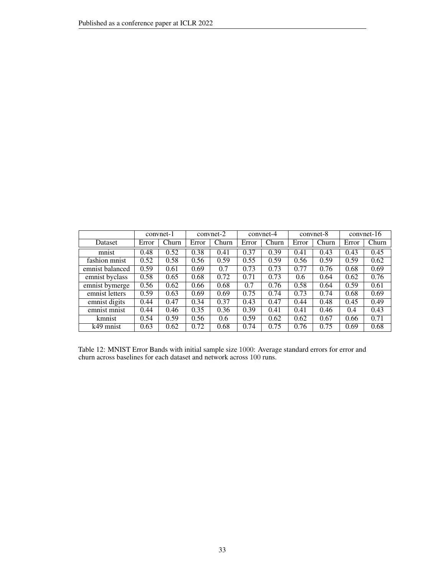|                 |       | convnet-1 |       | convnet-2 |       | convnet-4 |       | convnet-8 | $convnet-16$ |       |
|-----------------|-------|-----------|-------|-----------|-------|-----------|-------|-----------|--------------|-------|
| Dataset         | Error | Churn     | Error | Churn     | Error | Churn     | Error | Churn     | Error        | Churn |
| mnist           | 0.48  | 0.52      | 0.38  | 0.41      | 0.37  | 0.39      | 0.41  | 0.43      | 0.43         | 0.45  |
| fashion mnist   | 0.52  | 0.58      | 0.56  | 0.59      | 0.55  | 0.59      | 0.56  | 0.59      | 0.59         | 0.62  |
| emnist balanced | 0.59  | 0.61      | 0.69  | 0.7       | 0.73  | 0.73      | 0.77  | 0.76      | 0.68         | 0.69  |
| emnist byclass  | 0.58  | 0.65      | 0.68  | 0.72      | 0.71  | 0.73      | 0.6   | 0.64      | 0.62         | 0.76  |
| emnist bymerge  | 0.56  | 0.62      | 0.66  | 0.68      | 0.7   | 0.76      | 0.58  | 0.64      | 0.59         | 0.61  |
| emnist letters  | 0.59  | 0.63      | 0.69  | 0.69      | 0.75  | 0.74      | 0.73  | 0.74      | 0.68         | 0.69  |
| emnist digits   | 0.44  | 0.47      | 0.34  | 0.37      | 0.43  | 0.47      | 0.44  | 0.48      | 0.45         | 0.49  |
| emnist mnist    | 0.44  | 0.46      | 0.35  | 0.36      | 0.39  | 0.41      | 0.41  | 0.46      | 0.4          | 0.43  |
| kmnist          | 0.54  | 0.59      | 0.56  | 0.6       | 0.59  | 0.62      | 0.62  | 0.67      | 0.66         | 0.71  |
| k49 mnist       | 0.63  | 0.62      | 0.72  | 0.68      | 0.74  | 0.75      | 0.76  | 0.75      | 0.69         | 0.68  |

<span id="page-32-0"></span>Table 12: MNIST Error Bands with initial sample size 1000: Average standard errors for error and churn across baselines for each dataset and network across 100 runs.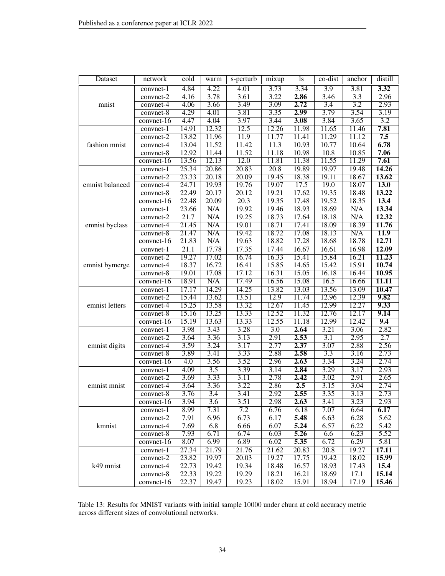| Dataset         | network                  | cold                     | warm             | s-perturb        | mixup        | <sup>1</sup> s | co-dist           | anchor       | distill      |
|-----------------|--------------------------|--------------------------|------------------|------------------|--------------|----------------|-------------------|--------------|--------------|
|                 | convnet-1                | 4.84                     | 4.22             | 4.01             | 3.73         | 3.34           | $\overline{3.9}$  | 3.81         | 3.32         |
|                 | $convnet-2$              | 4.16                     | 3.78             | 3.61             | 3.22         | 2.86           | 3.46              | 3.3          | 2.96         |
| mnist           | $convnet-4$              | 4.06                     | 3.66             | 3.49             | 3.09         | 2.72           | 3.4               | 3.2          | 2.93         |
|                 | $convnet-8$              | 4.29                     | 4.01             | 3.81             | 3.35         | 2.99           | 3.79              | 3.54         | 3.19         |
|                 | convnet- $16$            | 4.47                     | 4.04             | 3.97             | 3.44         | 3.08           | 3.84              | 3.65         | 3.2          |
|                 | convnet-1                | 14.91                    | 12.32            | 12.5             | 12.26        | 11.98          | 11.65             | 11.46        | 7.81         |
|                 | convnet-2                | 13.82                    | 11.96            | 11.9             | 11.77        | 11.41          | 11.29             | 11.12        | 7.5          |
| fashion mnist   | convnet-4                | 13.04                    | 11.52            | 11.42            | 11.3         | 10.93          | 10.77             | 10.64        | 6.78         |
|                 | $convnet-8$              | 12.92                    | 11.44            | 11.52            | 11.18        | 10.98          | 10.8              | 10.85        | 7.06         |
|                 | convnet- $\overline{16}$ | 13.56                    | 12.13            | 12.0             | 11.81        | 11.38          | 11.55             | 11.29        | 7.61         |
|                 | convnet-1                | 25.34                    | 20.86            | 20.83            | 20.8         | 19.89          | 19.97             | 19.48        | 14.26        |
|                 | $convnet-2$              | 23.33                    | 20.18            | 20.09            | 19.45        | 18.38          | 19.11             | 18.67        | 13.62        |
| emnist balanced | convnet-4                | 24.71                    | 19.93            | 19.76            | 19.07        | 17.5           | 19.0              | 18.07        | <b>13.0</b>  |
|                 | $convnet-8$              | 22.49                    | 20.17            | 20.12            | 19.21        | 17.62          | 19.35             | 18.48        | 13.22        |
|                 | convnet- $16$            | 22.48                    | 20.09            | 20.3             | 19.35        | 17.48          | 19.52             | 18.35        | 13.4         |
|                 | convnet-1                | 23.66                    | N/A              | 19.92            | 19.46        | 18.93          | 18.69             | N/A          | 13.34        |
|                 | $convnet-2$              | 21.7                     | N/A              | 19.25            | 18.73        | 17.64          | 18.18             | N/A          | 12.32        |
| emnist byclass  | $convnet-4$              | 21.45                    | N/A              | 19.01            | 18.71        | 17.41          | 18.09             | 18.39        | 11.76        |
|                 | convnet-8                | 21.47                    | N/A              | 19.42            | 18.72        | 17.08          | 18.13             | N/A          | 11.9         |
|                 | convnet-16               | 21.83                    | N/A              | 19.63            | 18.82        | 17.28          | 18.68             | 18.78        | 12.71        |
|                 | convnet-1                | $\overline{21.1}$        | 17.78            | 17.35            | 17.44        | 16.67          | 16.61             | 16.98        | <b>12.09</b> |
|                 | $convnet-2$              | 19.27                    | 17.02            | 16.74            | 16.33        | 15.41          | 15.84             | 16.21        | 11.23        |
| emnist bymerge  | convnet-4                | 18.37                    | 16.72            | 16.41            | 15.85        | 14.65          | 15.42             | 15.91        | 10.74        |
|                 | $convnet-8$              | 19.01                    | 17.08            | 17.12            | 16.31        | 15.05          | 16.18             | 16.44        | 10.95        |
|                 | convnet-16               | 18.91                    | N/A              | 17.49            | 16.56        | 15.08          | 16.5              | 16.66        | <b>11.11</b> |
|                 | convnet-1                | 17.17                    | 14.29            | 14.25            | 13.82        | 13.03          | 13.56             | 13.09        | 10.47        |
|                 | convnet-2                | 15.44                    | 13.62            | 13.51            | 12.9         | 11.74          | 12.96             | 12.39        | 9.82         |
| emnist letters  | $convnet-4$              | 15.25                    | 13.58            | 13.32            | 12.67        | 11.45          | 12.99             | 12.27        | 9.33         |
|                 | $convnet-8$              | 15.16                    | 13.25            | 13.33            | 12.52        | 11.32          | 12.76             | 12.17        | 9.14         |
|                 | $convnet-16$             | 15.19                    | 13.63            | 13.33            | 12.55        | 11.18          | 12.99             | 12.42        | 9.4          |
|                 | convnet-1                | 3.98                     | 3.43             | 3.28             | 3.0          | 2.64           | 3.21              | 3.06         | 2.82         |
|                 | convnet-2                | 3.64                     | 3.36             | 3.13             | 2.91         | 2.53           | 3.1               | 2.95         | 2.7          |
| emnist digits   | convnet-4                | 3.59                     | 3.24             | 3.17             | 2.77<br>2.88 | 2.37<br>2.58   | 3.07              | 2.88<br>3.16 | 2.56<br>2.73 |
|                 | $convnet-8$              | 3.89<br>$\overline{4.0}$ | 3.41<br>3.56     | 3.33<br>3.52     | 2.96         | 2.63           | 3.3<br>3.34       | 3.24         | 2.74         |
|                 | convnet- $16$            | 4.09                     | 3.5              | 3.39             |              | 2.84           | 3.29              |              | 2.93         |
|                 | convnet-1                | 3.69                     | 3.33             | 3.11             | 3.14<br>2.78 | 2.42           | 3.02              | 3.17<br>2.91 | 2.65         |
| emnist mnist    | $convnet-2$<br>convnet-4 | 3.64                     | 3.36             | 3.22             | 2.86         | 2.5            | 3.15              | 3.04         | 2.74         |
|                 | $convnet-8$              | 3.76                     | $\overline{3.4}$ | 3.41             | 2.92         | 2.55           | 3.35              | 3.13         | 2.73         |
|                 | convnet-16               | 3.94                     | 3.6              | 3.51             | 2.98         | 2.63           | 3.41              | 3.23         | 2.93         |
|                 | convnet-1                | 8.99                     | 7.31             | $\overline{7.2}$ | 6.76         | 6.18           | 7.07              | 6.64         | 6.17         |
|                 | convnet-2                | 7.91                     | 6.96             | 6.73             | 6.17         | 5.48           | 6.63              | 6.28         | 5.62         |
| kmnist          | convnet-4                | 7.69                     | 6.8              | 6.66             | 6.07         | 5.24           | 6.57              | 6.22         | 5.42         |
|                 | convnet-8                | 7.93                     | 6.71             | 6.74             | 6.03         | 5.26           | 6.6               | 6.23         | 5.52         |
|                 | convnet-16               | 8.07                     | 6.99             | 6.89             | 6.02         | 5.35           | 6.72              | 6.29         | 5.81         |
|                 | convnet-1                | 27.34                    | 21.79            | 21.76            | 21.62        | 20.83          | $\overline{20.8}$ | 19.27        | 17.11        |
|                 | $convnet-2$              | 23.82                    | 19.97            | 20.03            | 19.27        | 17.75          | 19.42             | 18.02        | 15.99        |
| k49 mnist       | convnet-4                | 22.73                    | 19.42            | 19.34            | 18.48        | 16.57          | 18.93             | 17.43        | 15.4         |
|                 | $convnet-8$              | 22.33                    | 19.22            | 19.29            | 18.21        | 16.21          | 18.69             | 17.1         | 15.14        |
|                 | $convnet-16$             | 22.37                    | 19.47            | 19.23            | 18.02        | 15.91          | 18.94             | 17.19        | 15.46        |
|                 |                          |                          |                  |                  |              |                |                   |              |              |

<span id="page-33-0"></span>Table 13: Results for MNIST variants with initial sample 10000 under churn at cold accuracy metric across different sizes of convolutional networks.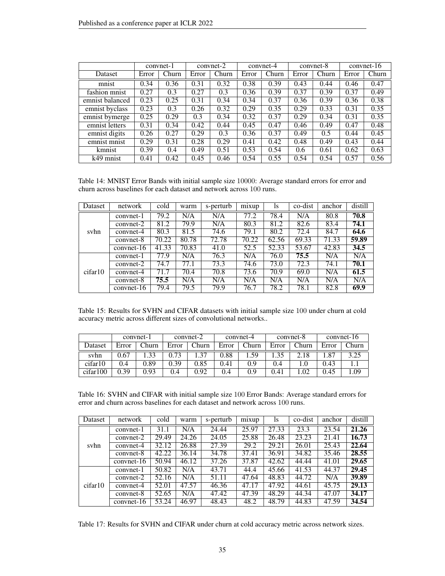|                 |       | convnet-1 |       | convnet-2 |       | convnet-4 |       | convnet-8 |       | convnet- $16$ |
|-----------------|-------|-----------|-------|-----------|-------|-----------|-------|-----------|-------|---------------|
| Dataset         | Error | Churn     | Error | Churn     | Error | Churn     | Error | Churn     | Error | Churn         |
| mnist           | 0.34  | 0.36      | 0.31  | 0.32      | 0.38  | 0.39      | 0.43  | 0.44      | 0.46  | 0.47          |
| fashion mnist   | 0.27  | 0.3       | 0.27  | 0.3       | 0.36  | 0.39      | 0.37  | 0.39      | 0.37  | 0.49          |
| emnist balanced | 0.23  | 0.25      | 0.31  | 0.34      | 0.34  | 0.37      | 0.36  | 0.39      | 0.36  | 0.38          |
| emnist byclass  | 0.23  | 0.3       | 0.26  | 0.32      | 0.29  | 0.35      | 0.29  | 0.33      | 0.31  | 0.35          |
| emnist bymerge  | 0.25  | 0.29      | 0.3   | 0.34      | 0.32  | 0.37      | 0.29  | 0.34      | 0.31  | 0.35          |
| emnist letters  | 0.31  | 0.34      | 0.42  | 0.44      | 0.45  | 0.47      | 0.46  | 0.49      | 0.47  | 0.48          |
| emnist digits   | 0.26  | 0.27      | 0.29  | 0.3       | 0.36  | 0.37      | 0.49  | 0.5       | 0.44  | 0.45          |
| emnist mnist    | 0.29  | 0.31      | 0.28  | 0.29      | 0.41  | 0.42      | 0.48  | 0.49      | 0.43  | 0.44          |
| kmnist          | 0.39  | 0.4       | 0.49  | 0.51      | 0.53  | 0.54      | 0.6   | 0.61      | 0.62  | 0.63          |
| k49 mnist       | 0.41  | 0.42      | 0.45  | 0.46      | 0.54  | 0.55      | 0.54  | 0.54      | 0.57  | 0.56          |

<span id="page-34-0"></span>Table 14: MNIST Error Bands with initial sample size 10000: Average standard errors for error and churn across baselines for each dataset and network across 100 runs.

| Dataset | network      | cold  | warm  | s-perturb | mixup | 1s    | co-dist | anchor | distill |
|---------|--------------|-------|-------|-----------|-------|-------|---------|--------|---------|
|         | convnet-1    | 79.2  | N/A   | N/A       | 77.2  | 78.4  | N/A     | 80.8   | 70.8    |
|         | $convnet-2$  | 81.2  | 79.9  | N/A       | 80.3  | 81.2  | 82.6    | 83.4   | 74.1    |
| syhn    | $convnet-4$  | 80.3  | 81.5  | 74.6      | 79.1  | 80.2  | 72.4    | 84.7   | 64.6    |
|         | $convnet-8$  | 70.22 | 80.78 | 72.78     | 70.22 | 62.56 | 69.33   | 71.33  | 59.89   |
|         | $convnet-16$ | 41.33 | 70.83 | 41.0      | 52.5  | 52.33 | 53.67   | 42.83  | 34.5    |
|         | convnet-1    | 77.9  | N/A   | 76.3      | N/A   | 76.0  | 75.5    | N/A    | N/A     |
|         | convnet-2    | 74.7  | 77.1  | 73.3      | 74.6  | 73.0  | 72.3    | 74.1   | 70.1    |
| cifar10 | convnet-4    | 71.7  | 70.4  | 70.8      | 73.6  | 70.9  | 69.0    | N/A    | 61.5    |
|         | $convnet-8$  | 75.5  | N/A   | N/A       | N/A   | N/A   | N/A     | N/A    | N/A     |
|         | $convnet-16$ | 79.4  | 79.5  | 79.9      | 76.7  | 78.2  | 78.1    | 82.8   | 69.9    |

<span id="page-34-1"></span>Table 15: Results for SVHN and CIFAR datasets with initial sample size 100 under churn at cold accuracy metric across different sizes of convolutional networks..

|          |       | convnet-1 | convnet-2 |       | convnet-4 |       |       | convnet-8   | $convnet-16$ |       |
|----------|-------|-----------|-----------|-------|-----------|-------|-------|-------------|--------------|-------|
| Dataset  | Error | Churn     | Error     | Churn | Error     | Churn | Error | Churn       | Error        | Churn |
| svhn     | 0.67  | 33        | 0.73      | .37   | 0.88      | .59   | .35   | $\angle 18$ | .87          | 3.25  |
| cifar10  | 0.4   | 0.89      | 0.39      | 0.85  | 0.41      | 0.9   | 0.4   | .0          | 0.43         |       |
| cifar100 | 0.39  | 0.93      | 0.4       | 0.92  | 0.4       | 0.9   | 0.41  | .02         | 0.45         | .09   |

<span id="page-34-2"></span>Table 16: SVHN and CIFAR with initial sample size 100 Error Bands: Average standard errors for error and churn across baselines for each dataset and network across 100 runs.

| Dataset | network      | cold  | warm  | s-perturb | mixup | 1s    | co-dist | anchor | distill            |
|---------|--------------|-------|-------|-----------|-------|-------|---------|--------|--------------------|
|         | convnet-1    | 31.1  | N/A   | 24.44     | 25.97 | 27.33 | 23.3    | 23.54  | 21.26              |
|         | $convnet-2$  | 29.49 | 24.26 | 24.05     | 25.88 | 26.48 | 23.23   | 21.41  | 16.73              |
| syhn    | $convnet-4$  | 32.12 | 26.88 | 27.39     | 29.2  | 29.21 | 26.01   | 25.43  | 22.64              |
|         | $convnet-8$  | 42.22 | 36.14 | 34.78     | 37.41 | 36.91 | 34.82   | 35.46  | 28.55              |
|         | $convnet-16$ | 50.94 | 46.12 | 37.26     | 37.87 | 42.62 | 44.44   | 41.01  | 29.65              |
|         | convnet-1    | 50.82 | N/A   | 43.71     | 44.4  | 45.66 | 41.53   | 44.37  | 29.45              |
|         | convnet-2    | 52.16 | N/A   | 51.11     | 47.64 | 48.83 | 44.72   | N/A    | 39.89              |
| cifar10 | $convnet-4$  | 52.01 | 47.57 | 46.36     | 47.17 | 47.92 | 44.61   | 45.75  | $\overline{29.13}$ |
|         | $convnet-8$  | 52.65 | N/A   | 47.42     | 47.39 | 48.29 | 44.34   | 47.07  | 34.17              |
|         | $convnet-16$ | 53.24 | 46.97 | 48.43     | 48.2  | 48.79 | 44.83   | 47.59  | 34.54              |

<span id="page-34-3"></span>Table 17: Results for SVHN and CIFAR under churn at cold accuracy metric across network sizes.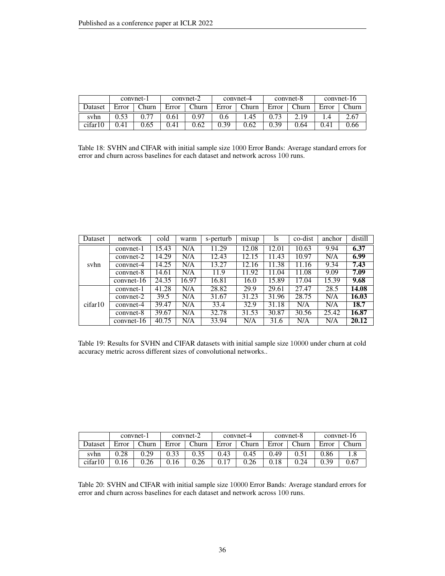|         |       | convnet-1 | convnet-2 |              | convnet-4 |       |       | convnet-8    | convnet-16 |       |
|---------|-------|-----------|-----------|--------------|-----------|-------|-------|--------------|------------|-------|
| Dataset | Error | Churn     | Error     | $^\sim$ hurn | Error     | Churn | Error | Churn        | Error      | Churn |
| svhn    |       |           | 0.61      | 0.97         | 0.6       | .45   | 0.73  | $\angle 1^0$ |            | 2.67  |
| cifar10 | 0.41  | 0.65      | 0.41      | 0.62         | 0.39      | 0.62  | 0.39  | 0.64         | 0.4.       | J.66  |

<span id="page-35-0"></span>Table 18: SVHN and CIFAR with initial sample size 1000 Error Bands: Average standard errors for error and churn across baselines for each dataset and network across 100 runs.

| Dataset | network      | cold  | warm  | s-perturb | mixup | <i>ls</i> | co-dist | anchor | distill |
|---------|--------------|-------|-------|-----------|-------|-----------|---------|--------|---------|
|         | convnet-1    | 15.43 | N/A   | 11.29     | 12.08 | 12.01     | 10.63   | 9.94   | 6.37    |
|         | $convnet-2$  | 14.29 | N/A   | 12.43     | 12.15 | 11.43     | 10.97   | N/A    | 6.99    |
| syhn    | $convnet-4$  | 14.25 | N/A   | 13.27     | 12.16 | 11.38     | 11.16   | 9.34   | 7.43    |
|         | $convnet-8$  | 14.61 | N/A   | 11.9      | 11.92 | 11.04     | 11.08   | 9.09   | 7.09    |
|         | $convnet-16$ | 24.35 | 16.97 | 16.81     | 16.0  | 15.89     | 17.04   | 15.39  | 9.68    |
|         | convnet-1    | 41.28 | N/A   | 28.82     | 29.9  | 29.61     | 27.47   | 28.5   | 14.08   |
|         | $convnet-2$  | 39.5  | N/A   | 31.67     | 31.23 | 31.96     | 28.75   | N/A    | 16.03   |
| cifar10 | convnet-4    | 39.47 | N/A   | 33.4      | 32.9  | 31.18     | N/A     | N/A    | 18.7    |
|         | $convnet-8$  | 39.67 | N/A   | 32.78     | 31.53 | 30.87     | 30.56   | 25.42  | 16.87   |
|         | $convnet-16$ | 40.75 | N/A   | 33.94     | N/A   | 31.6      | N/A     | N/A    | 20.12   |

<span id="page-35-1"></span>Table 19: Results for SVHN and CIFAR datasets with initial sample size 10000 under churn at cold accuracy metric across different sizes of convolutional networks..

|         |       | convnet-1 | convnet-2 |              | convnet-4 |       |       | convnet-8          | $convnet-16$ |       |
|---------|-------|-----------|-----------|--------------|-----------|-------|-------|--------------------|--------------|-------|
| Dataset | Error | Churn     | Error     | <b>Churn</b> | Error     | Churn | Error | $_{\text{T}}$ hurn | Error        | Churn |
| syhn    | 0.28  | 0.29      | 0.33      | 9.35         | 0.43      | 0.45  | 0.49  | 0.51               | 0.86         |       |
| cifar10 | 16    | 0.26      | 16        | 9.26         |           | 0.26  | 0.18  | 0.24               | 0.39         | 0.67  |

<span id="page-35-2"></span>Table 20: SVHN and CIFAR with initial sample size 10000 Error Bands: Average standard errors for error and churn across baselines for each dataset and network across 100 runs.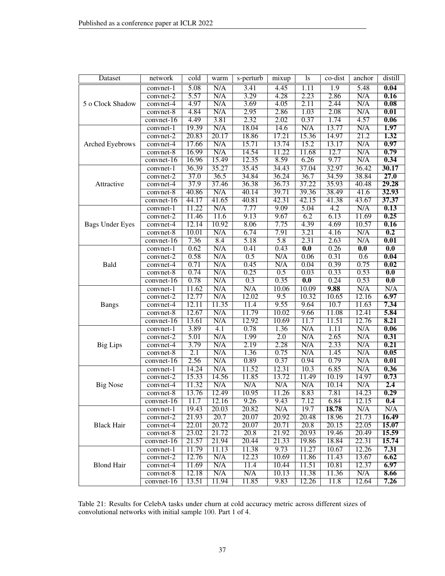| Dataset                | network      | $\overline{\text{cold}}$ | warm  | s-perturb | mixup            | 1s                        | $\overline{\text{co-dist}}$ | anchor                    | distill                   |
|------------------------|--------------|--------------------------|-------|-----------|------------------|---------------------------|-----------------------------|---------------------------|---------------------------|
|                        | convnet-1    | 5.08                     | N/A   | 3.41      | 4.45             | 1.11                      | 1.9                         | 5.48                      | 0.04                      |
|                        | convnet-2    | 5.57                     | N/A   | 3.29      | 4.28             | 2.23                      | 2.86                        | N/A                       | 0.16                      |
| 5 o Clock Shadow       | convnet-4    | 4.97                     | N/A   | 3.69      | 4.05             | 2.11                      | 2.44                        | N/A                       | 0.08                      |
|                        | convnet-8    | 4.84                     | N/A   | 2.95      | 2.86             | 1.03                      | 2.08                        | N/A                       | 0.01                      |
|                        | convnet-16   | 4.49                     | 3.81  | 2.32      | 2.02             | 0.37                      | 1.74                        | 4.57                      | 0.06                      |
|                        | convnet-1    | 19.39                    | N/A   | 18.04     | 14.6             | N/A                       | 13.77                       | N/A                       | 1.97                      |
|                        | convnet-2    | 20.83                    | 20.17 | 18.86     | 17.21            | 15.36                     | 14.97                       | 21.2                      | 1.32                      |
| Arched Eyebrows        | convnet-4    | 17.66                    | N/A   | 15.71     | 13.74            | 15.2                      | 13.17                       | N/A                       | 0.97                      |
|                        | convnet-8    | 16.99                    | N/A   | 14.54     | 11.22            | 11.68                     | 12.7                        | N/A                       | 0.79                      |
|                        | $convnet-16$ | 16.96                    | 15.49 | 12.35     | 8.59             | 6.26                      | 9.77                        | N/A                       | 0.34                      |
|                        | convnet-1    | 36.39                    | 35.27 | 35.45     | 34.43            | 37.04                     | 32.97                       | 36.42                     | 30.17                     |
|                        | convnet-2    | 37.0                     | 36.5  | 34.84     | 36.24            | 36.7                      | 34.59                       | 38.84                     | 27.0                      |
| Attractive             | convnet-4    | 37.9                     | 37.46 | 36.38     | 36.73            | 37.22                     | 35.93                       | 40.48                     | 29.28                     |
|                        | convnet-8    | 40.86                    | N/A   | 40.14     | 39.71            | 39.36                     | 38.49                       | 41.6                      | 32.93                     |
|                        | convnet-16   | 44.17                    | 41.65 | 40.81     | 42.31            | 42.15                     | 41.38                       | 43.67                     | 37.37                     |
|                        | convnet-1    | 11.22                    | N/A   | 7.77      | 9.09             | 5.04                      | $\overline{4.2}$            | N/A                       | 0.13                      |
|                        | convnet-2    | 11.46                    | 11.6  | 9.13      | 9.67             | 6.2                       | 6.13                        | 11.69                     | 0.25                      |
| <b>Bags Under Eyes</b> | convnet-4    | 12.14                    | 10.92 | 8.06      | 7.75             | 4.39                      | 4.69                        | 10.57                     | 0.16                      |
|                        | convnet-8    | 10.01                    | N/A   | 6.74      | 7.91             | 3.21                      | 4.16                        | N/A                       | 0.2                       |
|                        | $convnet-16$ | 7.36                     | 8.4   | 5.18      | $\overline{5.8}$ | 2.31                      | 2.63                        | N/A                       | $\overline{0.01}$         |
|                        | convnet-1    | 0.62                     | N/A   | 0.41      | 0.43             | $\overline{\mathbf{0.0}}$ | 0.26                        | $\overline{\mathbf{0.0}}$ | $\overline{\mathbf{0.0}}$ |
|                        | convnet-2    | 0.58                     | N/A   | 0.5       | N/A              | 0.06                      | 0.31                        | 0.6                       | 0.04                      |
| Bald                   | convnet-4    | 0.71                     | N/A   | 0.45      | N/A              | 0.04                      | 0.39                        | 0.75                      | 0.02                      |
|                        | convnet-8    | 0.74                     | N/A   | 0.25      | $\overline{0.5}$ | 0.03                      | 0.33                        | 0.53                      | $\overline{\mathbf{0.0}}$ |
|                        | $convnet-16$ | 0.78                     | N/A   | 0.3       | 0.35             | $\overline{0.0}$          | 0.24                        | 0.53                      | $\overline{0.0}$          |
|                        | convnet-1    | 11.62                    | N/A   | N/A       | 10.06            | 10.09                     | 9.88                        | N/A                       | N/A                       |
|                        | convnet-2    | 12.77                    | N/A   | 12.02     | 9.5              | 10.32                     | 10.65                       | 12.16                     | 6.97                      |
| <b>Bangs</b>           | convnet-4    | 12.11                    | 11.35 | 11.4      | 9.55             | 9.64                      | 10.7                        | 11.63                     | 7.34                      |
|                        | convnet-8    | 12.67                    | N/A   | 11.79     | 10.02            | 9.66                      | 11.08                       | 12.41                     | 5.84                      |
|                        | $convnet-16$ | 13.61                    | N/A   | 12.92     | 10.69            | 11.7                      | 11.51                       | 12.76                     | 8.21                      |
|                        | convnet-1    | 3.89                     | 4.1   | 0.78      | 1.36             | N/A                       | 1.11                        | N/A                       | 0.06                      |
|                        | convnet-2    | 5.01                     | N/A   | 1.99      | $\overline{2.0}$ | N/A                       | 2.65                        | N/A                       | 0.31                      |
| <b>Big Lips</b>        | convnet-4    | 3.79                     | N/A   | 2.19      | 2.28             | N/A                       | 2.33                        | N/A                       | 0.21                      |
|                        | $convnet-8$  | $\overline{2.1}$         | N/A   | 1.36      | 0.75             | N/A                       | 1.45                        | N/A                       | 0.05                      |
|                        | convnet-16   | 2.56                     | N/A   | 0.89      | 0.37             | 0.94                      | 0.79                        | N/A                       | 0.01                      |
|                        | convnet-1    | 14.24                    | N/A   | 11.52     | 12.31            | 10.3                      | 6.85                        | N/A                       | 0.36                      |
|                        | convnet-2    | 15.33                    | 14.56 | 11.85     | 13.72            | 11.49                     | 10.19                       | 14.97                     | 0.73                      |
| <b>Big Nose</b>        | convnet-4    | 11.32                    | N/A   | N/A       | N/A              | N/A                       | 10.14                       | N/A                       | 2.4                       |
|                        | $convnet-8$  | 13.76                    | 12.49 | 10.95     | 11.26            | 8.83                      | 7.81                        | 14.23                     | 0.29                      |
|                        | convnet-16   | 11.7                     | 12.16 | 9.26      | 9.43             | 7.12                      | 6.84                        | 12.15                     | 0.4                       |
|                        | convnet-1    | 19.43                    | 20.03 | 20.82     | N/A              | 19.7                      | 18.78                       | N/A                       | N/A                       |
|                        | convnet-2    | 21.93                    | 20.7  | 20.07     | 20.92            | 20.48                     | 18.96                       | 21.73                     | <b>16.49</b>              |
| <b>Black Hair</b>      | convnet-4    | 22.01                    | 20.72 | 20.07     | 20.71            | 20.8                      | 20.15                       | 22.05                     | 15.07                     |
|                        | convnet-8    | 23.02                    | 21.72 | 20.8      | 21.92            | 20.93                     | 19.46                       | 20.49                     | 15.59                     |
|                        | $convnet-16$ | 21.57                    | 21.94 | 20.44     | 21.33            | 19.86                     | 18.84                       | 22.31                     | 15.74                     |
|                        | convnet-1    | 11.79                    | 11.13 | 11.38     | 9.73             | 11.27                     | 10.67                       | 12.26                     | 7.31                      |
|                        | convnet-2    | 12.76                    | N/A   | 12.23     | 10.69            | 11.86                     | 11.43                       | 13.67                     | 6.62                      |
| <b>Blond Hair</b>      | convnet-4    | 11.69                    | N/A   | 11.4      | 10.44            | 11.51                     | 10.81                       | 12.37                     | 6.97                      |
|                        | convnet-8    | 12.18                    | N/A   | N/A       | 10.13            | 11.38                     | 11.36                       | N/A                       | 8.66                      |
|                        | $convnet-16$ | 13.51                    | 11.94 | 11.85     | 9.83             | 12.26                     | 11.8                        | 12.64                     | 7.26                      |

<span id="page-36-0"></span>Table 21: Results for CelebA tasks under churn at cold accuracy metric across different sizes of convolutional networks with initial sample 100. Part 1 of 4.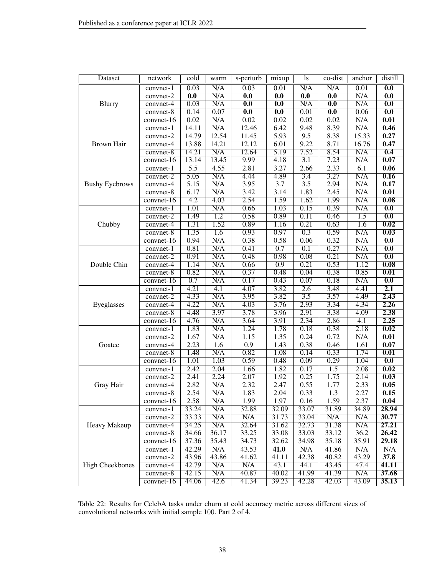| Dataset                | network                | cold                      | warm       | s-perturb                 | mixup                     | ls                        | co-dist                   | anchor        | distill                   |
|------------------------|------------------------|---------------------------|------------|---------------------------|---------------------------|---------------------------|---------------------------|---------------|---------------------------|
|                        | convnet-1              | 0.03                      | N/A        | 0.03                      | 0.01                      | N/A                       | N/A                       | 0.01          | $\overline{0.0}$          |
|                        | convnet-2              | $\overline{\mathbf{0.0}}$ | N/A        | $\overline{\mathbf{0.0}}$ | $\overline{\mathbf{0.0}}$ | $\overline{\mathbf{0.0}}$ | $\overline{\mathbf{0.0}}$ | N/A           | $\overline{\mathbf{0.0}}$ |
| Blurry                 | convnet-4              | 0.03                      | N/A        | $\overline{\mathbf{0.0}}$ | $\overline{\mathbf{0.0}}$ | N/A                       | $\overline{0.0}$          | N/A           | $\overline{\mathbf{0.0}}$ |
|                        | convnet-8              | 0.14                      | 0.07       | $\overline{0.0}$          | $\overline{0.0}$          | 0.01                      | 0.0                       | 0.06          | 0.0                       |
|                        | convnet-16             | 0.02                      | N/A        | 0.02                      | 0.02                      | 0.02                      | 0.02                      | N/A           | 0.01                      |
|                        | convnet-1              | 14.11                     | N/A        | 12.46                     | 6.42                      | 9.48                      | 8.39                      | N/A           | 0.46                      |
|                        | convnet-2              | 14.79                     | 12.54      | 11.45                     | 5.93                      | 9.5                       | 8.38                      | 15.33         | 0.27                      |
| Brown Hair             | convnet-4              | 13.88                     | 14.21      | 12.12                     | 6.01                      | 9.22                      | 8.71                      | 16.76         | 0.47                      |
|                        | $convnet-8$            | 14.21                     | N/A        | 12.64                     | 5.19                      | 7.52                      | 8.54                      | N/A           | 0.4                       |
|                        | convnet-16             | 13.14                     | 13.45      | 9.99                      | 4.18                      | 3.1                       | 7.23                      | N/A           | 0.07                      |
|                        | convnet-1              | $\overline{5.5}$          | 4.55       | 2.81                      | 3.27                      | 2.66                      | 2.33                      | 6.1           | 0.06                      |
|                        | $convnet-2$            | 5.05                      | N/A        | 4.44                      | 4.89                      | $\overline{3.4}$          | 3.27                      | N/A           | 0.16                      |
| <b>Bushy Eyebrows</b>  | convnet-4              | 5.15                      | N/A        | 3.95                      | $\overline{3.7}$          | 3.5                       | 2.94                      | N/A           | 0.17                      |
|                        | convnet-8              | 6.17                      | N/A        | 3.42                      | 3.14                      | 1.83                      | 2.45                      | N/A           | 0.01                      |
|                        | convnet-16             | $\overline{4.2}$          | 4.03       | 2.54                      | 1.59                      | 1.62                      | 1.99                      | N/A           | 0.08                      |
|                        | convnet-1              | 1.01                      | N/A        | 0.66                      | 1.03                      | 0.15                      | 0.39                      | N/A           | $\overline{\mathbf{0.0}}$ |
|                        | convnet-2              | 1.49                      | 1.2        | 0.58                      | 0.89                      | 0.11                      | 0.46                      | 1.5           | 0.0                       |
| Chubby                 | convnet-4              | 1.31                      | 1.52       | 0.89                      | 1.16                      | 0.21                      | 0.63                      | 1.6           | 0.02                      |
|                        | convnet-8              | 1.35                      | 1.6        | 0.93                      | 0.97                      | 0.3                       | 0.59                      | N/A           | 0.03                      |
|                        | convnet-16             | 0.94                      | N/A        | 0.38                      | 0.58                      | 0.06                      | 0.32                      | N/A           | $\overline{\mathbf{0.0}}$ |
|                        | convnet-1              | 0.81                      | N/A        | 0.41                      | 0.7                       | $\overline{0.1}$          | 0.27                      | N/A           | $\overline{\mathbf{0.0}}$ |
|                        | convnet-2              | 0.91                      | N/A        | 0.48                      | 0.98                      | 0.08                      | 0.21                      | N/A           | 0.0                       |
| Double Chin            | convnet-4              | 1.14                      | N/A        | 0.66                      | $\overline{0.9}$          | 0.21                      | 0.53                      | 1.12          | $\overline{0.08}$         |
|                        | $convnet-8$            | 0.82                      | N/A        | 0.37                      | 0.48                      | 0.04                      | 0.38                      | 0.85          | $\overline{0.01}$         |
|                        | convnet-16             | 0.7                       | N/A        | 0.17                      | 0.43                      | 0.07                      | 0.18                      | N/A           | $\overline{0.0}$          |
|                        | convnet-1              | 4.21                      | 4.1        | 4.07                      | 3.82                      | 2.6                       | 3.48                      | 4.41          | 2.1                       |
|                        | convnet-2              | 4.33                      | N/A        | 3.95                      | 3.82                      | 3.5                       | 3.57                      | 4.49          | 2.43                      |
| Eyeglasses             | convnet-4              | 4.22                      | N/A        | 4.03                      | 3.76                      | 2.93                      | 3.34                      | 4.34          | 2.26                      |
|                        | convnet-8              | 4.48                      | 3.97       | 3.78                      | 3.96                      | 2.91                      | 3.38                      | 4.09          | 2.38                      |
|                        | convnet-16             | 4.76                      | N/A        | 3.64                      | 3.91                      | 2.34                      | 2.86                      | 4.1           | 2.25                      |
|                        | convnet-1              | 1.83                      | N/A        | 1.24                      | 1.78                      | 0.18                      | 0.38                      | 2.18          | 0.02                      |
|                        | convnet-2              | 1.67                      | N/A        | 1.15                      | 1.35                      | 0.24                      | 0.72                      | N/A           | 0.01                      |
| Goatee                 | convnet-4              | 2.23                      | 1.6<br>N/A | $\overline{0.9}$          | 1.43                      | 0.38                      | 0.46<br>0.33              | 1.61<br>1.74  | 0.07<br>0.01              |
|                        | convnet-8              | 1.48<br>1.01              | 1.03       | 0.82<br>0.59              | 1.08<br>0.48              | 0.14<br>0.09              | 0.29                      | 1.04          | 0.0                       |
|                        | $convnet-16$           | 2.42                      | 2.04       | 1.66                      | 1.82                      | 0.17                      | $\overline{1.5}$          | 2.08          | $\overline{0.02}$         |
|                        | convnet-1              | 2.41                      | 2.24       | 2.07                      | 1.92                      | 0.25                      | 1.75                      | 2.14          | 0.03                      |
| Gray Hair              | convnet-2              | 2.82                      | N/A        | 2.32                      | 2.47                      | 0.55                      | 1.77                      | 2.33          | 0.05                      |
|                        | convnet-4<br>convnet-8 | 2.54                      | N/A        | 1.83                      | 2.04                      | 0.33                      | 1.3                       | 2.27          | 0.15                      |
|                        |                        |                           |            |                           |                           | 0.16                      |                           |               |                           |
|                        | convnet-16             | 2.58<br>33.24             | N/A<br>N/A | 1.99<br>32.88             | 1.97<br>32.09             | 33.07                     | 1.59<br>31.89             | 2.37<br>34.89 | <b>0.04</b><br>28.94      |
|                        | convnet-1<br>convnet-2 | 33.33                     | N/A        | N/A                       | 31.73                     | 33.04                     | N/A                       | N/A           | 30.77                     |
| Heavy Makeup           | convnet-4              | 34.25                     | N/A        | 32.64                     | 31.62                     | 32.73                     | 31.38                     | N/A           | 27.21                     |
|                        | convnet-8              | 34.66                     | 36.17      | 33.25                     | 33.08                     | 33.03                     | 33.12                     | 36.2          | 26.42                     |
|                        | $convnet-16$           | 37.36                     | 35.43      | 34.73                     | 32.62                     | 34.98                     | 35.18                     | 35.91         | 29.18                     |
|                        | convnet-1              | 42.29                     | N/A        | 43.53                     | $\overline{41.0}$         | N/A                       | 41.86                     | N/A           | N/A                       |
|                        | $convnet-2$            | 43.96                     | 43.86      | 41.62                     | 41.11                     | 42.38                     | 40.82                     | 43.29         | 37.8                      |
| <b>High Cheekbones</b> | convnet-4              | 42.79                     | N/A        | N/A                       | 43.1                      | 44.1                      | 43.45                     | 47.4          | 41.11                     |
|                        | convnet-8              | 42.15                     | N/A        | 40.87                     | 40.02                     | 41.99                     | 41.39                     | N/A           | 37.68                     |
|                        | $convnet-16$           | 44.06                     | 42.6       | 41.34                     | 39.23                     | 42.28                     | 42.03                     | 43.09         | 35.13                     |
|                        |                        |                           |            |                           |                           |                           |                           |               |                           |

<span id="page-37-0"></span>Table 22: Results for CelebA tasks under churn at cold accuracy metric across different sizes of convolutional networks with initial sample 100. Part 2 of 4.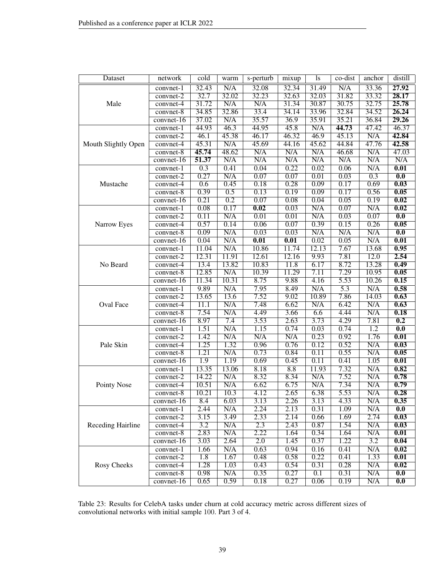| Dataset             | network      | $\overline{\text{cold}}$ | warm                    | s-perturb         | mixup | 1s                | co-dist          | anchor           | distill                   |
|---------------------|--------------|--------------------------|-------------------------|-------------------|-------|-------------------|------------------|------------------|---------------------------|
|                     | convnet-1    | 32.43                    | N/A                     | 32.08             | 32.34 | 31.49             | N/A              | 33.36            | 27.92                     |
|                     | convnet-2    | 32.7                     | 32.02                   | 32.23             | 32.63 | 32.03             | 31.82            | 33.32            | 28.17                     |
| Male                | convnet-4    | 31.72                    | N/A                     | N/A               | 31.34 | 30.87             | 30.75            | 32.75            | 25.78                     |
|                     | convnet-8    | 34.85                    | 32.86                   | 33.4              | 34.14 | 33.96             | 32.84            | 34.52            | 26.24                     |
|                     | convnet-16   | 37.02                    | N/A                     | 35.57             | 36.9  | 35.91             | 35.21            | 36.84            | 29.26                     |
|                     | convnet-1    | 44.93                    | 46.3                    | 44.95             | 45.8  | N/A               | 44.73            | 47.42            | 46.37                     |
|                     | convnet-2    | 46.1                     | 45.38                   | 46.17             | 46.32 | 46.9              | 45.13            | N/A              | 42.84                     |
| Mouth Slightly Open | convnet-4    | 45.31                    | N/A                     | 45.69             | 44.16 | 45.62             | 44.84            | 47.76            | 42.58                     |
|                     | $convnet-8$  | 45.74                    | 48.62                   | N/A               | N/A   | N/A               | 46.68            | N/A              | 47.03                     |
|                     | convnet-16   | 51.37                    | N/A                     | N/A               | N/A   | N/A               | N/A              | N/A              | N/A                       |
|                     | convnet-1    | 0.3                      | 0.41                    | 0.04              | 0.22  | 0.02              | 0.06             | N/A              | $\overline{0.01}$         |
|                     | convnet-2    | 0.27                     | $\overline{\text{N/A}}$ | 0.07              | 0.07  | $\overline{0.01}$ | 0.03             | $\overline{0.3}$ | $\overline{\mathbf{0.0}}$ |
| Mustache            | convnet-4    | 0.6                      | 0.45                    | 0.18              | 0.28  | 0.09              | 0.17             | 0.69             | 0.03                      |
|                     | convnet-8    | 0.39                     | 0.5                     | 0.13              | 0.19  | 0.09              | 0.17             | 0.56             | 0.05                      |
|                     | convnet-16   | 0.21                     | $\overline{0.2}$        | 0.07              | 0.08  | 0.04              | 0.05             | 0.19             | 0.02                      |
|                     | convnet-1    | 0.08                     | 0.17                    | 0.02              | 0.03  | N/A               | 0.07             | N/A              | $\overline{0.02}$         |
|                     | convnet-2    | 0.11                     | N/A                     | 0.01              | 0.01  | N/A               | 0.03             | 0.07             | 0.0                       |
| Narrow Eyes         | convnet-4    | 0.57                     | 0.14                    | 0.06              | 0.07  | 0.39              | 0.15             | 0.26             | 0.05                      |
|                     | convnet-8    | 0.09                     | N/A                     | 0.03              | 0.03  | N/A               | N/A              | N/A              | $\overline{\mathbf{0.0}}$ |
|                     | convnet-16   | 0.04                     | N/A                     | $\overline{0.01}$ | 0.01  | 0.02              | 0.05             | N/A              | 0.01                      |
|                     | convnet-1    | 11.04                    | N/A                     | 10.86             | 11.74 | 12.13             | 7.67             | 13.68            | 0.95                      |
|                     | convnet-2    | 12.31                    | 11.91                   | 12.61             | 12.16 | 9.93              | 7.81             | 12.0             | 2.54                      |
| No Beard            | convnet-4    | 13.4                     | 13.82                   | 10.83             | 11.8  | 6.17              | 8.72             | 13.28            | 0.49                      |
|                     | convnet-8    | 12.85                    | N/A                     | 10.39             | 11.29 | 7.11              | 7.29             | 10.95            | 0.05                      |
|                     | $convnet-16$ | 11.34                    | 10.31                   | 8.75              | 9.88  | 4.16              | 5.53             | 10.26            | 0.15                      |
|                     | convnet-1    | 9.89                     | N/A                     | 7.95              | 8.49  | N/A               | $\overline{5.3}$ | N/A              | 0.58                      |
|                     | convnet-2    | 13.65                    | 13.6                    | 7.52              | 9.02  | 10.89             | 7.86             | 14.03            | 0.63                      |
| Oval Face           | convnet-4    | $\overline{11.1}$        | N/A                     | 7.48              | 6.62  | N/A               | 6.42             | N/A              | 0.63                      |
|                     | convnet-8    | 7.54                     | N/A                     | 4.49              | 3.66  | 6.6               | 4.44             | N/A              | 0.18                      |
|                     | convnet-16   | 8.97                     | 7.4                     | 3.53              | 2.63  | 3.73              | 4.29             | 7.81             | 0.2                       |
|                     | convnet-1    | 1.51                     | N/A                     | 1.15              | 0.74  | 0.03              | 0.74             | 1.2              | 0.0                       |
|                     | convnet-2    | 1.42                     | N/A                     | N/A               | N/A   | 0.23              | 0.92             | 1.76             | $\overline{0.01}$         |
| Pale Skin           | convnet-4    | 1.25                     | 1.32                    | 0.96              | 0.76  | 0.12              | 0.52             | N/A              | 0.03                      |
|                     | $convnet-8$  | 1.21                     | N/A                     | 0.73              | 0.84  | 0.11              | 0.55             | N/A              | 0.05                      |
|                     | $convnet-16$ | 1.9                      | 1.19                    | 0.69              | 0.45  | 0.11              | 0.41             | 1.05             | 0.01                      |
|                     | convnet-1    | 13.35                    | 13.06                   | 8.18              | 8.8   | 11.93             | 7.32             | N/A              | 0.82                      |
|                     | convnet-2    | 14.22                    | N/A                     | 8.32              | 8.34  | N/A               | 7.52             | N/A              | 0.78                      |
| Pointy Nose         | convnet-4    | 10.51                    | N/A                     | 6.62              | 6.75  | N/A               | 7.34             | N/A              | 0.79                      |
|                     | convnet-8    | 10.21                    | 10.3                    | 4.12              | 2.65  | 6.38              | 5.53             | N/A              | 0.28                      |
|                     | convnet-16   | 8.4                      | 6.03                    | 3.13              | 2.26  | 3.13              | 4.33             | N/A              | 0.35                      |
|                     | convnet-1    | 2.44                     | N/A                     | 2.24              | 2.13  | 0.31              | 1.09             | N/A              | $\overline{0.0}$          |
|                     | $convnet-2$  | 3.15                     | 3.49                    | 2.33              | 2.14  | 0.66              | 1.69             | 2.74             | 0.03                      |
| Receding Hairline   | convnet-4    | 3.2                      | N/A                     | 2.3               | 2.43  | 0.87              | 1.54             | N/A              | 0.03                      |
|                     | convnet-8    | 2.83                     | N/A                     | 2.22              | 1.64  | 0.34              | 1.64             | N/A              | $\overline{0.01}$         |
|                     | convnet-16   | 3.03                     | 2.64                    | $\overline{2.0}$  | 1.45  | 0.37              | 1.22             | 3.2              | 0.04                      |
|                     | $convnet-1$  | 1.66                     | N/A                     | 0.63              | 0.94  | 0.16<br>0.22      | 0.41             | N/A              | $\overline{0.02}$         |
|                     | convnet-2    | 1.8                      | 1.67                    | 0.48              | 0.58  |                   | 0.41             | 1.33             | 0.01                      |
| Rosy Cheeks         | convnet-4    | 1.28                     | 1.03                    | 0.43              | 0.54  | 0.31              | 0.28             | N/A              | $\overline{0.02}$         |
|                     | convnet-8    | 0.98                     | N/A                     | 0.35              | 0.27  | $\overline{0.1}$  | 0.31             | N/A              | $\overline{0.0}$          |
|                     | $convnet-16$ | 0.65                     | 0.59                    | 0.18              | 0.27  | 0.06              | 0.19             | N/A              | $\overline{0.0}$          |

<span id="page-38-0"></span>Table 23: Results for CelebA tasks under churn at cold accuracy metric across different sizes of convolutional networks with initial sample 100. Part 3 of 4.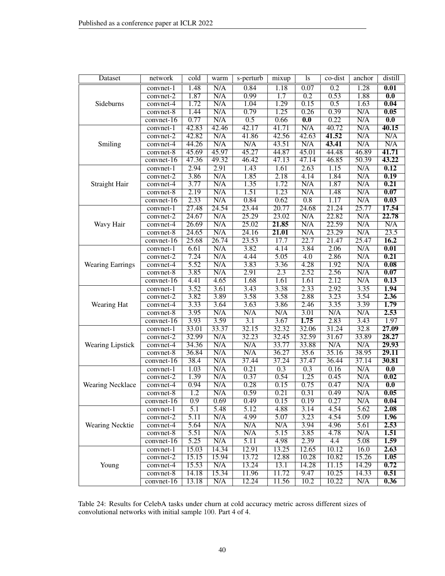| Dataset                 | network                        | cold             | warm  | s-perturb         | mixup            | 1s               | co-dist          | anchor | distill           |
|-------------------------|--------------------------------|------------------|-------|-------------------|------------------|------------------|------------------|--------|-------------------|
|                         | $\overline{\text{convnet}}$ -1 | 1.48             | N/A   | 0.84              | 1.18             | 0.07             | 0.2              | 1.28   | 0.01              |
|                         | convnet-2                      | 1.87             | N/A   | 0.99              | 1.7              | $\overline{0.2}$ | 0.53             | 1.88   | $\overline{0.0}$  |
| Sideburns               | convnet-4                      | 1.72             | N/A   | 1.04              | 1.29             | 0.15             | $\overline{0.5}$ | 1.63   | 0.04              |
|                         | convnet-8                      | 1.44             | N/A   | 0.79              | 1.25             | 0.26             | 0.39             | N/A    | 0.05              |
|                         | convnet-16                     | 0.77             | N/A   | 0.5               | 0.66             | $\overline{0.0}$ | 0.22             | N/A    | 0.0               |
|                         | convnet-1                      | 42.83            | 42.46 | 42.17             | 41.71            | N/A              | 40.72            | N/A    | 40.15             |
|                         | convnet-2                      | 42.82            | N/A   | 41.86             | 42.56            | 42.63            | 41.52            | N/A    | N/A               |
| Smiling                 | convnet-4                      | 44.26            | N/A   | N/A               | 43.51            | N/A              | 43.41            | N/A    | N/A               |
|                         | convnet-8                      | 45.69            | 45.97 | 45.27             | 44.87            | 45.01            | 44.48            | 46.89  | 41.71             |
|                         | convnet-16                     | 47.36            | 49.32 | 46.42             | 47.13            | 47.14            | 46.85            | 50.39  | 43.22             |
|                         | convnet-1                      | 2.94             | 2.91  | 1.43              | 1.61             | 2.63             | 1.15             | N/A    | 0.12              |
|                         | convnet-2                      | 3.86             | N/A   | 1.85              | 2.18             | 4.14             | 1.84             | N/A    | $\overline{0.19}$ |
| Straight Hair           | convnet-4                      | 3.77             | N/A   | 1.35              | 1.72             | N/A              | 1.87             | N/A    | 0.21              |
|                         | convnet-8                      | 2.19             | N/A   | 1.51              | 1.23             | N/A              | 1.48             | N/A    | 0.07              |
|                         | convnet-16                     | 2.33             | N/A   | 0.84              | 0.62             | $\overline{0.8}$ | 1.17             | N/A    | 0.03              |
|                         | convnet-1                      | 27.48            | 24.54 | 23.44             | 20.77            | 24.68            | 21.24            | 25.77  | 17.54             |
|                         | convnet-2                      | 24.67            | N/A   | 25.29             | 23.02            | N/A              | 22.82            | N/A    | 22.78             |
| Wavy Hair               | convnet-4                      | 26.69            | N/A   | 25.02             | 21.85            | N/A              | 22.59            | N/A    | N/A               |
|                         | convnet-8                      | 24.65            | N/A   | 24.16             | 21.01            | N/A              | 23.29            | N/A    | 23.5              |
|                         | $convnet-16$                   | 25.68            | 26.74 | 23.53             | 17.7             | 22.7             | 21.47            | 25.47  | 16.2              |
|                         | convnet-1                      | 6.61             | N/A   | 3.82              | 4.14             | 3.84             | 2.06             | N/A    | $\overline{0.01}$ |
|                         | convnet-2                      | 7.24             | N/A   | 4.44              | 5.05             | 4.0              | 2.86             | N/A    | 0.21              |
| <b>Wearing Earrings</b> | convnet-4                      | 5.52             | N/A   | 3.83              | 3.36             | 4.28             | 1.92             | N/A    | 0.08              |
|                         | $convnet-8$                    | 3.85             | N/A   | 2.91              | $\overline{2.3}$ | 2.52             | 2.56             | N/A    | 0.07              |
|                         | $convnet-16$                   | 4.41             | 4.65  | 1.68              | 1.61             | 1.61             | 2.12             | N/A    | 0.13              |
|                         | convnet-1                      | 3.52             | 3.61  | 3.43              | 3.38             | 2.33             | 2.92             | 3.35   | 1.94              |
|                         | convnet-2                      | 3.82             | 3.89  | 3.58              | 3.58             | 2.88             | 3.23             | 3.54   | 2.36              |
| Wearing Hat             | convnet-4                      | 3.33             | 3.64  | 3.63              | 3.86             | 2.46             | 3.35             | 3.39   | 1.79              |
|                         | convnet-8                      | 3.95             | N/A   | N/A               | N/A              | 3.01             | N/A              | N/A    | 2.53              |
|                         | convnet-16                     | 3.93             | 3.59  | $\overline{3.1}$  | 3.67             | 1.75             | 2.83             | 3.43   | 1.97              |
|                         | convnet-1                      | 33.01            | 33.37 | 32.15             | 32.32            | 32.06            | 31.24            | 32.8   | 27.09             |
|                         | convnet-2                      | 32.99            | N/A   | 32.23             | 32.45            | 32.59            | 31.67            | 33.89  | 28.27             |
| <b>Wearing Lipstick</b> | convnet-4                      | 34.36            | N/A   | N/A               | 33.77            | 33.88            | N/A              | N/A    | 29.93             |
|                         | convnet-8                      | 36.84            | N/A   | N/A               | 36.27            | 35.6             | 35.16            | 38.95  | 29.11             |
|                         | convnet-16                     | 38.4             | N/A   | 37.44             | 37.24            | 37.47            | 36.44            | 37.14  | 30.81             |
|                         | convnet-1                      | 1.03             | N/A   | 0.21              | $\overline{0.3}$ | 0.3              | 0.16             | N/A    | $\overline{0.0}$  |
|                         | convnet-2                      | 1.39             | N/A   | 0.37              | 0.54             | 1.25             | 0.45             | N/A    | $\overline{0.02}$ |
| <b>Wearing Necklace</b> | convnet-4                      | 0.94             | N/A   | 0.28              | 0.15             | 0.75             | 0.47             | N/A    | 0.0               |
|                         | convnet-8                      | 1.2              | N/A   | 0.59              | 0.21             | 0.31             | 0.49             | N/A    | 0.05              |
|                         | convnet-16                     | 0.9              | 0.69  | 0.49              | 0.15             | 0.19             | 0.27             | N/A    | 0.04              |
|                         | convnet-1                      | $\overline{5.1}$ | 5.48  | $\overline{5.12}$ | 4.88             | 3.14             | 4.54             | 5.62   | 2.08              |
|                         | convnet-2                      | 5.11             | N/A   | 4.99              | 5.07             | 3.23             | 4.54             | 5.09   | 1.96              |
| Wearing Necktie         | convnet-4                      | 5.64             | N/A   | N/A               | N/A              | 3.94             | 4.96             | 5.61   | 2.53              |
|                         | convnet-8                      | 5.51             | N/A   | N/A               | 5.15             | 3.85             | 4.78             | N/A    | 1.51              |
|                         | $convnet-16$                   | 5.25             | N/A   | 5.11              | 4.98             | 2.39             | 4.4              | 5.08   | 1.59              |
|                         | convnet-1                      | 15.03            | 14.34 | 12.91             | 13.25            | 12.65            | 10.12            | 16.0   | 2.63              |
|                         | convnet-2                      | 15.15            | 15.94 | 13.72             | 12.88            | 10.28            | 10.82            | 15.26  | 1.05              |
| Young                   | convnet-4                      | 15.53            | N/A   | 13.24             | 13.1             | 14.28            | 11.15            | 14.29  | 0.72              |
|                         | convnet-8                      | 14.18            | 15.34 | 11.96             | 11.72            | 9.47             | 10.25            | 14.33  | 0.51              |
|                         | $convnet-16$                   | 13.18            | N/A   | 12.24             | 11.56            | 10.2             | 10.22            | N/A    | 0.36              |

<span id="page-39-0"></span>Table 24: Results for CelebA tasks under churn at cold accuracy metric across different sizes of convolutional networks with initial sample 100. Part 4 of 4.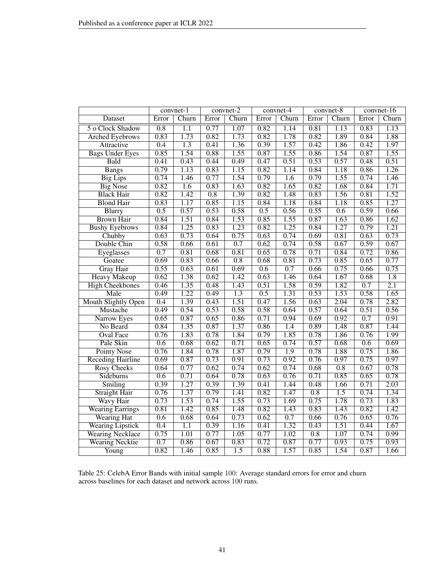|                            |                  | convnet-1         |                  | convnet-2        |       | convnet-4 |                  | convnet-8        |       | convnet-16       |
|----------------------------|------------------|-------------------|------------------|------------------|-------|-----------|------------------|------------------|-------|------------------|
| <b>Dataset</b>             | Error            | Churn             | Error            | Churn            | Error | Churn     | Error            | Churn            | Error | Churn            |
| 5 o Clock Shadow           | 0.8              | 1.1               | 0.77             | 1.07             | 0.82  | 1.14      | 0.81             | 1.13             | 0.83  | 1.13             |
| <b>Arched Eyebrows</b>     | 0.83             | 1.73              | 0.82             | 1.73             | 0.82  | 1.78      | 0.82             | 1.89             | 0.84  | 1.88             |
| Attractive                 | $\overline{0.4}$ | $\overline{1.3}$  | 0.41             | 1.36             | 0.39  | 1.57      | 0.42             | 1.86             | 0.42  | 1.97             |
| <b>Bags Under Eyes</b>     | 0.85             | 1.54              | 0.88             | 1.55             | 0.87  | 1.55      | 0.86             | 1.54             | 0.87  | 1.55             |
| Bald                       | 0.41             | 0.43              | 0.44             | 0.49             | 0.47  | 0.51      | 0.53             | 0.57             | 0.48  | 0.51             |
| <b>Bangs</b>               | 0.79             | 1.13              | 0.83             | 1.15             | 0.82  | 1.14      | 0.84             | 1.18             | 0.86  | 1.26             |
| <b>Big Lips</b>            | 0.74             | 1.46              | 0.77             | 1.54             | 0.79  | 1.6       | 0.79             | 1.55             | 0.74  | 1.46             |
| <b>Big Nose</b>            | 0.82             | 1.6               | 0.83             | 1.63             | 0.82  | 1.65      | 0.82             | 1.68             | 0.84  | 1.71             |
| <b>Black Hair</b>          | 0.82             | 1.42              | $\overline{0.8}$ | 1.39             | 0.82  | 1.48      | 0.83             | 1.56             | 0.81  | 1.52             |
| <b>Blond Hair</b>          | 0.83             | 1.17              | 0.85             | 1.15             | 0.84  | 1.18      | 0.84             | 1.18             | 0.85  | 1.27             |
| <b>Blurry</b>              | 0.5              | 0.57              | 0.53             | 0.58             | 0.5   | 0.56      | 0.55             | 0.6              | 0.59  | 0.66             |
| <b>Brown Hair</b>          | 0.84             | 1.51              | 0.84             | 1.53             | 0.85  | 1.55      | 0.87             | 1.63             | 0.86  | 1.62             |
| <b>Bushy Eyebrows</b>      | 0.84             | 1.25              | 0.83             | 1.23             | 0.82  | 1.25      | 0.84             | 1.27             | 0.79  | 1.21             |
| Chubby                     | 0.63             | 0.73              | 0.64             | 0.75             | 0.63  | 0.74      | 0.69             | 0.81             | 0.63  | 0.73             |
| Double Chin                | 0.58             | 0.66              | 0.61             | 0.7              | 0.62  | 0.74      | 0.58             | 0.67             | 0.59  | 0.67             |
| Eyeglasses                 | 0.7              | 0.81              | 0.68             | 0.81             | 0.65  | 0.78      | 0.71             | 0.84             | 0.72  | 0.86             |
| Goatee                     | 0.69             | 0.83              | 0.66             | $\overline{0.8}$ | 0.68  | 0.81      | 0.73             | 0.85             | 0.65  | 0.77             |
| <b>Gray Hair</b>           | 0.55             | 0.63              | 0.61             | 0.69             | 0.6   | 0.7       | 0.66             | 0.75             | 0.66  | 0.75             |
| <b>Heavy Makeup</b>        | 0.62             | 1.38              | 0.62             | 1.42             | 0.63  | 1.46      | 0.64             | 1.67             | 0.68  | $\overline{1.8}$ |
| <b>High Cheekbones</b>     | 0.46             | 1.35              | 0.48             | 1.43             | 0.51  | 1.58      | 0.59             | 1.82             | 0.7   | $\overline{2.1}$ |
| Male                       | 0.49             | 1.22              | 0.49             | $\overline{1.3}$ | 0.5   | 1.31      | 0.53             | 1.53             | 0.58  | 1.65             |
| <b>Mouth Slightly Open</b> | 0.4              | 1.39              | 0.43             | 1.51             | 0.47  | 1.56      | 0.63             | 2.04             | 0.78  | 2.82             |
| Mustache                   | 0.49             | 0.54              | 0.53             | 0.58             | 0.58  | 0.64      | 0.57             | 0.64             | 0.51  | 0.56             |
| Narrow Eyes                | 0.65             | 0.87              | 0.65             | 0.86             | 0.71  | 0.94      | 0.69             | 0.92             | 0.7   | 0.91             |
| No Beard                   | 0.84             | 1.35              | 0.87             | 1.37             | 0.86  | 1.4       | 0.89             | 1.48             | 0.87  | 1.44             |
| <b>Oval Face</b>           | 0.76             | 1.83              | 0.78             | 1.84             | 0.79  | 1.85      | 0.78             | 1.86             | 0.76  | 1.99             |
| Pale Skin                  | $\overline{0.6}$ | 0.68              | 0.62             | 0.71             | 0.65  | 0.74      | 0.57             | 0.68             | 0.6   | 0.69             |
| <b>Pointy Nose</b>         | 0.76             | 1.84              | 0.78             | 1.87             | 0.79  | 1.9       | 0.78             | 1.88             | 0.75  | 1.86             |
| <b>Receding Hairline</b>   | 0.69             | 0.87              | 0.73             | 0.91             | 0.73  | 0.92      | 0.76             | 0.97             | 0.75  | 0.97             |
| <b>Rosy Cheeks</b>         | 0.64             | 0.77              | 0.62             | 0.74             | 0.62  | 0.74      | 0.68             | $\overline{0.8}$ | 0.67  | 0.78             |
| Sideburns                  | $\overline{0.6}$ | 0.71              | 0.64             | 0.78             | 0.63  | 0.76      | 0.71             | 0.85             | 0.65  | 0.78             |
| Smiling                    | 0.39             | 1.27              | 0.39             | 1.39             | 0.41  | 1.44      | 0.48             | 1.66             | 0.71  | 2.03             |
| <b>Straight Hair</b>       | 0.76             | 1.37              | 0.79             | 1.41             | 0.82  | 1.47      | 0.8              | $\overline{1.5}$ | 0.74  | 1.34             |
| Wavy Hair                  | 0.73             | 1.53              | 0.74             | 1.55             | 0.73  | 1.69      | 0.75             | 1.78             | 0.73  | 1.83             |
| <b>Wearing Earrings</b>    | 0.81             | 1.42              | 0.85             | 1.48             | 0.82  | 1.43      | 0.83             | 1.43             | 0.82  | 1.42             |
| <b>Wearing Hat</b>         | 0.6              | 0.68              | 0.64             | 0.73             | 0.62  | 0.7       | 0.66             | 0.76             | 0.65  | 0.76             |
| <b>Wearing Lipstick</b>    | $\overline{0.4}$ | $\overline{1.1}$  | 0.39             | 1.16             | 0.41  | 1.32      | 0.43             | 1.51             | 0.44  | 1.67             |
| <b>Wearing Necklace</b>    | 0.75             | $\overline{1.01}$ | 0.77             | 1.05             | 0.77  | 1.02      | $\overline{0.8}$ | 1.07             | 0.74  | 0.99             |
| <b>Wearing Necktie</b>     | 0.7              | 0.86              | 0.67             | 0.83             | 0.72  | 0.87      | 0.77             | 0.93             | 0.75  | 0.93             |
| Young                      | 0.82             | 1.46              | 0.85             | $\overline{1.5}$ | 0.88  | 1.57      | 0.85             | 1.54             | 0.87  | 1.66             |

<span id="page-40-0"></span>Table 25: CelebA Error Bands with initial sample 100: Average standard errors for error and churn across baselines for each dataset and network across 100 runs.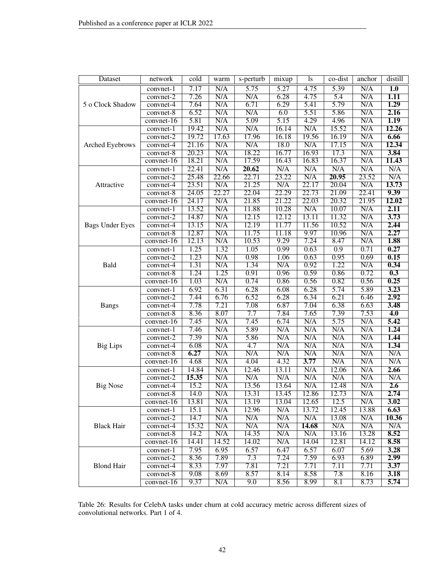| N/A<br>N/A<br>$\overline{5.75}$<br>$\overline{5.27}$<br>4.75<br>5.39<br>$\overline{1.0}$<br>7.17<br>convnet-1<br>7.26<br>N/A<br>6.28<br>4.75<br>N/A<br>N/A<br>5.4<br>1.11<br>convnet-2<br>6.71<br>5.79<br>1.29<br>7.64<br>N/A<br>6.29<br>5.41<br>N/A<br>5 o Clock Shadow<br>convnet-4<br>6.52<br>N/A<br>5.86<br>N/A<br>2.16<br>N/A<br>6.0<br>5.51<br>convnet-8<br>1.19<br>5.81<br>$\overline{\text{N/A}}$<br>5.09<br>4.29<br>4.96<br>N/A<br>5.15<br>$convnet-16$<br>N/A<br>19.42<br>N/A<br>N/A<br>15.52<br>N/A<br>12.26<br>16.14<br>convnet-1<br>19.72<br>17.63<br>17.96<br>19.56<br>16.19<br>N/A<br>6.66<br>16.18<br>convnet-2<br>$\overline{\text{N/A}}$<br>N/A<br>N/A<br>12.34<br>21.16<br>N/A<br>18.0<br>17.15<br>Arched Eyebrows<br>convnet-4<br>18.22<br>3.84<br>20.23<br>N/A<br>16.93<br>17.3<br>N/A<br>16.77<br>$convnet-8$<br>N/A<br>11.43<br>18.21<br>N/A<br>17.59<br>16.83<br>16.37<br>16.43<br>convnet-16<br>N/A<br>N/A<br>20.62<br>N/A<br>N/A<br>22.41<br>N/A<br>N/A<br>convnet-1<br>23.52<br>N/A<br>25.48<br>22.66<br>22.71<br>23.22<br>N/A<br>20.95<br>convnet-2<br>21.25<br>N/A<br>13.73<br>23.51<br>N/A<br>N/A<br>22.17<br>20.04<br>Attractive<br>convnet-4<br>9.39<br>22.27<br>22.04<br>22.29<br>22.41<br>24.05<br>22.73<br>21.09<br>convnet-8<br>N/A<br>21.85<br>21.22<br>22.03<br>20.32<br>21.95<br>12.02<br>24.17<br>convnet-16<br>11.88<br>N/A<br>2.11<br>13.52<br>N/A<br>10.28<br>N/A<br>10.07<br>convnet-1<br>N/A<br>N/A<br>$\overline{3.73}$<br>12.15<br>12.12<br>13.11<br>11.32<br>14.87<br>convnet-2<br>2.44<br>N/A<br>12.19<br>11.56<br>10.52<br>N/A<br><b>Bags Under Eyes</b><br>13.15<br>11.77<br>convnet-4<br>2.27<br>12.87<br>11.75<br>N/A<br>N/A<br>11.18<br>9.97<br>10.96<br>convnet-8<br>1.88<br>10.53<br>9.29<br>N/A<br>12.13<br>N/A<br>7.24<br>8.47<br>convnet-16<br>1.25<br>1.32<br>1.05<br>0.99<br>$\overline{0.9}$<br>0.71<br>0.27<br>0.63<br>$convnet-1$<br>0.69<br>0.15<br>1.23<br>0.98<br>0.95<br>N/A<br>1.06<br>0.63<br>$convnet-2$<br>0.34<br>1.31<br>N/A<br>1.34<br>0.92<br>1.22<br>N/A<br>Bald<br>N/A<br>convnet-4<br>0.3<br>1.24<br>1.25<br>0.91<br>0.96<br>0.59<br>0.86<br>0.72<br>convnet-8<br>0.25<br>1.03<br>N/A<br>0.74<br>0.56<br>0.56<br>0.86<br>0.82<br>$convnet-16$<br>3.23<br>6.92<br>6.31<br>6.28<br>6.28<br>5.74<br>5.89<br>6.08<br>convnet-1<br>6.52<br>6.21<br>2.92<br>7.44<br>6.76<br>6.28<br>6.34<br>6.46<br>convnet-2<br>7.78<br>7.08<br>6.63<br>3.48<br>7.21<br>6.87<br>7.04<br>6.38<br><b>Bangs</b><br>convnet-4<br>8.36<br>7.7<br>7.39<br>7.53<br>4.0<br>8.07<br>7.84<br>7.65<br>convnet-8<br>7.45<br>7.45<br>6.74<br>$\overline{\text{N/A}}$<br>5.75<br>N/A<br>5.42<br>N/A<br>$convnet-16$<br>5.89<br>7.46<br>N/A<br>N/A<br>N/A<br>N/A<br>N/A<br>1,24<br>convnet-1<br>1.44<br>7.39<br>N/A<br>5.86<br>N/A<br>N/A<br>N/A<br>N/A<br>convnet-2<br>N/A<br>N/A<br>N/A<br>N/A<br>N/A<br>1.34<br>6.08<br>4.7<br><b>Big Lips</b><br>convnet-4<br>N/A<br>6.27<br>N/A<br>N/A<br>N/A<br>N/A<br>N/A<br>N/A<br>$convnet-8$<br>N/A<br>4.68<br>4.04<br>4.32<br>3.77<br>N/A<br>N/A<br>N/A<br>convnet-16<br>N/A<br>N/A<br>N/A<br>2.66<br>14.84<br>12.46<br>13.11<br>12.06<br>convnet-1<br>15.35<br>N/A<br>N/A<br>N/A<br>N/A<br>N/A<br>N/A<br>N/A<br>convnet-2<br>15.2<br>N/A<br>13.56<br>N/A<br>12.48<br>N/A<br>2.6<br><b>Big Nose</b><br>13.64<br>convnet-4<br>N/A<br>2.74<br>14.0<br>N/A<br>13.31<br>13.45<br>12.86<br>12.73<br>$convnet-8$ | <b>Dataset</b> | network    | cold  | warm | s-perturb | mixup | <sup>1</sup> s | co-dist | anchor | distill |
|--------------------------------------------------------------------------------------------------------------------------------------------------------------------------------------------------------------------------------------------------------------------------------------------------------------------------------------------------------------------------------------------------------------------------------------------------------------------------------------------------------------------------------------------------------------------------------------------------------------------------------------------------------------------------------------------------------------------------------------------------------------------------------------------------------------------------------------------------------------------------------------------------------------------------------------------------------------------------------------------------------------------------------------------------------------------------------------------------------------------------------------------------------------------------------------------------------------------------------------------------------------------------------------------------------------------------------------------------------------------------------------------------------------------------------------------------------------------------------------------------------------------------------------------------------------------------------------------------------------------------------------------------------------------------------------------------------------------------------------------------------------------------------------------------------------------------------------------------------------------------------------------------------------------------------------------------------------------------------------------------------------------------------------------------------------------------------------------------------------------------------------------------------------------------------------------------------------------------------------------------------------------------------------------------------------------------------------------------------------------------------------------------------------------------------------------------------------------------------------------------------------------------------------------------------------------------------------------------------------------------------------------------------------------------------------------------------------------------------------------------------------------------------------------------------------------------------------------------------------------------------------------------------------------------------------------------------------------------------------------------------------------------------------------------------------------------------------------------------------------------------------------------------------------------------------------------------------------------------------------------------------------------------------------------------------------------------------------------------------------------------------------------|----------------|------------|-------|------|-----------|-------|----------------|---------|--------|---------|
|                                                                                                                                                                                                                                                                                                                                                                                                                                                                                                                                                                                                                                                                                                                                                                                                                                                                                                                                                                                                                                                                                                                                                                                                                                                                                                                                                                                                                                                                                                                                                                                                                                                                                                                                                                                                                                                                                                                                                                                                                                                                                                                                                                                                                                                                                                                                                                                                                                                                                                                                                                                                                                                                                                                                                                                                                                                                                                                                                                                                                                                                                                                                                                                                                                                                                                                                                                                                  |                |            |       |      |           |       |                |         |        |         |
|                                                                                                                                                                                                                                                                                                                                                                                                                                                                                                                                                                                                                                                                                                                                                                                                                                                                                                                                                                                                                                                                                                                                                                                                                                                                                                                                                                                                                                                                                                                                                                                                                                                                                                                                                                                                                                                                                                                                                                                                                                                                                                                                                                                                                                                                                                                                                                                                                                                                                                                                                                                                                                                                                                                                                                                                                                                                                                                                                                                                                                                                                                                                                                                                                                                                                                                                                                                                  |                |            |       |      |           |       |                |         |        |         |
|                                                                                                                                                                                                                                                                                                                                                                                                                                                                                                                                                                                                                                                                                                                                                                                                                                                                                                                                                                                                                                                                                                                                                                                                                                                                                                                                                                                                                                                                                                                                                                                                                                                                                                                                                                                                                                                                                                                                                                                                                                                                                                                                                                                                                                                                                                                                                                                                                                                                                                                                                                                                                                                                                                                                                                                                                                                                                                                                                                                                                                                                                                                                                                                                                                                                                                                                                                                                  |                |            |       |      |           |       |                |         |        |         |
|                                                                                                                                                                                                                                                                                                                                                                                                                                                                                                                                                                                                                                                                                                                                                                                                                                                                                                                                                                                                                                                                                                                                                                                                                                                                                                                                                                                                                                                                                                                                                                                                                                                                                                                                                                                                                                                                                                                                                                                                                                                                                                                                                                                                                                                                                                                                                                                                                                                                                                                                                                                                                                                                                                                                                                                                                                                                                                                                                                                                                                                                                                                                                                                                                                                                                                                                                                                                  |                |            |       |      |           |       |                |         |        |         |
|                                                                                                                                                                                                                                                                                                                                                                                                                                                                                                                                                                                                                                                                                                                                                                                                                                                                                                                                                                                                                                                                                                                                                                                                                                                                                                                                                                                                                                                                                                                                                                                                                                                                                                                                                                                                                                                                                                                                                                                                                                                                                                                                                                                                                                                                                                                                                                                                                                                                                                                                                                                                                                                                                                                                                                                                                                                                                                                                                                                                                                                                                                                                                                                                                                                                                                                                                                                                  |                |            |       |      |           |       |                |         |        |         |
|                                                                                                                                                                                                                                                                                                                                                                                                                                                                                                                                                                                                                                                                                                                                                                                                                                                                                                                                                                                                                                                                                                                                                                                                                                                                                                                                                                                                                                                                                                                                                                                                                                                                                                                                                                                                                                                                                                                                                                                                                                                                                                                                                                                                                                                                                                                                                                                                                                                                                                                                                                                                                                                                                                                                                                                                                                                                                                                                                                                                                                                                                                                                                                                                                                                                                                                                                                                                  |                |            |       |      |           |       |                |         |        |         |
|                                                                                                                                                                                                                                                                                                                                                                                                                                                                                                                                                                                                                                                                                                                                                                                                                                                                                                                                                                                                                                                                                                                                                                                                                                                                                                                                                                                                                                                                                                                                                                                                                                                                                                                                                                                                                                                                                                                                                                                                                                                                                                                                                                                                                                                                                                                                                                                                                                                                                                                                                                                                                                                                                                                                                                                                                                                                                                                                                                                                                                                                                                                                                                                                                                                                                                                                                                                                  |                |            |       |      |           |       |                |         |        |         |
|                                                                                                                                                                                                                                                                                                                                                                                                                                                                                                                                                                                                                                                                                                                                                                                                                                                                                                                                                                                                                                                                                                                                                                                                                                                                                                                                                                                                                                                                                                                                                                                                                                                                                                                                                                                                                                                                                                                                                                                                                                                                                                                                                                                                                                                                                                                                                                                                                                                                                                                                                                                                                                                                                                                                                                                                                                                                                                                                                                                                                                                                                                                                                                                                                                                                                                                                                                                                  |                |            |       |      |           |       |                |         |        |         |
|                                                                                                                                                                                                                                                                                                                                                                                                                                                                                                                                                                                                                                                                                                                                                                                                                                                                                                                                                                                                                                                                                                                                                                                                                                                                                                                                                                                                                                                                                                                                                                                                                                                                                                                                                                                                                                                                                                                                                                                                                                                                                                                                                                                                                                                                                                                                                                                                                                                                                                                                                                                                                                                                                                                                                                                                                                                                                                                                                                                                                                                                                                                                                                                                                                                                                                                                                                                                  |                |            |       |      |           |       |                |         |        |         |
|                                                                                                                                                                                                                                                                                                                                                                                                                                                                                                                                                                                                                                                                                                                                                                                                                                                                                                                                                                                                                                                                                                                                                                                                                                                                                                                                                                                                                                                                                                                                                                                                                                                                                                                                                                                                                                                                                                                                                                                                                                                                                                                                                                                                                                                                                                                                                                                                                                                                                                                                                                                                                                                                                                                                                                                                                                                                                                                                                                                                                                                                                                                                                                                                                                                                                                                                                                                                  |                |            |       |      |           |       |                |         |        |         |
|                                                                                                                                                                                                                                                                                                                                                                                                                                                                                                                                                                                                                                                                                                                                                                                                                                                                                                                                                                                                                                                                                                                                                                                                                                                                                                                                                                                                                                                                                                                                                                                                                                                                                                                                                                                                                                                                                                                                                                                                                                                                                                                                                                                                                                                                                                                                                                                                                                                                                                                                                                                                                                                                                                                                                                                                                                                                                                                                                                                                                                                                                                                                                                                                                                                                                                                                                                                                  |                |            |       |      |           |       |                |         |        |         |
|                                                                                                                                                                                                                                                                                                                                                                                                                                                                                                                                                                                                                                                                                                                                                                                                                                                                                                                                                                                                                                                                                                                                                                                                                                                                                                                                                                                                                                                                                                                                                                                                                                                                                                                                                                                                                                                                                                                                                                                                                                                                                                                                                                                                                                                                                                                                                                                                                                                                                                                                                                                                                                                                                                                                                                                                                                                                                                                                                                                                                                                                                                                                                                                                                                                                                                                                                                                                  |                |            |       |      |           |       |                |         |        |         |
|                                                                                                                                                                                                                                                                                                                                                                                                                                                                                                                                                                                                                                                                                                                                                                                                                                                                                                                                                                                                                                                                                                                                                                                                                                                                                                                                                                                                                                                                                                                                                                                                                                                                                                                                                                                                                                                                                                                                                                                                                                                                                                                                                                                                                                                                                                                                                                                                                                                                                                                                                                                                                                                                                                                                                                                                                                                                                                                                                                                                                                                                                                                                                                                                                                                                                                                                                                                                  |                |            |       |      |           |       |                |         |        |         |
|                                                                                                                                                                                                                                                                                                                                                                                                                                                                                                                                                                                                                                                                                                                                                                                                                                                                                                                                                                                                                                                                                                                                                                                                                                                                                                                                                                                                                                                                                                                                                                                                                                                                                                                                                                                                                                                                                                                                                                                                                                                                                                                                                                                                                                                                                                                                                                                                                                                                                                                                                                                                                                                                                                                                                                                                                                                                                                                                                                                                                                                                                                                                                                                                                                                                                                                                                                                                  |                |            |       |      |           |       |                |         |        |         |
|                                                                                                                                                                                                                                                                                                                                                                                                                                                                                                                                                                                                                                                                                                                                                                                                                                                                                                                                                                                                                                                                                                                                                                                                                                                                                                                                                                                                                                                                                                                                                                                                                                                                                                                                                                                                                                                                                                                                                                                                                                                                                                                                                                                                                                                                                                                                                                                                                                                                                                                                                                                                                                                                                                                                                                                                                                                                                                                                                                                                                                                                                                                                                                                                                                                                                                                                                                                                  |                |            |       |      |           |       |                |         |        |         |
|                                                                                                                                                                                                                                                                                                                                                                                                                                                                                                                                                                                                                                                                                                                                                                                                                                                                                                                                                                                                                                                                                                                                                                                                                                                                                                                                                                                                                                                                                                                                                                                                                                                                                                                                                                                                                                                                                                                                                                                                                                                                                                                                                                                                                                                                                                                                                                                                                                                                                                                                                                                                                                                                                                                                                                                                                                                                                                                                                                                                                                                                                                                                                                                                                                                                                                                                                                                                  |                |            |       |      |           |       |                |         |        |         |
|                                                                                                                                                                                                                                                                                                                                                                                                                                                                                                                                                                                                                                                                                                                                                                                                                                                                                                                                                                                                                                                                                                                                                                                                                                                                                                                                                                                                                                                                                                                                                                                                                                                                                                                                                                                                                                                                                                                                                                                                                                                                                                                                                                                                                                                                                                                                                                                                                                                                                                                                                                                                                                                                                                                                                                                                                                                                                                                                                                                                                                                                                                                                                                                                                                                                                                                                                                                                  |                |            |       |      |           |       |                |         |        |         |
|                                                                                                                                                                                                                                                                                                                                                                                                                                                                                                                                                                                                                                                                                                                                                                                                                                                                                                                                                                                                                                                                                                                                                                                                                                                                                                                                                                                                                                                                                                                                                                                                                                                                                                                                                                                                                                                                                                                                                                                                                                                                                                                                                                                                                                                                                                                                                                                                                                                                                                                                                                                                                                                                                                                                                                                                                                                                                                                                                                                                                                                                                                                                                                                                                                                                                                                                                                                                  |                |            |       |      |           |       |                |         |        |         |
|                                                                                                                                                                                                                                                                                                                                                                                                                                                                                                                                                                                                                                                                                                                                                                                                                                                                                                                                                                                                                                                                                                                                                                                                                                                                                                                                                                                                                                                                                                                                                                                                                                                                                                                                                                                                                                                                                                                                                                                                                                                                                                                                                                                                                                                                                                                                                                                                                                                                                                                                                                                                                                                                                                                                                                                                                                                                                                                                                                                                                                                                                                                                                                                                                                                                                                                                                                                                  |                |            |       |      |           |       |                |         |        |         |
|                                                                                                                                                                                                                                                                                                                                                                                                                                                                                                                                                                                                                                                                                                                                                                                                                                                                                                                                                                                                                                                                                                                                                                                                                                                                                                                                                                                                                                                                                                                                                                                                                                                                                                                                                                                                                                                                                                                                                                                                                                                                                                                                                                                                                                                                                                                                                                                                                                                                                                                                                                                                                                                                                                                                                                                                                                                                                                                                                                                                                                                                                                                                                                                                                                                                                                                                                                                                  |                |            |       |      |           |       |                |         |        |         |
|                                                                                                                                                                                                                                                                                                                                                                                                                                                                                                                                                                                                                                                                                                                                                                                                                                                                                                                                                                                                                                                                                                                                                                                                                                                                                                                                                                                                                                                                                                                                                                                                                                                                                                                                                                                                                                                                                                                                                                                                                                                                                                                                                                                                                                                                                                                                                                                                                                                                                                                                                                                                                                                                                                                                                                                                                                                                                                                                                                                                                                                                                                                                                                                                                                                                                                                                                                                                  |                |            |       |      |           |       |                |         |        |         |
|                                                                                                                                                                                                                                                                                                                                                                                                                                                                                                                                                                                                                                                                                                                                                                                                                                                                                                                                                                                                                                                                                                                                                                                                                                                                                                                                                                                                                                                                                                                                                                                                                                                                                                                                                                                                                                                                                                                                                                                                                                                                                                                                                                                                                                                                                                                                                                                                                                                                                                                                                                                                                                                                                                                                                                                                                                                                                                                                                                                                                                                                                                                                                                                                                                                                                                                                                                                                  |                |            |       |      |           |       |                |         |        |         |
|                                                                                                                                                                                                                                                                                                                                                                                                                                                                                                                                                                                                                                                                                                                                                                                                                                                                                                                                                                                                                                                                                                                                                                                                                                                                                                                                                                                                                                                                                                                                                                                                                                                                                                                                                                                                                                                                                                                                                                                                                                                                                                                                                                                                                                                                                                                                                                                                                                                                                                                                                                                                                                                                                                                                                                                                                                                                                                                                                                                                                                                                                                                                                                                                                                                                                                                                                                                                  |                |            |       |      |           |       |                |         |        |         |
|                                                                                                                                                                                                                                                                                                                                                                                                                                                                                                                                                                                                                                                                                                                                                                                                                                                                                                                                                                                                                                                                                                                                                                                                                                                                                                                                                                                                                                                                                                                                                                                                                                                                                                                                                                                                                                                                                                                                                                                                                                                                                                                                                                                                                                                                                                                                                                                                                                                                                                                                                                                                                                                                                                                                                                                                                                                                                                                                                                                                                                                                                                                                                                                                                                                                                                                                                                                                  |                |            |       |      |           |       |                |         |        |         |
|                                                                                                                                                                                                                                                                                                                                                                                                                                                                                                                                                                                                                                                                                                                                                                                                                                                                                                                                                                                                                                                                                                                                                                                                                                                                                                                                                                                                                                                                                                                                                                                                                                                                                                                                                                                                                                                                                                                                                                                                                                                                                                                                                                                                                                                                                                                                                                                                                                                                                                                                                                                                                                                                                                                                                                                                                                                                                                                                                                                                                                                                                                                                                                                                                                                                                                                                                                                                  |                |            |       |      |           |       |                |         |        |         |
|                                                                                                                                                                                                                                                                                                                                                                                                                                                                                                                                                                                                                                                                                                                                                                                                                                                                                                                                                                                                                                                                                                                                                                                                                                                                                                                                                                                                                                                                                                                                                                                                                                                                                                                                                                                                                                                                                                                                                                                                                                                                                                                                                                                                                                                                                                                                                                                                                                                                                                                                                                                                                                                                                                                                                                                                                                                                                                                                                                                                                                                                                                                                                                                                                                                                                                                                                                                                  |                |            |       |      |           |       |                |         |        |         |
|                                                                                                                                                                                                                                                                                                                                                                                                                                                                                                                                                                                                                                                                                                                                                                                                                                                                                                                                                                                                                                                                                                                                                                                                                                                                                                                                                                                                                                                                                                                                                                                                                                                                                                                                                                                                                                                                                                                                                                                                                                                                                                                                                                                                                                                                                                                                                                                                                                                                                                                                                                                                                                                                                                                                                                                                                                                                                                                                                                                                                                                                                                                                                                                                                                                                                                                                                                                                  |                |            |       |      |           |       |                |         |        |         |
|                                                                                                                                                                                                                                                                                                                                                                                                                                                                                                                                                                                                                                                                                                                                                                                                                                                                                                                                                                                                                                                                                                                                                                                                                                                                                                                                                                                                                                                                                                                                                                                                                                                                                                                                                                                                                                                                                                                                                                                                                                                                                                                                                                                                                                                                                                                                                                                                                                                                                                                                                                                                                                                                                                                                                                                                                                                                                                                                                                                                                                                                                                                                                                                                                                                                                                                                                                                                  |                |            |       |      |           |       |                |         |        |         |
|                                                                                                                                                                                                                                                                                                                                                                                                                                                                                                                                                                                                                                                                                                                                                                                                                                                                                                                                                                                                                                                                                                                                                                                                                                                                                                                                                                                                                                                                                                                                                                                                                                                                                                                                                                                                                                                                                                                                                                                                                                                                                                                                                                                                                                                                                                                                                                                                                                                                                                                                                                                                                                                                                                                                                                                                                                                                                                                                                                                                                                                                                                                                                                                                                                                                                                                                                                                                  |                |            |       |      |           |       |                |         |        |         |
|                                                                                                                                                                                                                                                                                                                                                                                                                                                                                                                                                                                                                                                                                                                                                                                                                                                                                                                                                                                                                                                                                                                                                                                                                                                                                                                                                                                                                                                                                                                                                                                                                                                                                                                                                                                                                                                                                                                                                                                                                                                                                                                                                                                                                                                                                                                                                                                                                                                                                                                                                                                                                                                                                                                                                                                                                                                                                                                                                                                                                                                                                                                                                                                                                                                                                                                                                                                                  |                |            |       |      |           |       |                |         |        |         |
|                                                                                                                                                                                                                                                                                                                                                                                                                                                                                                                                                                                                                                                                                                                                                                                                                                                                                                                                                                                                                                                                                                                                                                                                                                                                                                                                                                                                                                                                                                                                                                                                                                                                                                                                                                                                                                                                                                                                                                                                                                                                                                                                                                                                                                                                                                                                                                                                                                                                                                                                                                                                                                                                                                                                                                                                                                                                                                                                                                                                                                                                                                                                                                                                                                                                                                                                                                                                  |                |            |       |      |           |       |                |         |        |         |
|                                                                                                                                                                                                                                                                                                                                                                                                                                                                                                                                                                                                                                                                                                                                                                                                                                                                                                                                                                                                                                                                                                                                                                                                                                                                                                                                                                                                                                                                                                                                                                                                                                                                                                                                                                                                                                                                                                                                                                                                                                                                                                                                                                                                                                                                                                                                                                                                                                                                                                                                                                                                                                                                                                                                                                                                                                                                                                                                                                                                                                                                                                                                                                                                                                                                                                                                                                                                  |                |            |       |      |           |       |                |         |        |         |
|                                                                                                                                                                                                                                                                                                                                                                                                                                                                                                                                                                                                                                                                                                                                                                                                                                                                                                                                                                                                                                                                                                                                                                                                                                                                                                                                                                                                                                                                                                                                                                                                                                                                                                                                                                                                                                                                                                                                                                                                                                                                                                                                                                                                                                                                                                                                                                                                                                                                                                                                                                                                                                                                                                                                                                                                                                                                                                                                                                                                                                                                                                                                                                                                                                                                                                                                                                                                  |                |            |       |      |           |       |                |         |        |         |
|                                                                                                                                                                                                                                                                                                                                                                                                                                                                                                                                                                                                                                                                                                                                                                                                                                                                                                                                                                                                                                                                                                                                                                                                                                                                                                                                                                                                                                                                                                                                                                                                                                                                                                                                                                                                                                                                                                                                                                                                                                                                                                                                                                                                                                                                                                                                                                                                                                                                                                                                                                                                                                                                                                                                                                                                                                                                                                                                                                                                                                                                                                                                                                                                                                                                                                                                                                                                  |                |            |       |      |           |       |                |         |        |         |
|                                                                                                                                                                                                                                                                                                                                                                                                                                                                                                                                                                                                                                                                                                                                                                                                                                                                                                                                                                                                                                                                                                                                                                                                                                                                                                                                                                                                                                                                                                                                                                                                                                                                                                                                                                                                                                                                                                                                                                                                                                                                                                                                                                                                                                                                                                                                                                                                                                                                                                                                                                                                                                                                                                                                                                                                                                                                                                                                                                                                                                                                                                                                                                                                                                                                                                                                                                                                  |                |            |       |      |           |       |                |         |        |         |
|                                                                                                                                                                                                                                                                                                                                                                                                                                                                                                                                                                                                                                                                                                                                                                                                                                                                                                                                                                                                                                                                                                                                                                                                                                                                                                                                                                                                                                                                                                                                                                                                                                                                                                                                                                                                                                                                                                                                                                                                                                                                                                                                                                                                                                                                                                                                                                                                                                                                                                                                                                                                                                                                                                                                                                                                                                                                                                                                                                                                                                                                                                                                                                                                                                                                                                                                                                                                  |                |            |       |      |           |       |                |         |        |         |
|                                                                                                                                                                                                                                                                                                                                                                                                                                                                                                                                                                                                                                                                                                                                                                                                                                                                                                                                                                                                                                                                                                                                                                                                                                                                                                                                                                                                                                                                                                                                                                                                                                                                                                                                                                                                                                                                                                                                                                                                                                                                                                                                                                                                                                                                                                                                                                                                                                                                                                                                                                                                                                                                                                                                                                                                                                                                                                                                                                                                                                                                                                                                                                                                                                                                                                                                                                                                  |                |            |       |      |           |       |                |         |        |         |
|                                                                                                                                                                                                                                                                                                                                                                                                                                                                                                                                                                                                                                                                                                                                                                                                                                                                                                                                                                                                                                                                                                                                                                                                                                                                                                                                                                                                                                                                                                                                                                                                                                                                                                                                                                                                                                                                                                                                                                                                                                                                                                                                                                                                                                                                                                                                                                                                                                                                                                                                                                                                                                                                                                                                                                                                                                                                                                                                                                                                                                                                                                                                                                                                                                                                                                                                                                                                  |                |            |       |      |           |       |                |         |        |         |
|                                                                                                                                                                                                                                                                                                                                                                                                                                                                                                                                                                                                                                                                                                                                                                                                                                                                                                                                                                                                                                                                                                                                                                                                                                                                                                                                                                                                                                                                                                                                                                                                                                                                                                                                                                                                                                                                                                                                                                                                                                                                                                                                                                                                                                                                                                                                                                                                                                                                                                                                                                                                                                                                                                                                                                                                                                                                                                                                                                                                                                                                                                                                                                                                                                                                                                                                                                                                  |                |            |       |      |           |       |                |         |        |         |
|                                                                                                                                                                                                                                                                                                                                                                                                                                                                                                                                                                                                                                                                                                                                                                                                                                                                                                                                                                                                                                                                                                                                                                                                                                                                                                                                                                                                                                                                                                                                                                                                                                                                                                                                                                                                                                                                                                                                                                                                                                                                                                                                                                                                                                                                                                                                                                                                                                                                                                                                                                                                                                                                                                                                                                                                                                                                                                                                                                                                                                                                                                                                                                                                                                                                                                                                                                                                  |                | convnet-16 | 13.81 | N/A  | 13.19     | 13.04 | 12.65          | 12.5    | N/A    | 3.02    |
| 15.1<br>N/A<br>12.96<br>N/A<br>13.72<br>12.45<br>13.88<br>6.63<br>convnet-1                                                                                                                                                                                                                                                                                                                                                                                                                                                                                                                                                                                                                                                                                                                                                                                                                                                                                                                                                                                                                                                                                                                                                                                                                                                                                                                                                                                                                                                                                                                                                                                                                                                                                                                                                                                                                                                                                                                                                                                                                                                                                                                                                                                                                                                                                                                                                                                                                                                                                                                                                                                                                                                                                                                                                                                                                                                                                                                                                                                                                                                                                                                                                                                                                                                                                                                      |                |            |       |      |           |       |                |         |        |         |
| N/A<br>N/A<br>N/A<br>N/A<br>N/A<br>10.36<br>14.7<br>13.08<br>convnet-2                                                                                                                                                                                                                                                                                                                                                                                                                                                                                                                                                                                                                                                                                                                                                                                                                                                                                                                                                                                                                                                                                                                                                                                                                                                                                                                                                                                                                                                                                                                                                                                                                                                                                                                                                                                                                                                                                                                                                                                                                                                                                                                                                                                                                                                                                                                                                                                                                                                                                                                                                                                                                                                                                                                                                                                                                                                                                                                                                                                                                                                                                                                                                                                                                                                                                                                           |                |            |       |      |           |       |                |         |        |         |
| <b>Black Hair</b><br>N/A<br>N/A<br>N/A<br>N/A<br>N/A<br>15.32<br>14.68<br>N/A<br>$convnet-4$                                                                                                                                                                                                                                                                                                                                                                                                                                                                                                                                                                                                                                                                                                                                                                                                                                                                                                                                                                                                                                                                                                                                                                                                                                                                                                                                                                                                                                                                                                                                                                                                                                                                                                                                                                                                                                                                                                                                                                                                                                                                                                                                                                                                                                                                                                                                                                                                                                                                                                                                                                                                                                                                                                                                                                                                                                                                                                                                                                                                                                                                                                                                                                                                                                                                                                     |                |            |       |      |           |       |                |         |        |         |
| 8.52<br>14.2<br>N/A<br>14.35<br>N/A<br>N/A<br>13.16<br>13.28<br>convnet-8                                                                                                                                                                                                                                                                                                                                                                                                                                                                                                                                                                                                                                                                                                                                                                                                                                                                                                                                                                                                                                                                                                                                                                                                                                                                                                                                                                                                                                                                                                                                                                                                                                                                                                                                                                                                                                                                                                                                                                                                                                                                                                                                                                                                                                                                                                                                                                                                                                                                                                                                                                                                                                                                                                                                                                                                                                                                                                                                                                                                                                                                                                                                                                                                                                                                                                                        |                |            |       |      |           |       |                |         |        |         |
| 14.52<br>N/A<br>14.41<br>14.02<br>14.04<br>12.81<br>14.12<br>8.58<br>convnet-16                                                                                                                                                                                                                                                                                                                                                                                                                                                                                                                                                                                                                                                                                                                                                                                                                                                                                                                                                                                                                                                                                                                                                                                                                                                                                                                                                                                                                                                                                                                                                                                                                                                                                                                                                                                                                                                                                                                                                                                                                                                                                                                                                                                                                                                                                                                                                                                                                                                                                                                                                                                                                                                                                                                                                                                                                                                                                                                                                                                                                                                                                                                                                                                                                                                                                                                  |                |            |       |      |           |       |                |         |        |         |
| 7.95<br>6.95<br>6.57<br>6.57<br>5.69<br>3.28<br>6.47<br>6.07<br>convnet-1                                                                                                                                                                                                                                                                                                                                                                                                                                                                                                                                                                                                                                                                                                                                                                                                                                                                                                                                                                                                                                                                                                                                                                                                                                                                                                                                                                                                                                                                                                                                                                                                                                                                                                                                                                                                                                                                                                                                                                                                                                                                                                                                                                                                                                                                                                                                                                                                                                                                                                                                                                                                                                                                                                                                                                                                                                                                                                                                                                                                                                                                                                                                                                                                                                                                                                                        |                |            |       |      |           |       |                |         |        |         |
| 7.89<br>7.3<br>7.24<br>7.59<br>6.89<br>2.99<br>8.36<br>6.93<br>convnet-2                                                                                                                                                                                                                                                                                                                                                                                                                                                                                                                                                                                                                                                                                                                                                                                                                                                                                                                                                                                                                                                                                                                                                                                                                                                                                                                                                                                                                                                                                                                                                                                                                                                                                                                                                                                                                                                                                                                                                                                                                                                                                                                                                                                                                                                                                                                                                                                                                                                                                                                                                                                                                                                                                                                                                                                                                                                                                                                                                                                                                                                                                                                                                                                                                                                                                                                         |                |            |       |      |           |       |                |         |        |         |
| <b>Blond Hair</b><br>7.97<br>7.81<br>7.21<br>7.71<br>7.71<br>3.37<br>8.33<br>7.11<br>convnet-4                                                                                                                                                                                                                                                                                                                                                                                                                                                                                                                                                                                                                                                                                                                                                                                                                                                                                                                                                                                                                                                                                                                                                                                                                                                                                                                                                                                                                                                                                                                                                                                                                                                                                                                                                                                                                                                                                                                                                                                                                                                                                                                                                                                                                                                                                                                                                                                                                                                                                                                                                                                                                                                                                                                                                                                                                                                                                                                                                                                                                                                                                                                                                                                                                                                                                                   |                |            |       |      |           |       |                |         |        |         |
| 8.57<br>9.08<br>8.69<br>8.14<br>8.58<br>7.8<br>8.16<br>3.18<br>convnet-8                                                                                                                                                                                                                                                                                                                                                                                                                                                                                                                                                                                                                                                                                                                                                                                                                                                                                                                                                                                                                                                                                                                                                                                                                                                                                                                                                                                                                                                                                                                                                                                                                                                                                                                                                                                                                                                                                                                                                                                                                                                                                                                                                                                                                                                                                                                                                                                                                                                                                                                                                                                                                                                                                                                                                                                                                                                                                                                                                                                                                                                                                                                                                                                                                                                                                                                         |                |            |       |      |           |       |                |         |        |         |
| N/A<br>8.56<br>8.99<br>8.73<br>5.74<br>9.37<br>9.0<br>8.1<br>convnet-16                                                                                                                                                                                                                                                                                                                                                                                                                                                                                                                                                                                                                                                                                                                                                                                                                                                                                                                                                                                                                                                                                                                                                                                                                                                                                                                                                                                                                                                                                                                                                                                                                                                                                                                                                                                                                                                                                                                                                                                                                                                                                                                                                                                                                                                                                                                                                                                                                                                                                                                                                                                                                                                                                                                                                                                                                                                                                                                                                                                                                                                                                                                                                                                                                                                                                                                          |                |            |       |      |           |       |                |         |        |         |

<span id="page-41-0"></span>Table 26: Results for CelebA tasks under churn at cold accuracy metric across different sizes of convolutional networks. Part 1 of 4.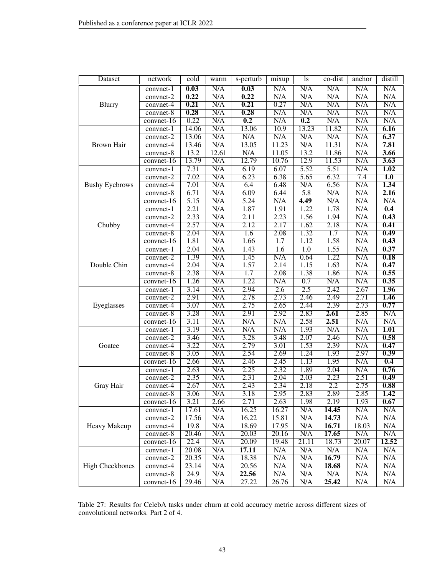| Dataset                | network      | cold  | warm  | s-perturb | mixup            | <sub>1s</sub>           | co-dist | anchor                  | distill          |
|------------------------|--------------|-------|-------|-----------|------------------|-------------------------|---------|-------------------------|------------------|
|                        | $convnet-1$  | 0.03  | N/A   | 0.03      | N/A              | $\overline{\text{N/A}}$ | N/A     | N/A                     | N/A              |
|                        | convnet-2    | 0.22  | N/A   | 0.22      | N/A              | N/A                     | N/A     | N/A                     | N/A              |
| Blurry                 | convnet-4    | 0.21  | N/A   | 0.21      | 0.27             | N/A                     | N/A     | N/A                     | N/A              |
|                        | convnet-8    | 0.28  | N/A   | 0.28      | N/A              | N/A                     | N/A     | N/A                     | N/A              |
|                        | $convnet-16$ | 0.22  | N/A   | 0.2       | N/A              | 0.2                     | N/A     | N/A                     | N/A              |
|                        | convnet-1    | 14.06 | N/A   | 13.06     | 10.9             | 13.23                   | 11.82   | N/A                     | 6.16             |
|                        | convnet-2    | 13.06 | N/A   | N/A       | N/A              | N/A                     | N/A     | N/A                     | 6.37             |
| <b>Brown Hair</b>      | convnet-4    | 13.46 | N/A   | 13.05     | 11.23            | N/A                     | 11.31   | N/A                     | 7.81             |
|                        | convnet-8    | 13.2  | 12.61 | N/A       | 11.05            | 13.2                    | 11.86   | N/A                     | 3.66             |
|                        | convnet-16   | 13.79 | N/A   | 12.79     | 10.76            | 12.9                    | 11.53   | N/A                     | 3.63             |
|                        | convnet-1    | 7.31  | N/A   | 6.19      | 6.07             | 5.52                    | 5.51    | N/A                     | 1.02             |
|                        | $convnet-2$  | 7.02  | N/A   | 6.23      | 6.38             | 5.65                    | 6.32    | 7.4                     | $\overline{1.0}$ |
| <b>Bushy Eyebrows</b>  | convnet-4    | 7.01  | N/A   | 6.4       | 6.48             | N/A                     | 6.56    | $\overline{\text{N/A}}$ | 1.34             |
|                        | convnet-8    | 6.71  | N/A   | 6.09      | 6.44             | 5.8                     | N/A     | N/A                     | 2.16             |
|                        | $convnet-16$ | 5.15  | N/A   | 5.24      | N/A              | 4.49                    | N/A     | N/A                     | N/A              |
|                        | convnet-1    | 2.21  | N/A   | 1.87      | 1.91             | 1.22                    | 1.78    | N/A                     | 0.4              |
|                        | convnet-2    | 2.33  | N/A   | 2.11      | 2.23             | 1.56                    | 1.94    | N/A                     | 0.43             |
| Chubby                 | convnet-4    | 2.57  | N/A   | 2.12      | 2.17             | 1.62                    | 2.18    | N/A                     | 0.41             |
|                        | convnet-8    | 2.04  | N/A   | 1.6       | 2.08             | 1.32                    | 1.7     | N/A                     | 0.49             |
|                        | convnet-16   | 1.81  | N/A   | 1.66      | $\overline{1.7}$ | 1.12                    | 1.58    | N/A                     | 0.43             |
|                        | convnet-1    | 2.04  | N/A   | 1.43      | 1.6              | $\overline{1.0}$        | 1.55    | N/A                     | 0.37             |
|                        | convnet-2    | 1.39  | N/A   | 1.45      | N/A              | 0.64                    | 1.22    | $\overline{\text{N/A}}$ | 0.18             |
| Double Chin            | convnet-4    | 2.04  | N/A   | 1.57      | 2.14             | 1.15                    | 1.63    | N/A                     | 0.47             |
|                        | convnet-8    | 2.38  | N/A   | 1.7       | 2.08             | 1.38                    | 1.86    | N/A                     | 0.55             |
|                        | convnet-16   | 1.26  | N/A   | 1.22      | N/A              | 0.7                     | N/A     | N/A                     | 0.35             |
|                        | convnet-1    | 3.14  | N/A   | 2.94      | 2.6              | 2.5                     | 2.42    | 2.67                    | 1.96             |
|                        | convnet-2    | 2.91  | N/A   | 2.78      | 2.73             | 2.46                    | 2.49    | 2.71                    | 1.46             |
| Eyeglasses             | convnet-4    | 3.07  | N/A   | 2.75      | 2.65             | 2.44                    | 2.39    | 2.73                    | 0.77             |
|                        | convnet-8    | 3.28  | N/A   | 2.91      | 2.92             | 2.83                    | 2.61    | 2.85                    | N/A              |
|                        | $convnet-16$ | 3.11  | N/A   | N/A       | N/A              | 2.58                    | 2.51    | N/A                     | N/A              |
|                        | convnet-1    | 3.19  | N/A   | N/A       | N/A              | 1.93                    | N/A     | N/A                     | 1.01             |
|                        | convnet-2    | 3.46  | N/A   | 3.28      | 3.48             | 2.07                    | 2.46    | N/A                     | 0.58             |
| Goatee                 | convnet-4    | 3.22  | N/A   | 2.79      | 3.01             | 1.53                    | 2.39    | N/A                     | 0.47             |
|                        | convnet-8    | 3.05  | N/A   | 2.54      | 2.69             | 1.24                    | 1.93    | 2.97                    | 0.39             |
|                        | convnet-16   | 2.66  | N/A   | 2.46      | 2.45             | 1.13                    | 1.95    | N/A                     | 0.4              |
|                        | convnet-1    | 2.63  | N/A   | 2.25      | 2.32             | 1.89                    | 2.04    | N/A                     | 0.76             |
|                        | $convnet-2$  | 2.35  | N/A   | 2.31      | 2.04             | 2.03                    | 2.23    | 2.51                    | 0.49             |
| Gray Hair              | convnet-4    | 2.67  | N/A   | 2.43      | 2.34             | 2.18                    | 2.2     | 2.75                    | 0.88             |
|                        | convnet-8    | 3.06  | N/A   | 3.18      | 2.95             | 2.83                    | 2.89    | 2.85                    | 1.42             |
|                        | $convnet-16$ | 3.21  | 2.66  | 2.71      | 2.63             | 1.98                    | 2.19    | 1.93                    | 0.67             |
|                        | convnet-1    | 17.61 | N/A   | 16.25     | 16.27            | N/A                     | 14.45   | N/A                     | N/A              |
|                        | convnet-2    | 17.56 | N/A   | 16.22     | 15.81            | N/A                     | 14.73   | N/A                     | N/A              |
| Heavy Makeup           | convnet-4    | 19.8  | N/A   | 18.69     | 17.95            | N/A                     | 16.71   | 18.03                   | N/A              |
|                        | convnet-8    | 20.46 | N/A   | 20.03     | 20.16            | N/A                     | 17.65   | N/A                     | N/A              |
|                        | convnet-16   | 22.4  | N/A   | 20.09     | 19.48            | 21.11                   | 18.73   | 20.07                   | 12.52            |
|                        | convnet-1    | 20.08 | N/A   | 17.11     | N/A              | N/A                     | N/A     | N/A                     | N/A              |
|                        | convnet-2    | 20.35 | N/A   | 18.38     | N/A              | N/A                     | 16.79   | N/A                     | N/A              |
| <b>High Cheekbones</b> | convnet-4    | 23.14 | N/A   | 20.56     | N/A              | N/A                     | 18.68   | N/A                     | N/A              |
|                        | convnet-8    | 24.9  | N/A   | 22.56     | N/A              | N/A                     | N/A     | N/A                     | N/A              |
|                        | $convnet-16$ | 29.46 | N/A   | 27.22     | 26.76            | N/A                     | 25.42   | N/A                     | N/A              |

<span id="page-42-0"></span>Table 27: Results for CelebA tasks under churn at cold accuracy metric across different sizes of convolutional networks. Part 2 of 4.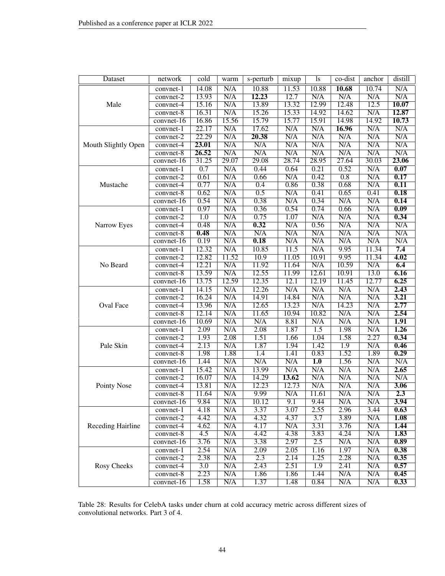| Dataset                  | network      | cold  | warm                    | s-perturb | mixup | ls               | co-dist          | anchor | distill                 |
|--------------------------|--------------|-------|-------------------------|-----------|-------|------------------|------------------|--------|-------------------------|
|                          | $convnet-1$  | 14.08 | N/A                     | 10.88     | 11.53 | 10.88            | 10.68            | 10.74  | N/A                     |
|                          | convnet-2    | 13.93 | N/A                     | 12.23     | 12.7  | N/A              | N/A              | N/A    | N/A                     |
| Male                     | convnet-4    | 15.16 | N/A                     | 13.89     | 13.32 | 12.99            | 12.48            | 12.5   | 10.07                   |
|                          | convnet-8    | 16.31 | N/A                     | 15.26     | 15.33 | 14.92            | 14.62            | N/A    | 12.87                   |
|                          | $convnet-16$ | 16.86 | 15.56                   | 15.79     | 15.77 | 15.91            | 14.98            | 14.92  | 10.73                   |
|                          | convnet-1    | 22.17 | N/A                     | 17.62     | N/A   | N/A              | 16.96            | N/A    | N/A                     |
|                          | convnet-2    | 22.29 | N/A                     | 20.38     | N/A   | N/A              | N/A              | N/A    | N/A                     |
| Mouth Slightly Open      | convnet-4    | 23.01 | N/A                     | N/A       | N/A   | N/A              | N/A              | N/A    | N/A                     |
|                          | convnet-8    | 26.52 | N/A                     | N/A       | N/A   | N/A              | N/A              | N/A    | $\overline{\text{N/A}}$ |
|                          | convnet-16   | 31.25 | 29.07                   | 29.08     | 28.74 | 28.95            | 27.64            | 30.03  | 23.06                   |
|                          | convnet-1    | 0.7   | N/A                     | 0.44      | 0.64  | 0.21             | 0.52             | N/A    | 0.07                    |
|                          | convnet-2    | 0.61  | N/A                     | 0.66      | N/A   | 0.42             | $\overline{0.8}$ | N/A    | 0.17                    |
| Mustache                 | convnet-4    | 0.77  | N/A                     | 0.4       | 0.86  | 0.38             | 0.68             | N/A    | 0.11                    |
|                          | convnet-8    | 0.62  | N/A                     | 0.5       | N/A   | 0.41             | 0.65             | 0.41   | 0.18                    |
|                          | $convnet-16$ | 0.54  | N/A                     | 0.38      | N/A   | 0.34             | N/A              | N/A    | 0.14                    |
|                          | convnet-1    | 0.97  | N/A                     | 0.36      | 0.54  | 0.74             | 0.66             | N/A    | $\overline{0.09}$       |
|                          | $convnet-2$  | 1.0   | $\overline{\text{N/A}}$ | 0.75      | 1.07  | N/A              | N/A              | N/A    | 0.34                    |
| Narrow Eyes              | convnet-4    | 0.48  | N/A                     | 0.32      | N/A   | 0.56             | N/A              | N/A    | $\overline{\text{N/A}}$ |
|                          | convnet-8    | 0.48  | N/A                     | N/A       | N/A   | N/A              | N/A              | N/A    | N/A                     |
|                          | convnet-16   | 0.19  | N/A                     | 0.18      | N/A   | N/A              | N/A              | N/A    | N/A                     |
|                          | convnet-1    | 12.32 | N/A                     | 10.85     | 11.5  | N/A              | 9.95             | 11.34  | 7.4                     |
|                          | convnet-2    | 12.82 | 11.52                   | 10.9      | 11.05 | 10.91            | 9.95             | 11.34  | 4.02                    |
| No Beard                 | convnet-4    | 12.21 | N/A                     | 11.92     | 11.64 | N/A              | 10.59            | N/A    | 6.4                     |
|                          | convnet-8    | 13.59 | N/A                     | 12.55     | 11.99 | 12.61            | 10.91            | 13.0   | 6.16                    |
|                          | convnet-16   | 13.75 | 12.59                   | 12.35     | 12.1  | 12.19            | 11.45            | 12.77  | 6.25                    |
|                          | convnet-1    | 14.15 | N/A                     | 12.26     | N/A   | N/A              | N/A              | N/A    | 2.43                    |
|                          | convnet-2    | 16.24 | N/A                     | 14.91     | 14.84 | N/A              | N/A              | N/A    | 3.21                    |
| Oval Face                | convnet-4    | 13.96 | N/A                     | 12.65     | 13.23 | N/A              | 14.23            | N/A    | 2.77                    |
|                          | convnet-8    | 12.14 | N/A                     | 11.65     | 10.94 | 10.82            | N/A              | N/A    | 2.54                    |
|                          | $convnet-16$ | 10.69 | N/A                     | N/A       | 8.81  | N/A              | N/A              | N/A    | 1.91                    |
|                          | convnet-1    | 2.09  | $\overline{\text{N/A}}$ | 2.08      | 1.87  | $\overline{1.5}$ | 1.98             | N/A    | 1.26                    |
|                          | convnet-2    | 1.93  | 2.08                    | 1.51      | 1.66  | 1.04             | 1.58             | 2.27   | 0.34                    |
| Pale Skin                | convnet-4    | 2.13  | N/A                     | 1.87      | 1.94  | 1.42             | $\overline{1.9}$ | N/A    | 0.46                    |
|                          | convnet-8    | 1.98  | 1.88                    | 1.4       | 1.41  | 0.83             | 1.52             | 1.89   | 0.29                    |
|                          | convnet-16   | 1.44  | N/A                     | N/A       | N/A   | $\overline{1.0}$ | 1.56             | N/A    | N/A                     |
|                          | convnet-1    | 15.42 | N/A                     | 13.99     | N/A   | N/A              | N/A              | N/A    | 2.65                    |
|                          | convnet-2    | 16.07 | N/A                     | 14.29     | 13.62 | N/A              | N/A              | N/A    | N/A                     |
| Pointy Nose              | convnet-4    | 13.81 | N/A                     | 12.23     | 12.73 | N/A              | N/A              | N/A    | 3.06                    |
|                          | $convnet-8$  | 11.64 | N/A                     | 9.99      | N/A   | 11.61            | N/A              | N/A    | 2.3                     |
|                          | convnet-16   | 9.84  | N/A                     | 10.12     | 9.1   | 9.44             | N/A              | N/A    | 3.94                    |
|                          | convnet-1    | 4.18  | N/A                     | 3.37      | 3.07  | 2.55             | 2.96             | 3.44   | 0.63                    |
|                          | convnet-2    | 4.42  | N/A                     | 4.32      | 4.37  | $\overline{3.7}$ | 3.89             | N/A    | 1.08                    |
| <b>Receding Hairline</b> | $convnet-4$  | 4.62  | N/A                     | 4.17      | N/A   | 3.31             | 3.76             | N/A    | 1.44                    |
|                          | $convnet-8$  | 4.5   | N/A                     | 4.42      | 4.38  | 3.83             | 4.24             | N/A    | 1.83                    |
|                          | convnet-16   | 3.76  | N/A                     | 3.38      | 2.97  | 2.5              | N/A              | N/A    | 0.89                    |
|                          | convnet-1    | 2.54  | N/A                     | 2.09      | 2.05  | 1.16             | 1.97             | N/A    | 0.38                    |
|                          | convnet-2    | 2.38  | N/A                     | 2.3       | 2.14  | 1.25             | 2.28             | N/A    | 0.35                    |
| Rosy Cheeks              | convnet-4    | 3.0   | N/A                     | 2.43      | 2.51  | 1.9              | 2.41             | N/A    | 0.57                    |
|                          | convnet-8    | 2.23  | N/A                     | 1.86      | 1.86  | 1.44             | N/A              | N/A    | 0.45                    |
|                          | $convnet-16$ | 1.58  | N/A                     | 1.37      | 1.48  | 0.84             | N/A              | N/A    | 0.33                    |

<span id="page-43-0"></span>Table 28: Results for CelebA tasks under churn at cold accuracy metric across different sizes of convolutional networks. Part 3 of 4.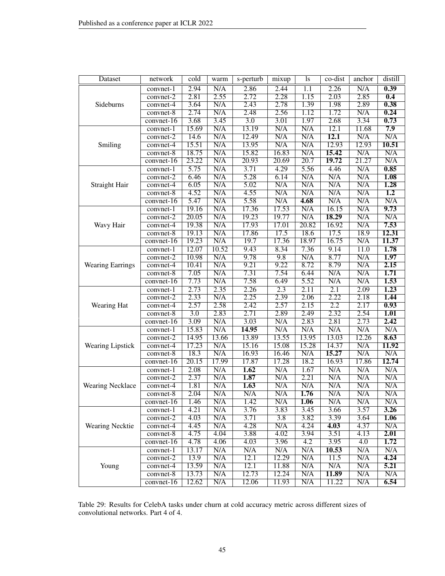| <b>Dataset</b>          | network                        | cold             | warm  | s-perturb               | mixup            | <sub>1s</sub> | co-dist          | anchor | distill          |
|-------------------------|--------------------------------|------------------|-------|-------------------------|------------------|---------------|------------------|--------|------------------|
|                         | convnet-1                      | 2.94             | N/A   | 2.86                    | 2.44             | 1.1           | 2.26             | N/A    | 0.39             |
|                         | convnet-2                      | 2.81             | 2.55  | 2.72                    | 2.28             | 1.15          | 2.03             | 2.85   | 0.4              |
| Sideburns               | convnet-4                      | 3.64             | N/A   | 2.43                    | 2.78             | 1.39          | 1.98             | 2.89   | 0.38             |
|                         | convnet-8                      | 2.74             | N/A   | 2.48                    | 2.56             | 1.12          | 1.72             | N/A    | 0.24             |
|                         | $convnet-16$                   | 3.68             | 3.45  | $\overline{3.0}$        | 3.01             | 1.97          | 2.68             | 3.34   | 0.73             |
|                         | convnet-1                      | 15.69            | N/A   | 13.19                   | N/A              | N/A           | 12.1             | 11.68  | 7.9              |
|                         | convnet-2                      | 14.6             | N/A   | 12.49                   | N/A              | N/A           | 12.1             | N/A    | N/A              |
| Smiling                 | convnet-4                      | 15.51            | N/A   | 13.95                   | N/A              | N/A           | 12.93            | 12.93  | 10.51            |
|                         | $convnet-8$                    | 18.75            | N/A   | 15.82                   | 16.83            | N/A           | 15.42            | N/A    | N/A              |
|                         | convnet-16                     | 23.22            | N/A   | 20.93                   | 20.69            | 20.7          | 19.72            | 21.27  | N/A              |
|                         | convnet-1                      | 5.75             | N/A   | 3.71                    | 4.29             | 5.56          | 4.46             | N/A    | 0.85             |
|                         | convnet-2                      | 6.46             | N/A   | 5.28                    | 6.14             | N/A           | N/A              | N/A    | 1.08             |
| Straight Hair           | convnet-4                      | 6.05             | N/A   | $\overline{5.02}$       | N/A              | N/A           | N/A              | N/A    | 1.28             |
|                         | convnet-8                      | 4.52             | N/A   | 4.55                    | N/A              | N/A           | N/A              | N/A    | $\overline{1.2}$ |
|                         | convnet-16                     | 5.47             | N/A   | 5.58                    | N/A              | 4.68          | N/A              | N/A    | N/A              |
|                         | convnet-1                      | 19.16            | N/A   | 17.36                   | 17.53            | N/A           | 16.15            | N/A    | 9.73             |
|                         | convnet-2                      | 20.05            | N/A   | 19.23                   | 19.77            | N/A           | 18.29            | N/A    | N/A              |
| Wavy Hair               | convnet-4                      | 19.38            | N/A   | 17.93                   | 17.01            | 20.82         | 16.92            | N/A    | 7.53             |
|                         | convnet-8                      | 19.13            | N/A   | 17.86                   | 17.5             | 18.6          | 17.5             | 18.9   | 12.31            |
|                         | convnet-16                     | 19.23            | N/A   | 19.7                    | 17.36            | 18.97         | 16.75            | N/A    | 11.37            |
|                         | convnet-1                      | 12.07            | 10.52 | 9.43                    | 8.34             | 7.36          | 9.14             | 11.0   | 1.78             |
|                         | $convnet-2$                    | 10.98            | N/A   | 9.78                    | 9.8              | N/A           | 8.77             | N/A    | 1.97             |
| <b>Wearing Earrings</b> | convnet-4                      | 10.41            | N/A   | 9.21                    | 9.22             | 8.72          | 8.79             | N/A    | 2.15             |
|                         | convnet-8                      | 7.05             | N/A   | 7.31                    | 7.54             | 6.44          | N/A              | N/A    | 1.71             |
|                         | convnet-16                     | 7.73             | N/A   | 7.58                    | 6.49             | 5.52          | N/A              | N/A    | 1.53             |
|                         | convnet-1                      | 2.73             | 2.35  | 2.26                    | $\overline{2.3}$ | 2.11          | $\overline{2.1}$ | 2.09   | 1.23             |
|                         | convnet-2                      | 2.33             | N/A   | 2.25                    | 2.39             | 2.06          | 2.22             | 2.18   | 1.44             |
| Wearing Hat             | convnet-4                      | 2.57             | 2.58  | 2.42                    | 2.57             | 2.15          | 2.2              | 2.17   | 0.93             |
|                         | convnet-8                      | $\overline{3.0}$ | 2.83  | 2.71                    | 2.89             | 2.49          | 2.32             | 2.54   | 1.01             |
|                         | $convnet-16$                   | 3.09             | N/A   | 3.03                    | N/A              | 2.83          | 2.81             | 2.73   | 2.42             |
|                         | $\overline{\text{convnet}}$ -1 | 15.83            | N/A   | 14.95                   | N/A              | N/A           | N/A              | N/A    | N/A              |
|                         | convnet-2                      | 14.95            | 13.66 | 13.89                   | 13.55            | 13.95         | 13.03            | 12.26  | 8.63             |
| <b>Wearing Lipstick</b> | convnet-4                      | 17.23            | N/A   | 15.16                   | 15.08            | 15.28         | 14.37            | N/A    | 11.92            |
|                         | convnet-8                      | 18.3             | N/A   | 16.93                   | 16.46            | N/A           | 15.27            | N/A    | N/A              |
|                         | convnet-16                     | 20.15            | 17.99 | 17.87                   | 17.28            | 18.2          | 16.93            | 17.86  | 12.74            |
|                         | convnet-1                      | 2.08             | N/A   | 1.62                    | N/A              | 1.67          | N/A              | N/A    | N/A              |
|                         | convnet-2                      | 2.37             | N/A   | 1.87                    | N/A              | 2.21          | N/A              | N/A    | N/A              |
| <b>Wearing Necklace</b> | convnet-4                      | 1.81             | N/A   | 1.63                    | N/A              | N/A           | N/A              | N/A    | N/A              |
|                         | convnet-8                      | 2.04             | N/A   | $\overline{\text{N/A}}$ | N/A              | 1.76          | N/A              | N/A    | N/A              |
|                         | convnet-16                     | 1.46             | N/A   | 1.42                    | N/A              | 1.06          | N/A              | N/A    | N/A              |
|                         | convnet-1                      | 4.21             | N/A   | 3.76                    | 3.83             | 3.45          | 3.66             | 3.57   | 3.26             |
|                         | convnet-2                      | 4.03             | N/A   | 3.71                    | $\overline{3.8}$ | 3.82          | 3.39             | 3.64   | 1.06             |
| Wearing Necktie         | $convnet-4$                    | 4.45             | N/A   | 4.28                    | N/A              | 4.24          | 4.03             | 4.37   | N/A              |
|                         | convnet-8                      | 4.75             | 4.04  | 3.88                    | 4.02             | 3.94          | 3.51             | 4.13   | 2.01             |
|                         | convnet-16                     | 4.78             | 4.06  | 4.03                    | 3.96             | 4.2           | 3.95             | 4.0    | 1.72             |
|                         | $convnet-1$                    | 13.17            | N/A   | N/A                     | N/A              | N/A           | 10.53            | N/A    | N/A              |
|                         | convnet-2                      | 13.9             | N/A   | 12.1                    | 12.29            | N/A           | 11.5             | N/A    | 4.24             |
| Young                   | convnet-4                      | 13.59            | N/A   | 12.1                    | 11.88            | N/A           | N/A              | N/A    | 5.21             |
|                         | convnet-8                      | 13.73            | N/A   | 12.73                   | 12.24            | N/A           | 11.89            | N/A    | N/A              |
|                         | $convert-16$                   | 12.62            | N/A   | 12.06                   | 11.93            | N/A           | 11.22            | N/A    | 6.54             |

<span id="page-44-0"></span>Table 29: Results for CelebA tasks under churn at cold accuracy metric across different sizes of convolutional networks. Part 4 of 4.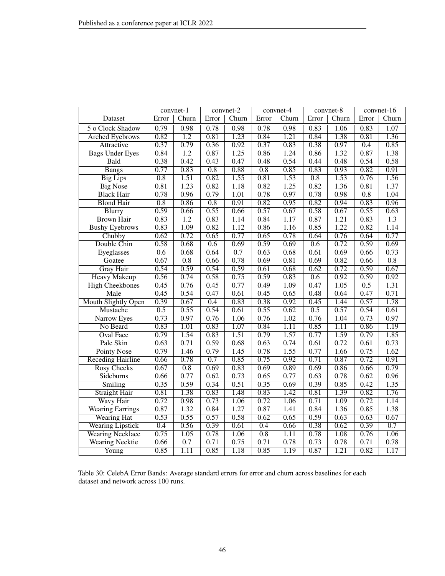|                            |                  | convnet-1        |                  | $convnet-2$ |                  | convnet-4         |       | $convnet-8$ |                  | convnet- $16$    |
|----------------------------|------------------|------------------|------------------|-------------|------------------|-------------------|-------|-------------|------------------|------------------|
| <b>Dataset</b>             | Error            | Churn            | Error            | Churn       | Error            | Churn             | Error | Churn       | Error            | Churn            |
| 5 o Clock Shadow           | 0.79             | 0.98             | 0.78             | 0.98        | 0.78             | 0.98              | 0.83  | 1.06        | 0.83             | 1.07             |
| <b>Arched Eyebrows</b>     | 0.82             | $\overline{1.2}$ | 0.81             | 1.23        | 0.84             | 1.21              | 0.84  | 1.38        | 0.81             | 1.36             |
| Attractive                 | 0.37             | 0.79             | 0.36             | 0.92        | 0.37             | 0.83              | 0.38  | 0.97        | $\overline{0.4}$ | 0.85             |
| <b>Bags Under Eyes</b>     | 0.84             | $\overline{1.2}$ | 0.87             | 1.25        | 0.86             | 1.24              | 0.86  | 1.32        | 0.87             | 1.38             |
| Bald                       | 0.38             | 0.42             | 0.43             | 0.47        | 0.48             | 0.54              | 0.44  | 0.48        | 0.54             | 0.58             |
| <b>Bangs</b>               | 0.77             | 0.83             | $\overline{0.8}$ | 0.88        | 0.8              | 0.85              | 0.83  | 0.93        | 0.82             | 0.91             |
| <b>Big Lips</b>            | $\overline{0.8}$ | 1.51             | 0.82             | 1.55        | 0.81             | 1.53              | 0.8   | 1.53        | 0.76             | 1.56             |
| <b>Big Nose</b>            | 0.81             | 1.23             | 0.82             | 1.18        | 0.82             | 1.25              | 0.82  | 1.36        | 0.81             | 1.37             |
| <b>Black Hair</b>          | 0.78             | 0.96             | 0.79             | 1.01        | 0.78             | 0.97              | 0.78  | 0.98        | $\overline{0.8}$ | 1.04             |
| <b>Blond Hair</b>          | $\overline{0.8}$ | 0.86             | $\overline{0.8}$ | 0.91        | 0.82             | 0.95              | 0.82  | 0.94        | 0.83             | 0.96             |
| <b>Blurry</b>              | 0.59             | 0.66             | 0.55             | 0.66        | 0.57             | 0.67              | 0.58  | 0.67        | 0.55             | 0.63             |
| <b>Brown Hair</b>          | 0.83             | $\overline{1.2}$ | 0.83             | 1.14        | 0.84             | 1.17              | 0.87  | 1.21        | 0.83             | $\overline{1.3}$ |
| <b>Bushy Eyebrows</b>      | 0.83             | 1.09             | 0.82             | 1.12        | 0.86             | 1.16              | 0.85  | 1.22        | 0.82             | 1.14             |
| Chubby                     | 0.62             | 0.72             | 0.65             | 0.77        | 0.65             | 0.78              | 0.64  | 0.76        | 0.64             | 0.77             |
| Double Chin                | 0.58             | 0.68             | 0.6              | 0.69        | 0.59             | 0.69              | 0.6   | 0.72        | 0.59             | 0.69             |
| Eyeglasses                 | 0.6              | 0.68             | 0.64             | 0.7         | 0.63             | 0.68              | 0.61  | 0.69        | 0.66             | 0.73             |
| Goatee                     | 0.67             | $\overline{0.8}$ | 0.66             | 0.78        | 0.69             | 0.81              | 0.69  | 0.82        | 0.66             | $\overline{0.8}$ |
| <b>Gray Hair</b>           | 0.54             | 0.59             | 0.54             | 0.59        | 0.61             | 0.68              | 0.62  | 0.72        | 0.59             | 0.67             |
| <b>Heavy Makeup</b>        | 0.56             | 0.74             | 0.58             | 0.75        | 0.59             | 0.83              | 0.6   | 0.92        | 0.59             | 0.92             |
| <b>High Cheekbones</b>     | 0.45             | 0.76             | 0.45             | 0.77        | 0.49             | 1.09              | 0.47  | 1.05        | 0.5              | 1.31             |
| Male                       | 0.45             | 0.54             | 0.47             | 0.61        | 0.45             | 0.65              | 0.48  | 0.64        | 0.47             | 0.71             |
| <b>Mouth Slightly Open</b> | 0.39             | 0.67             | 0.4              | 0.83        | 0.38             | 0.92              | 0.45  | 1.44        | 0.57             | 1.78             |
| <b>Mustache</b>            | 0.5              | 0.55             | 0.54             | 0.61        | 0.55             | 0.62              | 0.5   | 0.57        | 0.54             | 0.61             |
| Narrow Eyes                | 0.73             | 0.97             | 0.76             | 1.06        | 0.76             | 1.02              | 0.76  | 1.04        | 0.73             | 0.97             |
| No Beard                   | 0.83             | 1.01             | 0.83             | 1.07        | 0.84             | 1.11              | 0.85  | 1.11        | 0.86             | 1.19             |
| <b>Oval Face</b>           | 0.79             | 1.54             | 0.83             | 1.51        | 0.79             | 1.57              | 0.77  | 1.59        | 0.79             | 1.85             |
| Pale Skin                  | 0.63             | 0.71             | 0.59             | 0.68        | 0.63             | 0.74              | 0.61  | 0.72        | 0.61             | 0.73             |
| <b>Pointy Nose</b>         | 0.79             | 1.46             | 0.79             | 1.45        | 0.78             | 1.55              | 0.77  | 1.66        | 0.75             | 1.62             |
| <b>Receding Hairline</b>   | 0.66             | 0.78             | 0.7              | 0.85        | 0.75             | 0.92              | 0.71  | 0.87        | 0.72             | 0.91             |
| <b>Rosy Cheeks</b>         | 0.67             | $\overline{0.8}$ | 0.69             | 0.83        | 0.69             | 0.89              | 0.69  | 0.86        | 0.66             | 0.79             |
| Sideburns                  | 0.66             | 0.77             | 0.62             | 0.73        | 0.65             | 0.77              | 0.63  | 0.78        | 0.62             | 0.96             |
| Smiling                    | 0.35             | 0.59             | 0.34             | 0.51        | 0.35             | 0.69              | 0.39  | 0.85        | 0.42             | 1.35             |
| <b>Straight Hair</b>       | 0.81             | 1.38             | 0.83             | 1.48        | 0.83             | 1.42              | 0.81  | 1.39        | 0.82             | 1.76             |
| Wavy Hair                  | 0.72             | 0.98             | 0.73             | 1.06        | 0.72             | 1.06              | 0.71  | 1.09        | 0.72             | 1.14             |
| <b>Wearing Earrings</b>    | 0.87             | 1.32             | 0.84             | 1.27        | 0.87             | 1.41              | 0.84  | 1.36        | 0.85             | 1.38             |
| <b>Wearing Hat</b>         | 0.53             | 0.55             | 0.57             | 0.58        | 0.62             | 0.65              | 0.59  | 0.63        | 0.63             | 0.67             |
| <b>Wearing Lipstick</b>    | $\overline{0.4}$ | 0.56             | 0.39             | 0.61        | 0.4              | 0.66              | 0.38  | 0.62        | 0.39             | $\overline{0.7}$ |
| <b>Wearing Necklace</b>    | 0.75             | 1.05             | 0.78             | 1.06        | $\overline{0.8}$ | $\overline{1.11}$ | 0.78  | 1.08        | 0.76             | 1.06             |
| <b>Wearing Necktie</b>     | 0.66             | 0.7              | 0.71             | 0.75        | 0.71             | 0.78              | 0.73  | 0.78        | 0.71             | 0.78             |
| Young                      | 0.85             | 1.11             | 0.85             | 1.18        | 0.85             | 1.19              | 0.87  | 1.21        | 0.82             | 1.17             |

<span id="page-45-0"></span>Table 30: CelebA Error Bands: Average standard errors for error and churn across baselines for each dataset and network across 100 runs.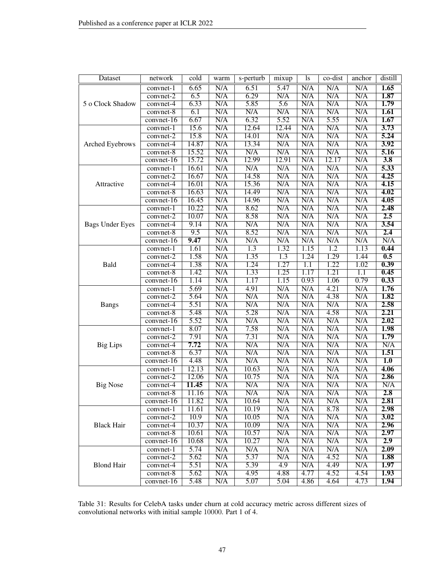| Dataset                | network      | $\overline{\text{cold}}$ | warm | s-perturb               | mixup            | <sup>1</sup> s          | co-dist          | anchor                  | distill           |
|------------------------|--------------|--------------------------|------|-------------------------|------------------|-------------------------|------------------|-------------------------|-------------------|
|                        | convnet-1    | 6.65                     | N/A  | 6.51                    | 5.47             | N/A                     | N/A              | N/A                     | 1.65              |
|                        | convnet-2    | 6.5                      | N/A  | 6.29                    | N/A              | N/A                     | N/A              | N/A                     | 1.87              |
| 5 o Clock Shadow       | convnet-4    | 6.33                     | N/A  | 5.85                    | $\overline{5.6}$ | $\overline{\text{N/A}}$ | N/A              | N/A                     | 1.79              |
|                        | convnet-8    | 6.1                      | N/A  | N/A                     | N/A              | N/A                     | N/A              | N/A                     | 1.61              |
|                        | convnet-16   | 6.67                     | N/A  | 6.32                    | 5.52             | N/A                     | 5.55             | N/A                     | 1.67              |
|                        | convnet-1    | 15.6                     | N/A  | 12.64                   | 12.44            | N/A                     | N/A              | N/A                     | 3.73              |
|                        | convnet-2    | 15.8                     | N/A  | 14.01                   | N/A              | N/A                     | N/A              | N/A                     | 5.24              |
| Arched Eyebrows        | convnet-4    | 14.87                    | N/A  | 13.34                   | N/A              | N/A                     | N/A              | N/A                     | 3.92              |
|                        | convnet-8    | 15.52                    | N/A  | N/A                     | N/A              | N/A                     | N/A              | N/A                     | 5.16              |
|                        | $convnet-16$ | 15.72                    | N/A  | 12.99                   | 12.91            | N/A                     | 12.17            | N/A                     | $\overline{3.8}$  |
|                        | convnet-1    | 16.61                    | N/A  | N/A                     | N/A              | N/A                     | N/A              | N/A                     | $\overline{5.33}$ |
|                        | convnet-2    | 16.67                    | N/A  | 14.58                   | N/A              | N/A                     | N/A              | N/A                     | 4.25              |
| Attractive             | convnet-4    | 16.01                    | N/A  | 15.36                   | N/A              | N/A                     | N/A              | N/A                     | 4.15              |
|                        | convnet-8    | 16.63                    | N/A  | 14.49                   | N/A              | N/A                     | N/A              | N/A                     | 4.02              |
|                        | convnet-16   | 16.45                    | N/A  | 14.96                   | N/A              | N/A                     | N/A              | N/A                     | 4.05              |
|                        | convnet-1    | 10.22                    | N/A  | 8.62                    | N/A              | N/A                     | N/A              | N/A                     | 2.48              |
|                        | $convnet-2$  | 10.07                    | N/A  | 8.58                    | N/A              | N/A                     | N/A              | N/A                     | 2.5               |
| <b>Bags Under Eyes</b> | convnet-4    | 9.14                     | N/A  | N/A                     | N/A              | N/A                     | N/A              | N/A                     | 3.54              |
|                        | convnet-8    | 9.5                      | N/A  | 8.52                    | N/A              | N/A                     | N/A              | N/A                     | 2.4               |
|                        | $convnet-16$ | 9.47                     | N/A  | N/A                     | N/A              | N/A                     | N/A              | N/A                     | N/A               |
|                        | convnet-1    | 1.61                     | N/A  | 1.3                     | 1.32             | 1.15                    | $\overline{1.2}$ | 1.13                    | 0.44              |
|                        | convnet-2    | 1.58                     | N/A  | 1.35                    | 1.3              | 1.24                    | 1.29             | 1.44                    | 0.5               |
| Bald                   | convnet-4    | 1.38                     | N/A  | 1.24                    | 1.27             | $\overline{1.1}$        | 1.22             | 1.02                    | 0.39              |
|                        | $convnet-8$  | 1.42                     | N/A  | 1.33                    | 1.25             | 1.17                    | 1.21             | $\overline{1.1}$        | 0.45              |
|                        | convnet-16   | 1.14                     | N/A  | 1.17                    | 1.15             | 0.93                    | 1.06             | 0.79                    | 0.33              |
|                        | convnet-1    | 5.69                     | N/A  | 4.91                    | N/A              | N/A                     | 4.21             | N/A                     | 1.76              |
|                        | convnet-2    | 5.64                     | N/A  | N/A                     | N/A              | N/A                     | 4.38             | N/A                     | 1.82              |
| <b>Bangs</b>           | convnet-4    | 5.51                     | N/A  | N/A                     | N/A              | N/A                     | N/A              | N/A                     | 2.58              |
|                        | convnet-8    | 5.48                     | N/A  | 5.28                    | N/A              | N/A                     | 4.58             | $\overline{\text{N/A}}$ | 2.21              |
|                        | convnet-16   | 5.52                     | N/A  | N/A                     | N/A              | N/A                     | N/A              | N/A                     | 2.02              |
|                        | convnet-1    | 8.07                     | N/A  | 7.58                    | N/A              | N/A                     | N/A              | N/A                     | 1.98              |
|                        | convnet-2    | 7.91                     | N/A  | 7.31                    | N/A              | N/A                     | N/A              | N/A                     | 1.79              |
| <b>Big Lips</b>        | convnet-4    | 7.72                     | N/A  | $\overline{\text{N/A}}$ | N/A              | N/A                     | N/A              | N/A                     | N/A               |
|                        | convnet-8    | 6.37                     | N/A  | N/A                     | N/A              | N/A                     | N/A              | N/A                     | 1.51              |
|                        | convnet-16   | 4.48                     | N/A  | N/A                     | N/A              | N/A                     | N/A              | N/A                     | 1.0               |
|                        | convnet-1    | 12.13                    | N/A  | 10.63                   | N/A              | N/A                     | N/A              | N/A                     | 4.06              |
|                        | convnet-2    | 12.06                    | N/A  | 10.75                   | N/A              | N/A                     | N/A              | N/A                     | 2.86              |
| <b>Big Nose</b>        | convnet-4    | 11.45                    | N/A  | N/A                     | N/A              | N/A                     | N/A              | N/A                     | N/A               |
|                        | convnet-8    | 11.16                    | N/A  | N/A                     | N/A              | N/A                     | N/A              | N/A                     | 2.8               |
|                        | convnet-16   | 11.82                    | N/A  | 10.64                   | N/A              | N/A                     | N/A              | N/A                     | 2.81              |
|                        | convnet-1    | 11.61                    | N/A  | 10.19                   | N/A              | N/A                     | 8.78             | $\overline{\text{N/A}}$ | 2.98              |
|                        | convnet-2    | 10.9                     | N/A  | 10.05                   | N/A              | N/A                     | N/A              | N/A                     | 3.02              |
| <b>Black Hair</b>      | convnet-4    | 10.37                    | N/A  | 10.09                   | N/A              | N/A                     | N/A              | N/A                     | 2.96              |
|                        | convnet-8    | 10.61                    | N/A  | 10.57                   | N/A              | N/A                     | N/A              | N/A                     | 2.97              |
|                        | $convnet-16$ | 10.68                    | N/A  | 10.27                   | N/A              | N/A                     | N/A              | N/A                     | 2.9               |
|                        | convnet-1    | 5.74                     | N/A  | N/A                     | N/A              | N/A                     | N/A              | N/A                     | 2.09              |
|                        | convnet-2    | 5.62                     | N/A  | 5.37                    | N/A              | N/A                     | 4.52             | N/A                     | 1.88              |
| <b>Blond Hair</b>      | convnet-4    | 5.51                     | N/A  | 5.39                    | 4.9              | N/A                     | 4.49             | N/A                     | 1.97              |
|                        | convnet-8    | 5.62                     | N/A  | 4.95                    | 4.88             | 4.77                    | 4.52             | 4.54                    | 1.93              |
|                        | $convnet-16$ | 5.48                     | N/A  | 5.07                    | 5.04             | 4.86                    | 4.64             | 4.73                    | 1.94              |

<span id="page-46-0"></span>Table 31: Results for CelebA tasks under churn at cold accuracy metric across different sizes of convolutional networks with initial sample 10000. Part 1 of 4.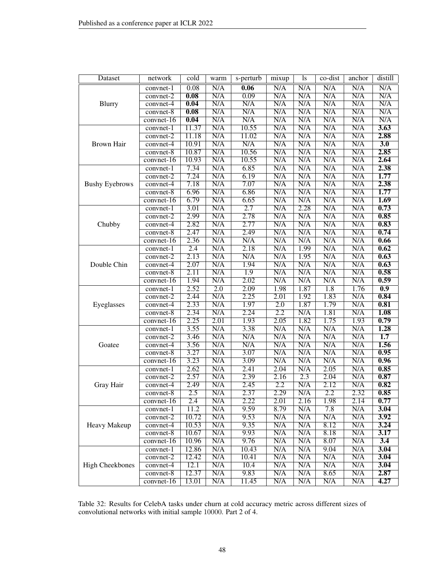| Dataset                | network      | cold              | warm             | s-perturb | mixup                   | <sup>1s</sup>    | $\overline{\text{co-dist}}$ | anchor                  | distill          |
|------------------------|--------------|-------------------|------------------|-----------|-------------------------|------------------|-----------------------------|-------------------------|------------------|
|                        | convnet-1    | 0.08              | N/A              | 0.06      | N/A                     | N/A              | N/A                         | N/A                     | N/A              |
|                        | $convnet-2$  | $\overline{0.08}$ | N/A              | 0.09      | N/A                     | N/A              | N/A                         | N/A                     | N/A              |
| Blurry                 | convnet-4    | 0.04              | N/A              | N/A       | N/A                     | N/A              | N/A                         | N/A                     | N/A              |
|                        | convnet-8    | 0.08              | N/A              | N/A       | N/A                     | N/A              | N/A                         | $\overline{\text{N/A}}$ | N/A              |
|                        | convnet-16   | 0.04              | N/A              | N/A       | N/A                     | N/A              | N/A                         | N/A                     | N/A              |
|                        | convnet-1    | 11.37             | N/A              | 10.55     | N/A                     | N/A              | N/A                         | N/A                     | 3.63             |
|                        | convnet-2    | 11.18             | N/A              | 11.02     | N/A                     | N/A              | N/A                         | N/A                     | 2.88             |
| <b>Brown Hair</b>      | convnet-4    | 10.91             | N/A              | N/A       | N/A                     | N/A              | N/A                         | N/A                     | 3.0              |
|                        | $convnet-8$  | 10.87             | N/A              | 10.56     | N/A                     | N/A              | N/A                         | N/A                     | 2.85             |
|                        | $convnet-16$ | 10.93             | N/A              | 10.55     | N/A                     | N/A              | N/A                         | N/A                     | 2.64             |
|                        | convnet-1    | 7.34              | N/A              | 6.85      | N/A                     | N/A              | N/A                         | N/A                     | 2.38             |
|                        | convnet-2    | 7.24              | N/A              | 6.19      | N/A                     | N/A              | N/A                         | N/A                     | 1.77             |
| <b>Bushy Eyebrows</b>  | convnet-4    | 7.18              | N/A              | 7.07      | N/A                     | N/A              | N/A                         | N/A                     | 2.38             |
|                        | convnet-8    | 6.96              | N/A              | 6.86      | N/A                     | N/A              | N/A                         | N/A                     | 1.77             |
|                        | convnet-16   | 6.79              | N/A              | 6.65      | N/A                     | N/A              | N/A                         | N/A                     | 1.69             |
|                        | convnet-1    | 3.01              | N/A              | 2.7       | N/A                     | 2.28             | N/A                         | N/A                     | 0.73             |
|                        | convnet-2    | 2.99              | N/A              | 2.78      | N/A                     | N/A              | N/A                         | N/A                     | 0.85             |
| Chubby                 | convnet-4    | 2.82              | N/A              | 2.77      | N/A                     | N/A              | N/A                         | N/A                     | 0.83             |
|                        | convnet-8    | 2.47              | N/A              | 2.49      | N/A                     | N/A              | N/A                         | N/A                     | 0.74             |
|                        | $convnet-16$ | 2.36              | N/A              | N/A       | N/A                     | N/A              | N/A                         | N/A                     | 0.66             |
|                        | convnet-1    | $\overline{2.4}$  | N/A              | 2.18      | N/A                     | 1.99             | N/A                         | N/A                     | 0.62             |
|                        | convnet-2    | 2.13              | N/A              | N/A       | N/A                     | 1.95             | N/A                         | N/A                     | 0.63             |
| Double Chin            | convnet-4    | 2.07              | N/A              | 1.94      | N/A                     | N/A              | N/A                         | N/A                     | 0.63             |
|                        | $convnet-8$  | 2.11              | N/A              | 1.9       | N/A                     | N/A              | N/A                         | N/A                     | 0.58             |
|                        | convnet-16   | 1.94              | N/A              | 2.02      | N/A                     | N/A              | N/A                         | N/A                     | 0.59             |
|                        | convnet-1    | 2.52              | $\overline{2.0}$ | 2.09      | 1.98                    | 1.87             | 1.8                         | 1.76                    | $\overline{0.9}$ |
|                        | $convnet-2$  | 2.44              | N/A              | 2.25      | 2.01                    | 1.92             | 1.83                        | N/A                     | 0.84             |
| Eyeglasses             | convnet-4    | 2.33              | N/A              | 1.97      | $\overline{2.0}$        | 1.87             | 1.79                        | N/A                     | 0.81             |
|                        | $convnet-8$  | 2.34              | N/A              | 2.24      | $\overline{2.2}$        | N/A              | 1.81                        | N/A                     | 1.08             |
|                        | convnet-16   | 2.25              | 2.01             | 1.93      | 2.05                    | 1.82             | 1.75                        | 1.93                    | 0.79             |
|                        | convnet-1    | 3.55              | N/A              | 3.38      | N/A                     | N/A              | N/A                         | N/A                     | 1.28             |
|                        | convnet-2    | 3.46              | N/A              | N/A       | N/A                     | N/A              | N/A                         | N/A                     | $\overline{1.7}$ |
| Goatee                 | convnet-4    | 3.56              | N/A              | N/A       | N/A                     | N/A              | N/A                         | N/A                     | 1.56             |
|                        | $convnet-8$  | 3.27              | N/A              | 3.07      | N/A                     | N/A              | N/A                         | N/A                     | 0.95             |
|                        | convnet-16   | 3.23              | N/A              | 3.09      | N/A                     | N/A              | N/A                         | N/A                     | 0.96             |
|                        | convnet-1    | 2.62              | N/A              | 2.41      | 2.04                    | N/A              | 2.05                        | N/A                     | 0.85             |
|                        | $convnet-2$  | 2.57              | N/A              | 2.39      | 2.16                    | $\overline{2.3}$ | 2.04                        | N/A                     | 0.87             |
| Gray Hair              | convnet-4    | 2.49              | N/A              | 2.45      | 2.2                     | N/A              | 2.12                        | N/A                     | 0.82             |
|                        | convnet-8    | 2.5               | N/A              | 2.37      | 2.29                    | N/A              | 2.2                         | 2.32                    | 0.85             |
|                        | convnet-16   | 2.4               | N/A              | 2.22      | 2.01                    | 2.16             | 1.98                        | 2.14                    | 0.77             |
|                        | convnet-1    | 11.2              | N/A              | 9.59      | 8.79                    | N/A              | 7.8                         | N/A                     | 3.04             |
|                        | convnet-2    | 10.72             | N/A              | 9.53      | N/A                     | N/A              | N/A                         | N/A                     | 3.92             |
| Heavy Makeup           | convnet-4    | 10.53             | N/A              | 9.35      | N/A                     | N/A              | 8.12                        | N/A                     | 3.24             |
|                        | convnet-8    | 10.67             | N/A              | 9.93      | N/A                     | N/A              | 8.18                        | N/A                     | 3.17             |
|                        | convnet-16   | 10.96             | N/A              | 9.76      | N/A                     | N/A              | 8.07                        | N/A                     | $\overline{3.4}$ |
|                        | convnet-1    | 12.86             | N/A              | 10.43     | $\overline{\text{N/A}}$ | N/A              | 9.04                        | N/A                     | 3.04             |
|                        | convnet-2    | 12.42             | N/A              | 10.41     | N/A                     | N/A              | N/A                         | N/A                     | 3.04             |
| <b>High Cheekbones</b> | convnet-4    | 12.1              | N/A              | 10.4      | N/A                     | N/A              | N/A                         | N/A                     | 3.04             |
|                        | convnet-8    | 12.37             | N/A              | 9.83      | N/A                     | N/A              | 8.65                        | N/A                     | 2.87             |
|                        | $convnet-16$ | 13.01             | N/A              | 11.45     | N/A                     | N/A              | N/A                         | N/A                     | 4.27             |

<span id="page-47-0"></span>Table 32: Results for CelebA tasks under churn at cold accuracy metric across different sizes of convolutional networks with initial sample 10000. Part 2 of 4.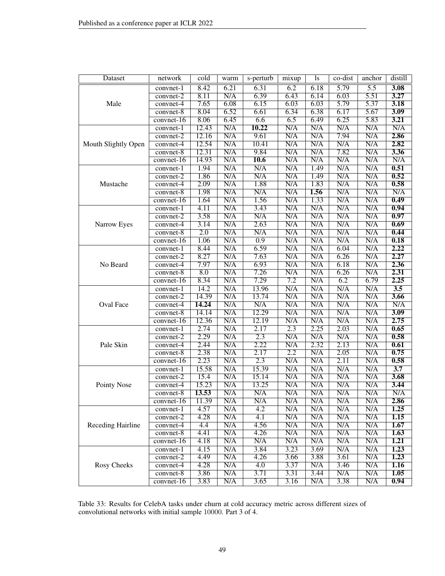| Dataset             | network      | $\overline{\text{cold}}$ | warm                    | s-perturb               | mixup                   | ls   | co-dist          | anchor                  | distill          |
|---------------------|--------------|--------------------------|-------------------------|-------------------------|-------------------------|------|------------------|-------------------------|------------------|
|                     | convnet-1    | 8.42                     | 6.21                    | 6.31                    | 6.2                     | 6.18 | 5.79             | 5.5                     | 3.08             |
|                     | convnet-2    | 8.11                     | N/A                     | 6.39                    | 6.43                    | 6.14 | 6.03             | 5.51                    | 3.27             |
| Male                | convnet-4    | 7.65                     | 6.08                    | 6.15                    | 6.03                    | 6.03 | 5.79             | 5.37                    | 3.18             |
|                     | convnet-8    | 8.04                     | 6.52                    | 6.61                    | 6.34                    | 6.38 | 6.17             | 5.67                    | 3.09             |
|                     | convnet-16   | 8.06                     | 6.45                    | 6.6                     | 6.5                     | 6.49 | 6.25             | 5.83                    | 3.21             |
|                     | convnet-1    | 12.43                    | N/A                     | 10.22                   | N/A                     | N/A  | N/A              | N/A                     | N/A              |
|                     | convnet-2    | 12.16                    | N/A                     | 9.61                    | N/A                     | N/A  | 7.94             | N/A                     | 2.86             |
| Mouth Slightly Open | convnet-4    | 12.54                    | N/A                     | 10.41                   | N/A                     | N/A  | N/A              | N/A                     | 2.82             |
|                     | convnet-8    | 12.31                    | N/A                     | 9.84                    | N/A                     | N/A  | 7.82             | N/A                     | 3.36             |
|                     | convnet-16   | 14.93                    | N/A                     | 10.6                    | N/A                     | N/A  | N/A              | N/A                     | N/A              |
|                     | convnet-1    | 1.94                     | N/A                     | N/A                     | N/A                     | 1.49 | N/A              | N/A                     | 0.51             |
|                     | $convnet-2$  | 1.86                     | $\overline{\text{N/A}}$ | $\overline{\text{N/A}}$ | $\overline{\text{N/A}}$ | 1.49 | N/A              | $\overline{\text{N/A}}$ | 0.52             |
| Mustache            | convnet-4    | 2.09                     | N/A                     | 1.88                    | N/A                     | 1.83 | N/A              | N/A                     | 0.58             |
|                     | convnet-8    | 1.98                     | N/A                     | N/A                     | N/A                     | 1.56 | N/A              | N/A                     | N/A              |
|                     | convnet-16   | 1.64                     | N/A                     | 1.56                    | N/A                     | 1.33 | N/A              | N/A                     | 0.49             |
|                     | convnet-1    | 4.11                     | N/A                     | 3.43                    | N/A                     | N/A  | N/A              | N/A                     | 0.94             |
|                     | $convnet-2$  | 3.58                     | N/A                     | N/A                     | N/A                     | N/A  | N/A              | N/A                     | 0.97             |
| Narrow Eyes         | convnet-4    | 3.14                     | N/A                     | 2.63                    | N/A                     | N/A  | N/A              | N/A                     | 0.69             |
|                     | convnet-8    | $\overline{2.0}$         | N/A                     | N/A                     | N/A                     | N/A  | N/A              | N/A                     | 0.44             |
|                     | convnet-16   | 1.06                     | N/A                     | $\overline{0.9}$        | N/A                     | N/A  | N/A              | N/A                     | 0.18             |
|                     | convnet-1    | 8.44                     | N/A                     | 6.59                    | $\overline{\text{N/A}}$ | N/A  | 6.04             | $\overline{\text{N/A}}$ | 2.22             |
|                     | convnet-2    | 8.27                     | N/A                     | 7.63                    | N/A                     | N/A  | 6.26             | N/A                     | 2.27             |
| No Beard            | convnet-4    | 7.97                     | N/A                     | 6.93                    | N/A                     | N/A  | 6.18             | N/A                     | 2.36             |
|                     | convnet-8    | $\overline{8.0}$         | N/A                     | 7.26                    | N/A                     | N/A  | 6.26             | $\overline{\text{N/A}}$ | 2.31             |
|                     | convnet-16   | 8.34                     | N/A                     | 7.29                    | 7.2                     | N/A  | $\overline{6.2}$ | 6.79                    | 2.25             |
|                     | convnet-1    | 14.2                     | N/A                     | 13.96                   | N/A                     | N/A  | N/A              | N/A                     | 3.5              |
|                     | convnet-2    | 14.39                    | N/A                     | 13.74                   | N/A                     | N/A  | N/A              | N/A                     | 3.66             |
| Oval Face           | convnet-4    | 14.24                    | N/A                     | N/A                     | N/A                     | N/A  | N/A              | $\overline{\text{N/A}}$ | N/A              |
|                     | convnet-8    | 14.14                    | N/A                     | 12.29                   | N/A                     | N/A  | N/A              | N/A                     | 3.09             |
|                     | convnet-16   | 12.36                    | N/A                     | 12.19                   | N/A                     | N/A  | N/A              | N/A                     | 2.75             |
|                     | convnet-1    | 2.74                     | N/A                     | 2.17                    | 2.3                     | 2.25 | 2.03             | N/A                     | 0.65             |
|                     | convnet-2    | 2.29                     | N/A                     | 2.3                     | N/A                     | N/A  | N/A              | N/A                     | 0.58             |
| Pale Skin           | convnet-4    | 2.44                     | N/A                     | 2.22                    | N/A                     | 2.32 | 2.13             | N/A                     | 0.61             |
|                     | convnet-8    | 2.38                     | N/A                     | 2.17                    | 2.2                     | N/A  | 2.05             | N/A                     | 0.75             |
|                     | convnet-16   | 2.23                     | N/A                     | 2.3                     | N/A                     | N/A  | 2.11             | N/A                     | 0.58             |
|                     | convnet-1    | 15.58                    | N/A                     | 15.39                   | N/A                     | N/A  | N/A              | N/A                     | $\overline{3.7}$ |
|                     | convnet-2    | 15.4                     | N/A                     | 15.14                   | N/A                     | N/A  | N/A              | N/A                     | 3.68             |
| Pointy Nose         | convnet-4    | 15.23                    | N/A                     | 13.25                   | N/A                     | N/A  | N/A              | N/A                     | 3.44             |
|                     | convnet-8    | 13.53                    | N/A                     | N/A                     | N/A                     | N/A  | N/A              | N/A                     | N/A              |
|                     | convnet-16   | 11.39                    | N/A                     | N/A                     | N/A                     | N/A  | N/A              | N/A                     | 2.86             |
|                     | convnet-1    | 4.57                     | N/A                     | $\overline{4.2}$        | N/A                     | N/A  | N/A              | N/A                     | 1.25             |
|                     | convnet-2    | 4.28                     | N/A                     | 4.1                     | N/A                     | N/A  | N/A              | N/A                     | 1.15             |
| Receding Hairline   | convnet-4    | 4.4                      | N/A                     | 4.56                    | N/A                     | N/A  | N/A              | N/A                     | 1.67             |
|                     | convnet-8    | 4.41                     | N/A                     | 4.26                    | N/A                     | N/A  | N/A              | N/A                     | 1.63             |
|                     | $convnet-16$ | 4.18                     | N/A                     | N/A                     | N/A                     | N/A  | N/A              | N/A                     | 1.21             |
|                     | $convnet-1$  | 4.15                     | N/A                     | 3.84                    | 3.23                    | 3.69 | N/A              | N/A                     | 1.23             |
|                     | $convnet-2$  | 4.49                     | N/A                     | 4.26                    | 3.66                    | 3.88 | 3.61             | N/A                     | 1.23             |
| <b>Rosy Cheeks</b>  | convnet-4    | 4.28                     | N/A                     | 4.0                     | 3.37                    | N/A  | 3.46             | N/A                     | 1.16             |
|                     | convnet-8    | 3.86                     | N/A                     | 3.71                    | 3.31                    | 3.44 | N/A              | N/A                     | 1.05             |
|                     | $convnet-16$ | 3.83                     | N/A                     | 3.65                    | 3.16                    | N/A  | 3.38             | N/A                     | 0.94             |

<span id="page-48-0"></span>Table 33: Results for CelebA tasks under churn at cold accuracy metric across different sizes of convolutional networks with initial sample 10000. Part 3 of 4.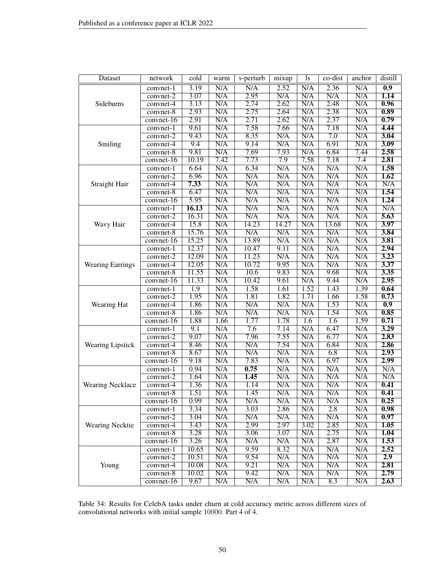| Dataset                 | network                  | $\overline{\text{cold}}$ | warm                    | s-perturb               | mixup      | ls         | co-dist                 | anchor     | distill          |
|-------------------------|--------------------------|--------------------------|-------------------------|-------------------------|------------|------------|-------------------------|------------|------------------|
|                         | convnet-1                | 3.19                     | N/A                     | N/A                     | 2.52       | N/A        | 2.36                    | N/A        | $\overline{0.9}$ |
|                         | convnet-2                | 3.07                     | N/A                     | 2.95                    | N/A        | N/A        | N/A                     | N/A        | 1.14             |
| Sideburns               | convnet-4                | 3.13                     | N/A                     | 2.74                    | 2.62       | N/A        | 2.48                    | N/A        | 0.96             |
|                         | convnet-8                | 2.93                     | N/A                     | 2.75                    | 2.64       | N/A        | 2.38                    | N/A        | 0.89             |
|                         | convnet-16               | 2.91                     | N/A                     | 2.71                    | 2.62       | N/A        | 2.37                    | N/A        | 0.79             |
|                         | convnet-1                | 9.61                     | N/A                     | 7.58                    | 7.66       | N/A        | 7.18                    | N/A        | 4.44             |
|                         | convnet-2                | 9.43                     | N/A                     | 8.35                    | N/A        | N/A        | $\overline{7.0}$        | N/A        | 3.04             |
| Smiling                 | convnet-4                | 9.4                      | N/A                     | 9.14                    | N/A        | N/A        | 6.91                    | N/A        | 3.09             |
|                         | convnet-8                | 9.81                     | N/A                     | 7.69                    | 7.93       | N/A        | 6.84                    | 7.44       | 2.58             |
|                         | $convent-16$             | 10.19                    | 7.42                    | 7.73                    | 7.9        | 7.58       | 7.18                    | 7.4        | 2.81             |
|                         | convnet-1                | 6.64                     | N/A                     | 6.34                    | N/A        | N/A        | N/A                     | N/A        | 1.58             |
|                         | $convnet-2$              | 6.96                     | N/A                     | $\overline{\text{N/A}}$ | N/A        | N/A        | $\overline{\text{N/A}}$ | N/A        | 1.62             |
| Straight Hair           | convnet-4                | 7.33                     | N/A                     | N/A                     | N/A        | N/A        | N/A                     | N/A        | N/A              |
|                         | convnet-8                | 6.47                     | N/A                     | N/A                     | N/A        | N/A        | N/A                     | N/A        | 1.54             |
|                         | $convent-16$             | 5.95                     | N/A                     | N/A                     | N/A        | N/A        | N/A                     | N/A        | 1.24             |
|                         | convnet-1                | 16.13                    | N/A                     | N/A                     | N/A        | N/A        | N/A                     | N/A        | N/A              |
|                         | convnet-2                | 16.31                    | N/A                     | N/A                     | N/A        | N/A        | N/A                     | N/A        | 5.63             |
| Wavy Hair               | convnet-4                | 15.8                     | N/A                     | 14.23                   | 14.27      | N/A        | 13.68                   | N/A        | 3.97             |
|                         | convnet-8                | 15.76                    | N/A                     | N/A                     | N/A        | N/A        | N/A                     | N/A        | 3.84             |
|                         | convnet-16               | 15.25                    | N/A                     | 13.89                   | N/A        | N/A        | N/A                     | N/A        | 3.81             |
|                         | convnet-1                | 12.37                    | N/A                     | 10.47                   | 9.11       | N/A        | N/A                     | N/A        | 2.94             |
|                         | convnet-2                | 12.09                    | N/A                     | 11.23                   | N/A        | N/A        | N/A                     | N/A        | 3.23             |
| <b>Wearing Earrings</b> | convnet-4                | 12.05                    | N/A                     | 10.72                   | 9.95       | N/A        | N/A                     | N/A        | 3.37             |
|                         | convnet-8                | 11.55                    | N/A                     | 10.6                    | 9.83       | N/A        | 9.68                    | N/A        | 3.35             |
|                         | convnet-16               | 11.33                    | N/A                     | 10.42                   | 9.61       | N/A        | 9.44                    | N/A        | 2.95             |
|                         | convnet-1                | 1.9                      | N/A                     | 1.58                    | 1.61       | 1.52       | 1.43                    | 1.39       | 0.64             |
|                         | convnet-2                | 1.95                     | N/A                     | 1.81                    | 1.82       | 1.71       | 1.66                    | 1.58       | 0.73             |
| Wearing Hat             | convnet-4                | 1.86                     | N/A                     | N/A                     | N/A        | N/A        | 1.53                    | N/A        | $\overline{0.9}$ |
|                         | convnet-8                | 1.86                     | N/A                     | N/A                     | N/A        | N/A        | 1.54                    | N/A        | 0.85             |
|                         | convnet-16               | 1.88                     | 1.66                    | 1.77                    | 1.78       | 1.6        | 1.6                     | 1.59       | 0.71             |
|                         | convnet-1                | 9.1                      | N/A                     | 7.6                     | 7.14       | N/A        | 6.47                    | N/A        | 3.29             |
|                         | convnet-2                | 9.07                     | N/A                     | 7.96                    | 7.55       | N/A        | 6.77                    | N/A        | 2.83             |
| Wearing Lipstick        | convnet-4                | 8.46                     | N/A                     | N/A                     | 7.54       | N/A        | 6.84                    | N/A        | 2.86             |
|                         | convnet-8                | 8.67                     | N/A                     | N/A<br>7.83             | N/A        | N/A        | 6.8                     | N/A<br>N/A | 2.93<br>2.99     |
|                         | convnet-16               | 9.18                     | N/A                     |                         | N/A        | N/A        | 6.97                    |            |                  |
|                         | convnet-1                | 0.94<br>1.64             | N/A<br>N/A              | 0.75<br>1.45            | N/A<br>N/A | N/A<br>N/A | N/A<br>N/A              | N/A<br>N/A | N/A<br>N/A       |
| <b>Wearing Necklace</b> | convnet-2                | 1.36                     | N/A                     | 1.14                    | N/A        | N/A        | N/A                     | N/A        | 0.41             |
|                         | convnet-4<br>convnet-8   | 1.51                     | N/A                     | 1.45                    | N/A        | N/A        | N/A                     | N/A        | 0.41             |
|                         |                          |                          | N/A                     | N/A                     | N/A        | N/A        | N/A                     |            | 0.25             |
|                         | convnet-16               | 0.99<br>3.34             | N/A                     | 3.03                    | 2.86       | N/A        | 2.8                     | N/A<br>N/A | 0.98             |
|                         | convnet-1<br>$convnet-2$ | 3.04                     | N/A                     | N/A                     | N/A        | N/A        | N/A                     | N/A        | 0.97             |
| Wearing Necktie         | convnet-4                | 3.43                     | N/A                     | 2.99                    | 2.97       | 3.02       | 2.85                    | N/A        | 1.05             |
|                         | convnet-8                | 3.28                     | N/A                     | 3.06                    | 3.07       | N/A        | 2.75                    | N/A        | 1.04             |
|                         | $convnet-16$             | 3.26                     | N/A                     | N/A                     | N/A        | N/A        | 2.87                    | N/A        | 1.53             |
|                         | convnet-1                | 10.65                    | N/A                     | 9.59                    | 8.32       | N/A        | N/A                     | N/A        | 2.52             |
|                         | convnet-2                | 10.51                    | N/A                     | 9.54                    | N/A        | N/A        | N/A                     | N/A        | 2.9              |
| Young                   | convnet-4                | 10.08                    | N/A                     | 9.21                    | N/A        | N/A        | N/A                     | N/A        | 2.81             |
|                         | convnet-8                | 10.02                    | N/A                     | 9.42                    | N/A        | N/A        | N/A                     | N/A        | 2.79             |
|                         | $convnet-16$             | 9.67                     | $\overline{\text{N/A}}$ | N/A                     | N/A        | N/A        | 8.3                     | N/A        | 2.63             |
|                         |                          |                          |                         |                         |            |            |                         |            |                  |

<span id="page-49-0"></span>Table 34: Results for CelebA tasks under churn at cold accuracy metric across different sizes of convolutional networks with initial sample 10000. Part 4 of 4.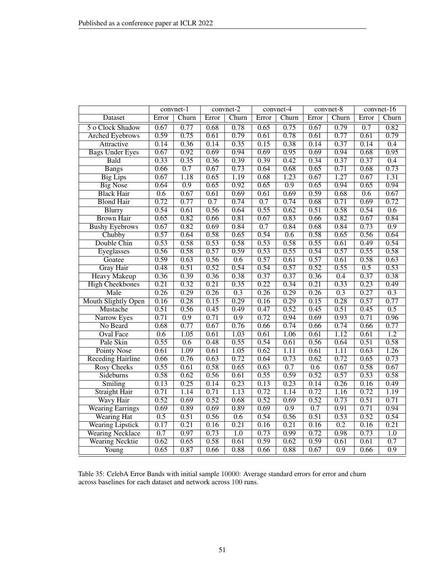|                            |       | convnet-1         |       | convnet-2        |       | convnet- $\overline{4}$ |       | $convnet-8$ |                  | convnet-16       |
|----------------------------|-------|-------------------|-------|------------------|-------|-------------------------|-------|-------------|------------------|------------------|
| Dataset                    | Error | Churn             | Error | Churn            | Error | Churn                   | Error | Churn       | Error            | Churn            |
| 5 o Clock Shadow           | 0.67  | 0.77              | 0.68  | 0.78             | 0.65  | 0.75                    | 0.67  | 0.79        | 0.7              | 0.82             |
| <b>Arched Eyebrows</b>     | 0.59  | 0.75              | 0.61  | 0.79             | 0.61  | 0.78                    | 0.61  | 0.77        | 0.61             | 0.79             |
| Attractive                 | 0.14  | 0.36              | 0.14  | 0.35             | 0.15  | 0.38                    | 0.14  | 0.37        | 0.14             | $\overline{0.4}$ |
| <b>Bags Under Eyes</b>     | 0.67  | 0.92              | 0.69  | 0.94             | 0.69  | 0.95                    | 0.69  | 0.94        | 0.68             | 0.95             |
| Bald                       | 0.33  | 0.35              | 0.36  | 0.39             | 0.39  | 0.42                    | 0.34  | 0.37        | 0.37             | 0.4              |
| <b>Bangs</b>               | 0.66  | 0.7               | 0.67  | 0.73             | 0.64  | 0.68                    | 0.65  | 0.71        | 0.68             | 0.73             |
| <b>Big Lips</b>            | 0.67  | $\overline{1.18}$ | 0.65  | 1.19             | 0.68  | 1.23                    | 0.67  | 1.27        | 0.67             | 1.31             |
| <b>Big Nose</b>            | 0.64  | $\overline{0.9}$  | 0.65  | 0.92             | 0.65  | $\overline{0.9}$        | 0.65  | 0.94        | 0.65             | 0.94             |
| <b>Black Hair</b>          | 0.6   | 0.67              | 0.61  | 0.69             | 0.61  | 0.69                    | 0.59  | 0.68        | 0.6              | 0.67             |
| <b>Blond Hair</b>          | 0.72  | 0.77              | 0.7   | 0.74             | 0.7   | 0.74                    | 0.68  | 0.71        | 0.69             | 0.72             |
| <b>Blurry</b>              | 0.54  | 0.61              | 0.56  | 0.64             | 0.55  | 0.62                    | 0.51  | 0.58        | 0.54             | 0.6              |
| <b>Brown Hair</b>          | 0.65  | 0.82              | 0.66  | 0.81             | 0.67  | 0.83                    | 0.66  | 0.82        | 0.67             | 0.84             |
| <b>Bushy Eyebrows</b>      | 0.67  | 0.82              | 0.69  | 0.84             | 0.7   | 0.84                    | 0.68  | 0.84        | 0.73             | $\overline{0.9}$ |
| Chubby                     | 0.57  | 0.64              | 0.58  | 0.65             | 0.54  | 0.6                     | 0.58  | 0.65        | 0.56             | 0.64             |
| Double Chin                | 0.53  | 0.58              | 0.53  | 0.58             | 0.53  | 0.58                    | 0.55  | 0.61        | 0.49             | 0.54             |
| Eyeglasses                 | 0.56  | 0.58              | 0.57  | 0.59             | 0.53  | 0.55                    | 0.54  | 0.57        | 0.55             | 0.58             |
| Goatee                     | 0.59  | 0.63              | 0.56  | 0.6              | 0.57  | 0.61                    | 0.57  | 0.61        | 0.58             | 0.63             |
| <b>Gray Hair</b>           | 0.48  | 0.51              | 0.52  | 0.54             | 0.54  | 0.57                    | 0.52  | 0.55        | $\overline{0.5}$ | 0.53             |
| <b>Heavy Makeup</b>        | 0.36  | 0.39              | 0.36  | 0.38             | 0.37  | 0.37                    | 0.36  | 0.4         | 0.37             | 0.38             |
| <b>High Cheekbones</b>     | 0.21  | 0.32              | 0.21  | 0.35             | 0.22  | 0.34                    | 0.21  | 0.33        | 0.23             | 0.49             |
| Male                       | 0.26  | 0.29              | 0.26  | $\overline{0.3}$ | 0.26  | 0.29                    | 0.26  | 0.3         | 0.27             | $\overline{0.3}$ |
| <b>Mouth Slightly Open</b> | 0.16  | 0.28              | 0.15  | 0.29             | 0.16  | 0.29                    | 0.15  | 0.28        | 0.57             | 0.77             |
| Mustache                   | 0.51  | 0.56              | 0.45  | 0.49             | 0.47  | 0.52                    | 0.45  | 0.51        | 0.45             | 0.5              |
| Narrow Eyes                | 0.71  | $\overline{0.9}$  | 0.71  | $\overline{0.9}$ | 0.72  | 0.94                    | 0.69  | 0.93        | 0.71             | 0.96             |
| No Beard                   | 0.68  | 0.77              | 0.67  | 0.76             | 0.66  | 0.74                    | 0.66  | 0.74        | 0.66             | 0.77             |
| <b>Oval Face</b>           | 0.6   | 1.05              | 0.61  | 1.03             | 0.61  | 1.06                    | 0.61  | 1.12        | 0.61             | $\overline{1.2}$ |
| Pale Skin                  | 0.55  | $\overline{0.6}$  | 0.48  | 0.55             | 0.54  | 0.61                    | 0.56  | 0.64        | 0.51             | 0.58             |
| <b>Pointy Nose</b>         | 0.61  | 1.09              | 0.61  | 1.05             | 0.62  | $\overline{1.11}$       | 0.61  | 1.11        | 0.63             | 1.26             |
| <b>Receding Hairline</b>   | 0.66  | 0.76              | 0.63  | 0.72             | 0.64  | 0.73                    | 0.62  | 0.72        | 0.65             | 0.73             |
| <b>Rosy Cheeks</b>         | 0.55  | 0.61              | 0.58  | 0.65             | 0.63  | 0.7                     | 0.6   | 0.67        | 0.58             | 0.67             |
| Sideburns                  | 0.58  | 0.62              | 0.56  | 0.61             | 0.55  | 0.59                    | 0.52  | 0.57        | 0.53             | 0.58             |
| Smiling                    | 0.13  | 0.25              | 0.14  | 0.23             | 0.13  | 0.23                    | 0.14  | 0.26        | 0.16             | 0.49             |
| <b>Straight Hair</b>       | 0.71  | 1.14              | 0.71  | 1.13             | 0.72  | 1.14                    | 0.72  | 1.16        | 0.72             | 1.19             |
| Wavy Hair                  | 0.52  | 0.69              | 0.52  | 0.68             | 0.52  | 0.69                    | 0.52  | 0.73        | 0.51             | 0.71             |
| <b>Wearing Earrings</b>    | 0.69  | 0.89              | 0.69  | 0.89             | 0.69  | $\overline{0.9}$        | 0.7   | 0.91        | 0.71             | 0.94             |
| <b>Wearing Hat</b>         | 0.5   | 0.51              | 0.56  | 0.6              | 0.54  | 0.56                    | 0.51  | 0.53        | 0.52             | 0.54             |
| <b>Wearing Lipstick</b>    | 0.17  | 0.21              | 0.16  | 0.21             | 0.16  | 0.21                    | 0.16  | 0.2         | 0.16             | 0.21             |
| <b>Wearing Necklace</b>    | 0.7   | 0.97              | 0.73  | $\overline{1.0}$ | 0.73  | 0.99                    | 0.72  | 0.98        | 0.73             | $\overline{1.0}$ |
| <b>Wearing Necktie</b>     | 0.62  | 0.65              | 0.58  | 0.61             | 0.59  | 0.62                    | 0.59  | 0.61        | 0.61             | 0.7              |
| Young                      | 0.65  | 0.87              | 0.66  | 0.88             | 0.66  | 0.88                    | 0.67  | 0.9         | 0.66             | 0.9              |

<span id="page-50-0"></span>Table 35: CelebA Error Bands with initial sample 10000: Average standard errors for error and churn across baselines for each dataset and network across 100 runs.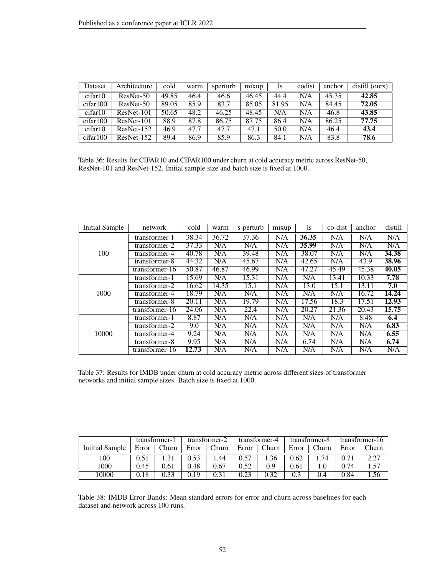| Dataset  | Architecture | cold  | warm | sperturb | mixup | 1s    | codist | anchor | distill (ours) |
|----------|--------------|-------|------|----------|-------|-------|--------|--------|----------------|
| cifar10  | $ResNet-50$  | 49.85 | 46.4 | 46.6     | 46.45 | 44.4  | N/A    | 45.35  | 42.85          |
| cifar100 | $ResNet-50$  | 89.05 | 85.9 | 83.7     | 85.05 | 81.95 | N/A    | 84.45  | 72.05          |
| cifar10  | $ResNet-101$ | 50.65 | 48.2 | 46.25    | 48.45 | N/A   | N/A    | 46.8   | 43.85          |
| cifar100 | $ResNet-101$ | 88.9  | 87.8 | 86.75    | 87.75 | 86.4  | N/A    | 86.25  | 77.75          |
| cifar10  | $ResNet-152$ | 46.9  | 47.7 | 47.7     | 47.1  | 50.0  | N/A    | 46.4   | 43.4           |
| cifar100 | ResNet-152   | 89.4  | 86.9 | 85.9     | 86.3  | 84.1  | N/A    | 83.8   | 78.6           |

<span id="page-51-0"></span>Table 36: Results for CIFAR10 and CIFAR100 under churn at cold accuracy metric across ResNet-50, ResNet-101 and ResNet-152. Initial sample size and batch size is fixed at 1000..

| Initial Sample | network                           | cold  | warm  | s-perturb | mixup | <sup>1s</sup> | co-dist | anchor | distill |
|----------------|-----------------------------------|-------|-------|-----------|-------|---------------|---------|--------|---------|
| 100            | transformer-1                     | 38.34 | 36.72 | 37.36     | N/A   | 36.35         | N/A     | N/A    | N/A     |
|                | transformer-2                     | 37.33 | N/A   | N/A       | N/A   | 35.99         | N/A     | N/A    | N/A     |
|                | $\overline{\text{transformer-4}}$ | 40.78 | N/A   | 39.48     | N/A   | 38.07         | N/A     | N/A    | 34.38   |
|                | transformer-8                     | 44.32 | N/A   | 45.67     | N/A   | 42.65         | N/A     | 43.9   | 38.96   |
|                | transformer-16                    | 50.87 | 46.87 | 46.99     | N/A   | 47.27         | 45.49   | 45.38  | 40.05   |
| 1000           | transformer-1                     | 15.69 | N/A   | 15.31     | N/A   | N/A           | 13.41   | 10.33  | 7.78    |
|                | transformer-2                     | 16.62 | 14.35 | 15.1      | N/A   | 13.0          | 15.1    | 13.11  | 7.0     |
|                | transformer-4                     | 18.79 | N/A   | N/A       | N/A   | N/A           | N/A     | 16.72  | 14.24   |
|                | transformer-8                     | 20.11 | N/A   | 19.79     | N/A   | 17.56         | 18.3    | 17.51  | 12.93   |
|                | transformer-16                    | 24.06 | N/A   | 22.4      | N/A   | 20.27         | 21.36   | 20.43  | 15.75   |
| 10000          | transformer-1                     | 8.87  | N/A   | N/A       | N/A   | N/A           | N/A     | 8.48   | 6.4     |
|                | transformer-2                     | 9.0   | N/A   | N/A       | N/A   | N/A           | N/A     | N/A    | 6.83    |
|                | transformer-4                     | 9.24  | N/A   | N/A       | N/A   | N/A           | N/A     | N/A    | 6.55    |
|                | transformer-8                     | 9.95  | N/A   | N/A       | N/A   | 6.74          | N/A     | N/A    | 6.74    |
|                | transformer-16                    | 12.73 | N/A   | N/A       | N/A   | N/A           | N/A     | N/A    | N/A     |

<span id="page-51-1"></span>Table 37: Results for IMDB under churn at cold accuracy metric across different sizes of transformer networks and initial sample sizes. Batch size is fixed at 1000.

|                 | transformer-1 |       | transformer-2 |       | transformer-4 |       | transformer-8 |       | transformer-16 |        |
|-----------------|---------------|-------|---------------|-------|---------------|-------|---------------|-------|----------------|--------|
| Iniitial Sample | Error         | Churn | Error         | Churn | Error         | Churn | Error         | Churn | Error          | .`hurn |
| 100             | 0.51          |       | 0.53          | .44   |               | .36   | 0.62          | 74    |                |        |
| 1000            | 0.45          | J.61  | 0.48          | 0.67  | 0.52          | (0.9) | 0.61          |       | 0.74           |        |
| 10000           | 0.18          | 9.33  | 0.19          | 0.31  | 0.23          | 0.32  |               |       | 0.84           |        |

<span id="page-51-2"></span>Table 38: IMDB Error Bands: Mean standard errors for error and churn across baselines for each dataset and network across 100 runs.